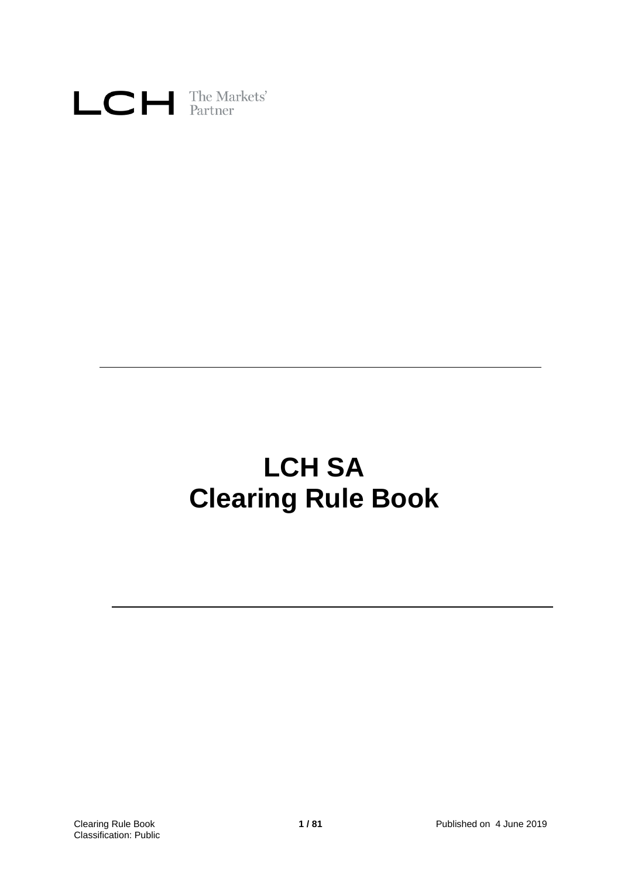

# **LCH SA Clearing Rule Book**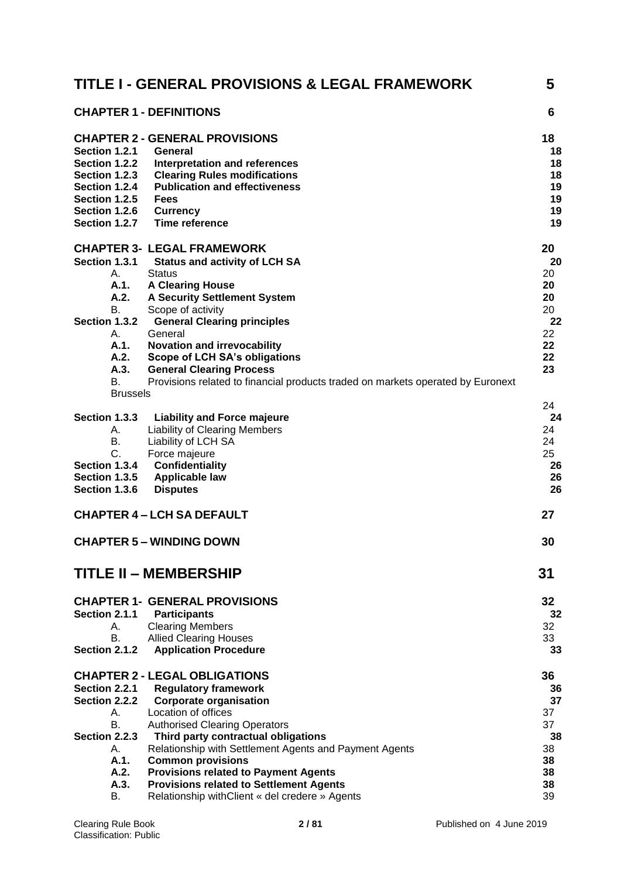|                                                                                                                     | TITLE I - GENERAL PROVISIONS & LEGAL FRAMEWORK                                                                                                                                                                                                                                                                                                                                                                                                      | 5                                                              |
|---------------------------------------------------------------------------------------------------------------------|-----------------------------------------------------------------------------------------------------------------------------------------------------------------------------------------------------------------------------------------------------------------------------------------------------------------------------------------------------------------------------------------------------------------------------------------------------|----------------------------------------------------------------|
|                                                                                                                     | <b>CHAPTER 1 - DEFINITIONS</b>                                                                                                                                                                                                                                                                                                                                                                                                                      | 6                                                              |
| Section 1.2.1<br>Section 1.2.2<br>Section 1.2.3<br>Section 1.2.4<br>Section 1.2.5<br>Section 1.2.6<br>Section 1.2.7 | <b>CHAPTER 2 - GENERAL PROVISIONS</b><br>General<br>Interpretation and references<br><b>Clearing Rules modifications</b><br><b>Publication and effectiveness</b><br>Fees<br><b>Currency</b><br><b>Time reference</b>                                                                                                                                                                                                                                | 18<br>18<br>18<br>18<br>19<br>19<br>19<br>19                   |
| Section 1.3.1<br>А.<br>A.1.<br>A.2.<br>В.<br>Section 1.3.2<br>А.<br>A.1.<br>A.2.<br>A.3.<br>В.<br><b>Brussels</b>   | <b>CHAPTER 3- LEGAL FRAMEWORK</b><br><b>Status and activity of LCH SA</b><br><b>Status</b><br><b>A Clearing House</b><br><b>A Security Settlement System</b><br>Scope of activity<br><b>General Clearing principles</b><br>General<br><b>Novation and irrevocability</b><br>Scope of LCH SA's obligations<br><b>General Clearing Process</b><br>Provisions related to financial products traded on markets operated by Euronext                     | 20<br>20<br>20<br>20<br>20<br>20<br>22<br>22<br>22<br>22<br>23 |
| Section 1.3.3<br>А.<br>В.<br>C.<br>Section 1.3.4<br>Section 1.3.5<br>Section 1.3.6                                  | <b>Liability and Force majeure</b><br><b>Liability of Clearing Members</b><br>Liability of LCH SA<br>Force majeure<br><b>Confidentiality</b><br><b>Applicable law</b><br><b>Disputes</b>                                                                                                                                                                                                                                                            | 24<br>24<br>24<br>24<br>25<br>26<br>26<br>26                   |
|                                                                                                                     | <b>CHAPTER 4 – LCH SA DEFAULT</b>                                                                                                                                                                                                                                                                                                                                                                                                                   | 27                                                             |
|                                                                                                                     | <b>CHAPTER 5 - WINDING DOWN</b>                                                                                                                                                                                                                                                                                                                                                                                                                     | 30                                                             |
|                                                                                                                     | <b>TITLE II - MEMBERSHIP</b>                                                                                                                                                                                                                                                                                                                                                                                                                        | 31                                                             |
| Section 2.1.1<br>А.<br>В.<br>Section 2.1.2                                                                          | <b>CHAPTER 1- GENERAL PROVISIONS</b><br><b>Participants</b><br><b>Clearing Members</b><br><b>Allied Clearing Houses</b><br><b>Application Procedure</b>                                                                                                                                                                                                                                                                                             | 32<br>32<br>32<br>33<br>33                                     |
| Section 2.2.1<br>Section 2.2.2<br>А.<br>В.<br>Section 2.2.3<br>А.<br>A.1.<br>A.2.<br>A.3.<br>В.                     | <b>CHAPTER 2 - LEGAL OBLIGATIONS</b><br><b>Regulatory framework</b><br><b>Corporate organisation</b><br>Location of offices<br><b>Authorised Clearing Operators</b><br>Third party contractual obligations<br>Relationship with Settlement Agents and Payment Agents<br><b>Common provisions</b><br><b>Provisions related to Payment Agents</b><br><b>Provisions related to Settlement Agents</b><br>Relationship withClient « del credere » Agents | 36<br>36<br>37<br>37<br>37<br>38<br>38<br>38<br>38<br>38<br>39 |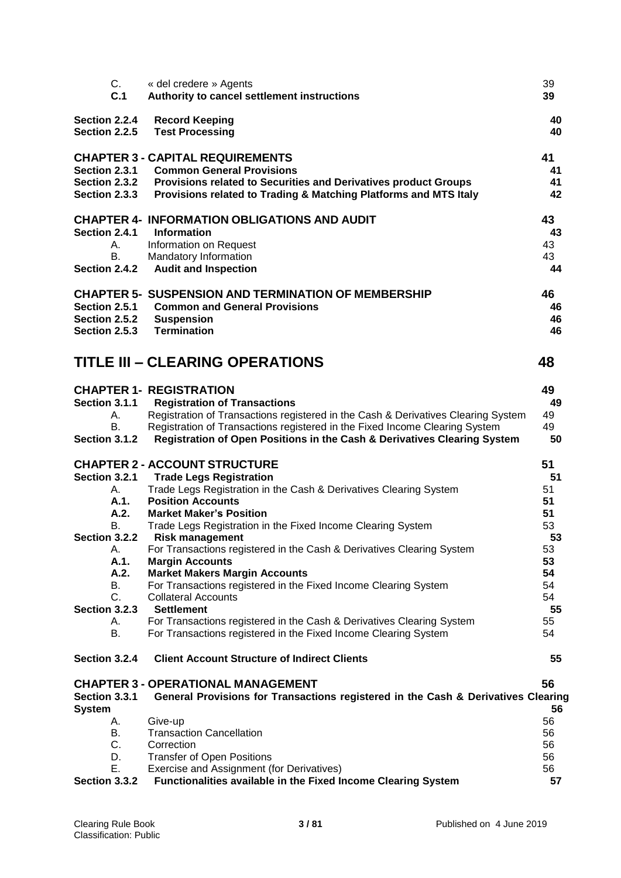| C.                   | « del credere » Agents                                                            | 39       |
|----------------------|-----------------------------------------------------------------------------------|----------|
| C.1                  | Authority to cancel settlement instructions                                       | 39       |
| Section 2.2.4        | <b>Record Keeping</b>                                                             | 40       |
| Section 2.2.5        | <b>Test Processing</b>                                                            | 40       |
|                      |                                                                                   |          |
|                      | <b>CHAPTER 3 - CAPITAL REQUIREMENTS</b>                                           | 41       |
| Section 2.3.1        | <b>Common General Provisions</b>                                                  | 41       |
| <b>Section 2.3.2</b> | Provisions related to Securities and Derivatives product Groups                   | 41       |
| Section 2.3.3        | Provisions related to Trading & Matching Platforms and MTS Italy                  | 42       |
|                      | <b>CHAPTER 4- INFORMATION OBLIGATIONS AND AUDIT</b>                               | 43       |
| Section 2.4.1        | <b>Information</b>                                                                | 43       |
| А.                   | Information on Request                                                            | 43       |
| Β.                   | Mandatory Information                                                             | 43       |
| Section 2.4.2        | <b>Audit and Inspection</b>                                                       | 44       |
|                      | <b>CHAPTER 5- SUSPENSION AND TERMINATION OF MEMBERSHIP</b>                        | 46       |
| Section 2.5.1        | <b>Common and General Provisions</b>                                              | 46       |
| Section 2.5.2        | <b>Suspension</b>                                                                 | 46       |
| Section 2.5.3        | <b>Termination</b>                                                                | 46       |
|                      |                                                                                   |          |
|                      | TITLE III – CLEARING OPERATIONS                                                   | 48       |
|                      |                                                                                   |          |
|                      | <b>CHAPTER 1- REGISTRATION</b>                                                    | 49       |
| Section 3.1.1        | <b>Registration of Transactions</b>                                               | 49       |
| А.                   | Registration of Transactions registered in the Cash & Derivatives Clearing System | 49       |
| В.                   | Registration of Transactions registered in the Fixed Income Clearing System       | 49       |
| Section 3.1.2        | Registration of Open Positions in the Cash & Derivatives Clearing System          | 50       |
|                      | <b>CHAPTER 2 - ACCOUNT STRUCTURE</b>                                              | 51       |
| Section 3.2.1        | <b>Trade Legs Registration</b>                                                    | 51       |
| А.                   | Trade Legs Registration in the Cash & Derivatives Clearing System                 | 51       |
| A.1.                 | <b>Position Accounts</b>                                                          | 51       |
| A.2.                 | <b>Market Maker's Position</b>                                                    | 51       |
| <b>B.</b>            | Trade Legs Registration in the Fixed Income Clearing System                       | 53       |
| Section 3.2.2        | <b>Risk management</b>                                                            | 53       |
| Α.<br>A.1.           | For Transactions registered in the Cash & Derivatives Clearing System             | 53<br>53 |
| A.2.                 | <b>Margin Accounts</b><br><b>Market Makers Margin Accounts</b>                    | 54       |
| В.                   | For Transactions registered in the Fixed Income Clearing System                   | 54       |
| C.                   | <b>Collateral Accounts</b>                                                        | 54       |
| Section 3.2.3        | <b>Settlement</b>                                                                 | 55       |
| А.                   | For Transactions registered in the Cash & Derivatives Clearing System             | 55       |
| В.                   | For Transactions registered in the Fixed Income Clearing System                   | 54       |
| Section 3.2.4        | <b>Client Account Structure of Indirect Clients</b>                               | 55       |
|                      | <b>CHAPTER 3 - OPERATIONAL MANAGEMENT</b>                                         | 56       |
| Section 3.3.1        | General Provisions for Transactions registered in the Cash & Derivatives Clearing |          |
| System               |                                                                                   | 56       |
| А.                   | Give-up                                                                           | 56       |
| В.                   | <b>Transaction Cancellation</b>                                                   | 56       |
| C.                   | Correction                                                                        | 56       |
| D.                   | <b>Transfer of Open Positions</b>                                                 | 56       |
| Е.                   | Exercise and Assignment (for Derivatives)                                         | 56       |
| Section 3.3.2        | Functionalities available in the Fixed Income Clearing System                     | 57       |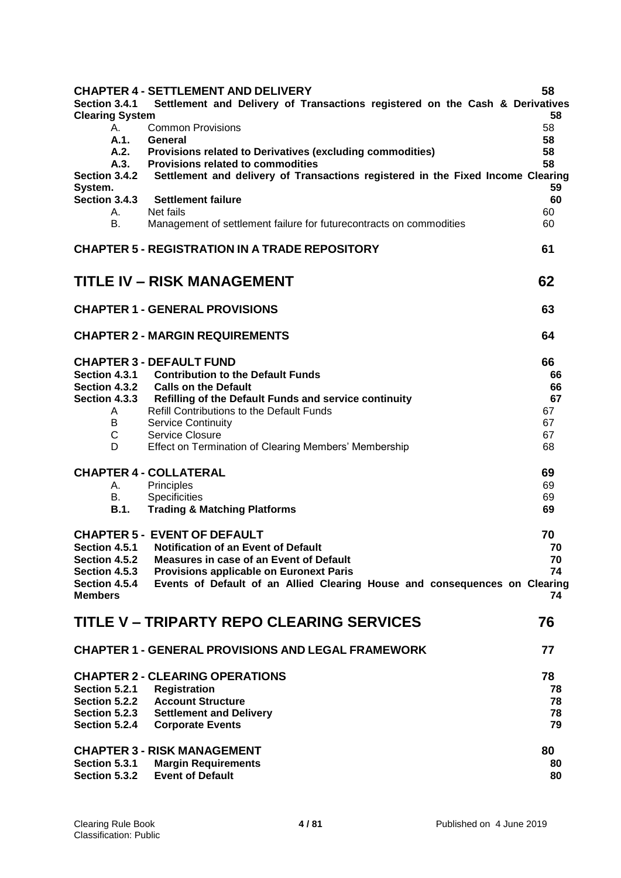| Section 3.4.1<br><b>Clearing System</b>   | <b>CHAPTER 4 - SETTLEMENT AND DELIVERY</b><br>Settlement and Delivery of Transactions registered on the Cash & Derivatives | 58<br>58       |
|-------------------------------------------|----------------------------------------------------------------------------------------------------------------------------|----------------|
| А.<br>A.1.<br>A.2.                        | <b>Common Provisions</b><br>General<br>Provisions related to Derivatives (excluding commodities)                           | 58<br>58<br>58 |
| A.3.                                      | <b>Provisions related to commodities</b>                                                                                   | 58             |
| Section 3.4.2<br>System.<br>Section 3.4.3 | Settlement and delivery of Transactions registered in the Fixed Income Clearing<br><b>Settlement failure</b>               | 59<br>60       |
| A.                                        | Net fails                                                                                                                  | 60             |
| B.                                        | Management of settlement failure for futurecontracts on commodities                                                        | 60             |
|                                           | <b>CHAPTER 5 - REGISTRATION IN A TRADE REPOSITORY</b>                                                                      | 61             |
|                                           | <b>TITLE IV - RISK MANAGEMENT</b>                                                                                          | 62             |
|                                           | <b>CHAPTER 1 - GENERAL PROVISIONS</b>                                                                                      | 63             |
|                                           | <b>CHAPTER 2 - MARGIN REQUIREMENTS</b>                                                                                     | 64             |
|                                           | <b>CHAPTER 3 - DEFAULT FUND</b>                                                                                            | 66             |
| Section 4.3.1                             | <b>Contribution to the Default Funds</b>                                                                                   | 66             |
| Section 4.3.2<br>Section 4.3.3            | <b>Calls on the Default</b><br>Refilling of the Default Funds and service continuity                                       | 66<br>67       |
| A                                         | Refill Contributions to the Default Funds                                                                                  | 67             |
| B                                         | <b>Service Continuity</b>                                                                                                  | 67             |
| $\mathsf{C}$<br>D                         | Service Closure                                                                                                            | 67             |
|                                           | Effect on Termination of Clearing Members' Membership                                                                      | 68             |
|                                           | <b>CHAPTER 4 - COLLATERAL</b>                                                                                              | 69             |
| А.                                        | Principles                                                                                                                 | 69             |
| В.<br><b>B.1.</b>                         | Specificities<br><b>Trading &amp; Matching Platforms</b>                                                                   | 69<br>69       |
|                                           | <b>CHAPTER 5 - EVENT OF DEFAULT</b>                                                                                        | 70             |
|                                           | Section 4.5.1 Notification of an Event of Default                                                                          | 70             |
| Section 4.5.2                             | <b>Measures in case of an Event of Default</b>                                                                             | 70             |
| Section 4.5.3                             | <b>Provisions applicable on Euronext Paris</b>                                                                             | 74             |
| Section 4.5.4<br><b>Members</b>           | Events of Default of an Allied Clearing House and consequences on Clearing                                                 | 74             |
|                                           | TITLE V – TRIPARTY REPO CLEARING SERVICES                                                                                  | 76             |
|                                           | <b>CHAPTER 1 - GENERAL PROVISIONS AND LEGAL FRAMEWORK</b>                                                                  | 77             |
|                                           | <b>CHAPTER 2 - CLEARING OPERATIONS</b>                                                                                     | 78             |
| Section 5.2.1                             | <b>Registration</b>                                                                                                        | 78             |
| Section 5.2.2<br>Section 5.2.3            | <b>Account Structure</b><br><b>Settlement and Delivery</b>                                                                 | 78<br>78       |
| Section 5.2.4                             | <b>Corporate Events</b>                                                                                                    | 79             |
|                                           | <b>CHAPTER 3 - RISK MANAGEMENT</b>                                                                                         | 80             |
| Section 5.3.1                             | <b>Margin Requirements</b>                                                                                                 | 80             |
| Section 5.3.2                             | <b>Event of Default</b>                                                                                                    | 80             |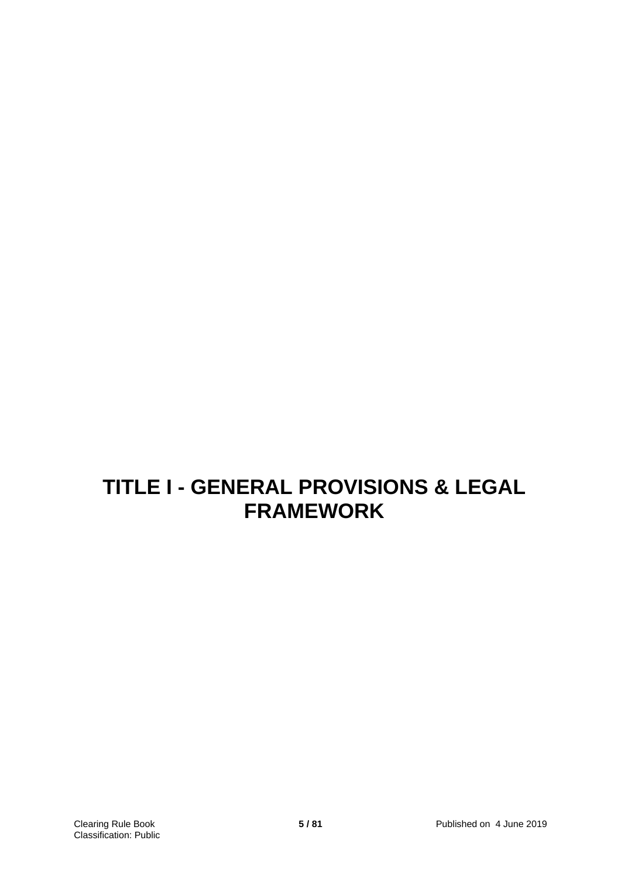# **TITLE I - GENERAL PROVISIONS & LEGAL FRAMEWORK**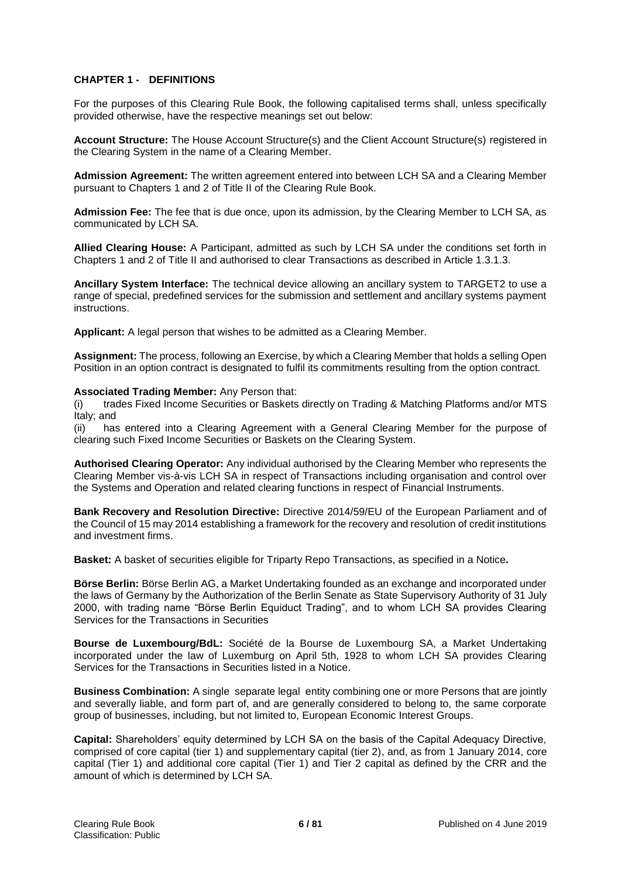# **CHAPTER 1 - DEFINITIONS**

For the purposes of this Clearing Rule Book, the following capitalised terms shall, unless specifically provided otherwise, have the respective meanings set out below:

**Account Structure:** The House Account Structure(s) and the Client Account Structure(s) registered in the Clearing System in the name of a Clearing Member.

**Admission Agreement:** The written agreement entered into between LCH SA and a Clearing Member pursuant to Chapters 1 and 2 of Title II of the Clearing Rule Book.

**Admission Fee:** The fee that is due once, upon its admission, by the Clearing Member to LCH SA, as communicated by LCH SA.

**Allied Clearing House:** A Participant, admitted as such by LCH SA under the conditions set forth in Chapters 1 and 2 of Title II and authorised to clear Transactions as described in Article 1.3.1.3.

**Ancillary System Interface:** The technical device allowing an ancillary system to TARGET2 to use a range of special, predefined services for the submission and settlement and ancillary systems payment instructions.

**Applicant:** A legal person that wishes to be admitted as a Clearing Member.

**Assignment:** The process, following an Exercise, by which a Clearing Member that holds a selling Open Position in an option contract is designated to fulfil its commitments resulting from the option contract.

#### **Associated Trading Member:** Any Person that:

(i) trades Fixed Income Securities or Baskets directly on Trading & Matching Platforms and/or MTS Italy; and

(ii) has entered into a Clearing Agreement with a General Clearing Member for the purpose of clearing such Fixed Income Securities or Baskets on the Clearing System.

**Authorised Clearing Operator:** Any individual authorised by the Clearing Member who represents the Clearing Member vis-à-vis LCH SA in respect of Transactions including organisation and control over the Systems and Operation and related clearing functions in respect of Financial Instruments.

**Bank Recovery and Resolution Directive:** Directive 2014/59/EU of the European Parliament and of the Council of 15 may 2014 establishing a framework for the recovery and resolution of credit institutions and investment firms.

**Basket:** A basket of securities eligible for Triparty Repo Transactions, as specified in a Notice**.**

**Börse Berlin:** Börse Berlin AG, a Market Undertaking founded as an exchange and incorporated under the laws of Germany by the Authorization of the Berlin Senate as State Supervisory Authority of 31 July 2000, with trading name "Börse Berlin Equiduct Trading", and to whom LCH SA provides Clearing Services for the Transactions in Securities

**Bourse de Luxembourg/BdL:** Société de la Bourse de Luxembourg SA, a Market Undertaking incorporated under the law of Luxemburg on April 5th, 1928 to whom LCH SA provides Clearing Services for the Transactions in Securities listed in a Notice.

**Business Combination:** A single separate legal entity combining one or more Persons that are jointly and severally liable, and form part of, and are generally considered to belong to, the same corporate group of businesses, including, but not limited to, European Economic Interest Groups.

**Capital:** Shareholders' equity determined by LCH SA on the basis of the Capital Adequacy Directive, comprised of core capital (tier 1) and supplementary capital (tier 2), and, as from 1 January 2014, core capital (Tier 1) and additional core capital (Tier 1) and Tier 2 capital as defined by the CRR and the amount of which is determined by LCH SA.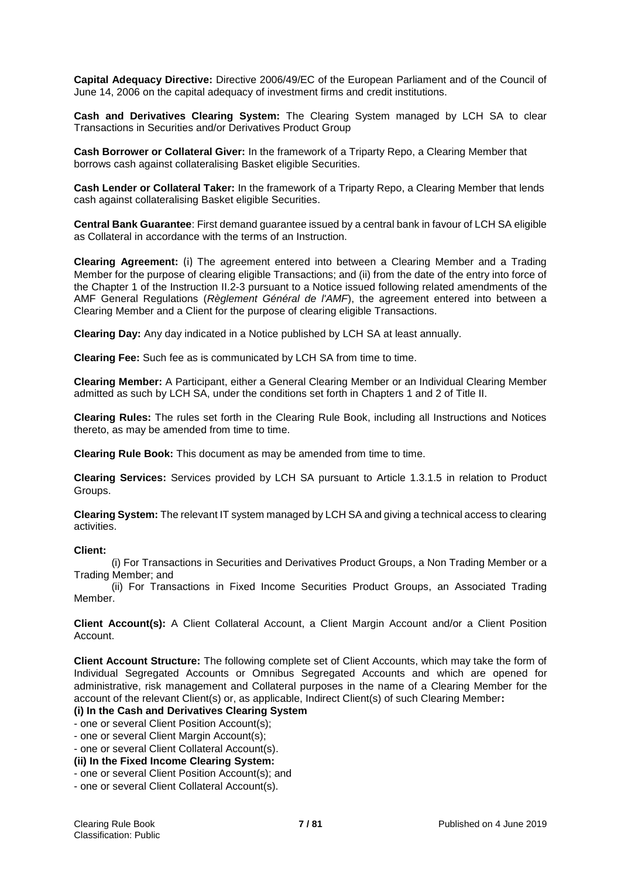**Capital Adequacy Directive:** Directive 2006/49/EC of the European Parliament and of the Council of June 14, 2006 on the capital adequacy of investment firms and credit institutions.

**Cash and Derivatives Clearing System:** The Clearing System managed by LCH SA to clear Transactions in Securities and/or Derivatives Product Group

**Cash Borrower or Collateral Giver:** In the framework of a Triparty Repo, a Clearing Member that borrows cash against collateralising Basket eligible Securities.

**Cash Lender or Collateral Taker:** In the framework of a Triparty Repo, a Clearing Member that lends cash against collateralising Basket eligible Securities.

**Central Bank Guarantee**: First demand guarantee issued by a central bank in favour of LCH SA eligible as Collateral in accordance with the terms of an Instruction.

**Clearing Agreement:** (i) The agreement entered into between a Clearing Member and a Trading Member for the purpose of clearing eligible Transactions; and (ii) from the date of the entry into force of the Chapter 1 of the Instruction II.2-3 pursuant to a Notice issued following related amendments of the AMF General Regulations (*Règlement Général de l'AMF*), the agreement entered into between a Clearing Member and a Client for the purpose of clearing eligible Transactions.

**Clearing Day:** Any day indicated in a Notice published by LCH SA at least annually.

**Clearing Fee:** Such fee as is communicated by LCH SA from time to time.

**Clearing Member:** A Participant, either a General Clearing Member or an Individual Clearing Member admitted as such by LCH SA, under the conditions set forth in Chapters 1 and 2 of Title II.

**Clearing Rules:** The rules set forth in the Clearing Rule Book, including all Instructions and Notices thereto, as may be amended from time to time.

**Clearing Rule Book:** This document as may be amended from time to time.

**Clearing Services:** Services provided by LCH SA pursuant to Article 1.3.1.5 in relation to Product Groups.

**Clearing System:** The relevant IT system managed by LCH SA and giving a technical access to clearing activities.

#### **Client:**

(i) For Transactions in Securities and Derivatives Product Groups, a Non Trading Member or a Trading Member; and

(ii) For Transactions in Fixed Income Securities Product Groups, an Associated Trading Member.

**Client Account(s):** A Client Collateral Account, a Client Margin Account and/or a Client Position Account.

**Client Account Structure:** The following complete set of Client Accounts, which may take the form of Individual Segregated Accounts or Omnibus Segregated Accounts and which are opened for administrative, risk management and Collateral purposes in the name of a Clearing Member for the account of the relevant Client(s) or, as applicable, Indirect Client(s) of such Clearing Member**:**

#### **(i) In the Cash and Derivatives Clearing System**

- one or several Client Position Account(s);

- one or several Client Margin Account(s);

- one or several Client Collateral Account(s).

**(ii) In the Fixed Income Clearing System:** 

- one or several Client Position Account(s); and
- one or several Client Collateral Account(s).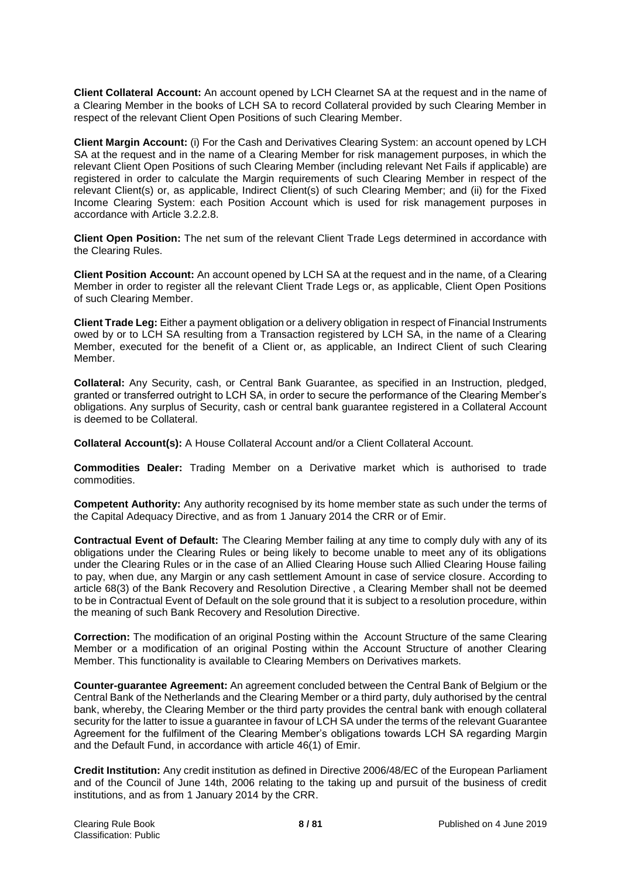**Client Collateral Account:** An account opened by LCH Clearnet SA at the request and in the name of a Clearing Member in the books of LCH SA to record Collateral provided by such Clearing Member in respect of the relevant Client Open Positions of such Clearing Member.

**Client Margin Account:** (i) For the Cash and Derivatives Clearing System: an account opened by LCH SA at the request and in the name of a Clearing Member for risk management purposes, in which the relevant Client Open Positions of such Clearing Member (including relevant Net Fails if applicable) are registered in order to calculate the Margin requirements of such Clearing Member in respect of the relevant Client(s) or, as applicable, Indirect Client(s) of such Clearing Member; and (ii) for the Fixed Income Clearing System: each Position Account which is used for risk management purposes in accordance with Article 3.2.2.8.

**Client Open Position:** The net sum of the relevant Client Trade Legs determined in accordance with the Clearing Rules.

**Client Position Account:** An account opened by LCH SA at the request and in the name, of a Clearing Member in order to register all the relevant Client Trade Legs or, as applicable, Client Open Positions of such Clearing Member.

**Client Trade Leg:** Either a payment obligation or a delivery obligation in respect of Financial Instruments owed by or to LCH SA resulting from a Transaction registered by LCH SA, in the name of a Clearing Member, executed for the benefit of a Client or, as applicable, an Indirect Client of such Clearing Member.

**Collateral:** Any Security, cash, or Central Bank Guarantee, as specified in an Instruction, pledged, granted or transferred outright to LCH SA, in order to secure the performance of the Clearing Member's obligations. Any surplus of Security, cash or central bank guarantee registered in a Collateral Account is deemed to be Collateral.

**Collateral Account(s):** A House Collateral Account and/or a Client Collateral Account.

**Commodities Dealer:** Trading Member on a Derivative market which is authorised to trade commodities.

**Competent Authority:** Any authority recognised by its home member state as such under the terms of the Capital Adequacy Directive, and as from 1 January 2014 the CRR or of Emir.

**Contractual Event of Default:** The Clearing Member failing at any time to comply duly with any of its obligations under the Clearing Rules or being likely to become unable to meet any of its obligations under the Clearing Rules or in the case of an Allied Clearing House such Allied Clearing House failing to pay, when due, any Margin or any cash settlement Amount in case of service closure. According to article 68(3) of the Bank Recovery and Resolution Directive , a Clearing Member shall not be deemed to be in Contractual Event of Default on the sole ground that it is subject to a resolution procedure, within the meaning of such Bank Recovery and Resolution Directive.

**Correction:** The modification of an original Posting within the Account Structure of the same Clearing Member or a modification of an original Posting within the Account Structure of another Clearing Member. This functionality is available to Clearing Members on Derivatives markets.

**Counter-guarantee Agreement:** An agreement concluded between the Central Bank of Belgium or the Central Bank of the Netherlands and the Clearing Member or a third party, duly authorised by the central bank, whereby, the Clearing Member or the third party provides the central bank with enough collateral security for the latter to issue a guarantee in favour of LCH SA under the terms of the relevant Guarantee Agreement for the fulfilment of the Clearing Member's obligations towards LCH SA regarding Margin and the Default Fund, in accordance with article 46(1) of Emir.

**Credit Institution:** Any credit institution as defined in Directive 2006/48/EC of the European Parliament and of the Council of June 14th, 2006 relating to the taking up and pursuit of the business of credit institutions, and as from 1 January 2014 by the CRR.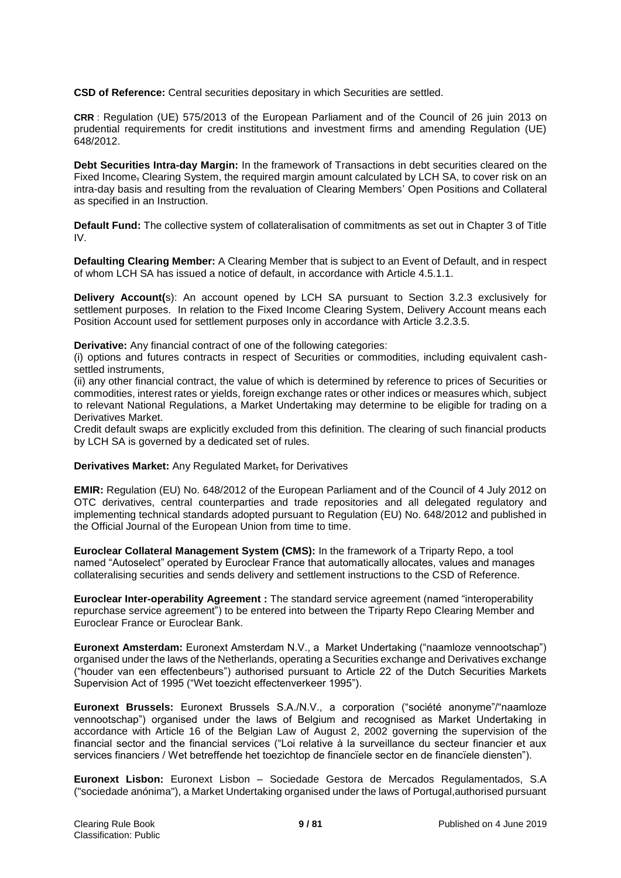**CSD of Reference:** Central securities depositary in which Securities are settled.

**CRR** : Regulation (UE) 575/2013 of the European Parliament and of the Council of 26 juin 2013 on prudential requirements for credit institutions and investment firms and amending Regulation (UE) 648/2012.

**Debt Securities Intra-day Margin:** In the framework of Transactions in debt securities cleared on the Fixed Income, Clearing System, the required margin amount calculated by LCH SA, to cover risk on an intra-day basis and resulting from the revaluation of Clearing Members' Open Positions and Collateral as specified in an Instruction.

**Default Fund:** The collective system of collateralisation of commitments as set out in Chapter 3 of Title IV.

**Defaulting Clearing Member:** A Clearing Member that is subject to an Event of Default, and in respect of whom LCH SA has issued a notice of default, in accordance with Article 4.5.1.1.

**Delivery Account(**s): An account opened by LCH SA pursuant to Section 3.2.3 exclusively for settlement purposes. In relation to the Fixed Income Clearing System, Delivery Account means each Position Account used for settlement purposes only in accordance with Article 3.2.3.5.

**Derivative:** Any financial contract of one of the following categories:

(i) options and futures contracts in respect of Securities or commodities, including equivalent cashsettled instruments,

(ii) any other financial contract, the value of which is determined by reference to prices of Securities or commodities, interest rates or yields, foreign exchange rates or other indices or measures which, subject to relevant National Regulations, a Market Undertaking may determine to be eligible for trading on a Derivatives Market.

Credit default swaps are explicitly excluded from this definition. The clearing of such financial products by LCH SA is governed by a dedicated set of rules.

**Derivatives Market:** Any Regulated Market, for Derivatives

**EMIR:** Regulation (EU) No. 648/2012 of the European Parliament and of the Council of 4 July 2012 on OTC derivatives, central counterparties and trade repositories and all delegated regulatory and implementing technical standards adopted pursuant to Regulation (EU) No. 648/2012 and published in the Official Journal of the European Union from time to time.

**Euroclear Collateral Management System (CMS):** In the framework of a Triparty Repo, a tool named "Autoselect" operated by Euroclear France that automatically allocates, values and manages collateralising securities and sends delivery and settlement instructions to the CSD of Reference.

**Euroclear Inter-operability Agreement :** The standard service agreement (named "interoperability repurchase service agreement") to be entered into between the Triparty Repo Clearing Member and Euroclear France or Euroclear Bank.

**Euronext Amsterdam:** Euronext Amsterdam N.V., a Market Undertaking ("naamloze vennootschap") organised under the laws of the Netherlands, operating a Securities exchange and Derivatives exchange ("houder van een effectenbeurs") authorised pursuant to Article 22 of the Dutch Securities Markets Supervision Act of 1995 ("Wet toezicht effectenverkeer 1995").

**Euronext Brussels:** Euronext Brussels S.A./N.V., a corporation ("société anonyme"/"naamloze vennootschap") organised under the laws of Belgium and recognised as Market Undertaking in accordance with Article 16 of the Belgian Law of August 2, 2002 governing the supervision of the financial sector and the financial services ("Loi relative à la surveillance du secteur financier et aux services financiers / Wet betreffende het toezichtop de financïele sector en de financïele diensten").

**Euronext Lisbon:** Euronext Lisbon – Sociedade Gestora de Mercados Regulamentados, S.A ("sociedade anónima"), a Market Undertaking organised under the laws of Portugal,authorised pursuant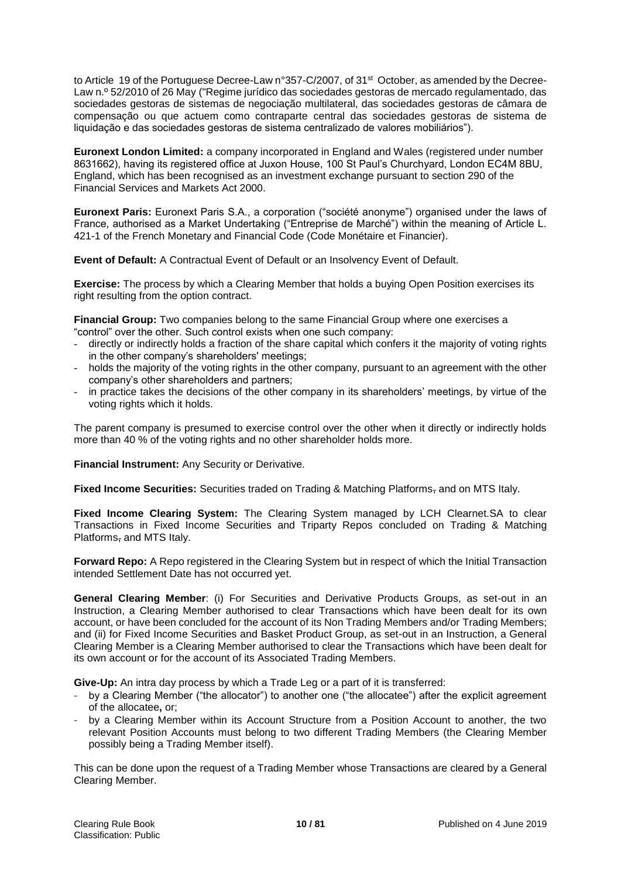to Article 19 of the Portuguese Decree-Law n°357-C/2007, of 31st October, as amended by the Decree-Law n.º 52/2010 of 26 May ("Regime jurídico das sociedades gestoras de mercado regulamentado, das sociedades gestoras de sistemas de negociação multilateral, das sociedades gestoras de câmara de compensação ou que actuem como contraparte central das sociedades gestoras de sistema de liquidação e das sociedades gestoras de sistema centralizado de valores mobiliários").

**Euronext London Limited:** a company incorporated in England and Wales (registered under number 8631662), having its registered office at Juxon House, 100 St Paul's Churchyard, London EC4M 8BU, England, which has been recognised as an investment exchange pursuant to section 290 of the Financial Services and Markets Act 2000.

**Euronext Paris:** Euronext Paris S.A., a corporation ("société anonyme") organised under the laws of France, authorised as a Market Undertaking ("Entreprise de Marché") within the meaning of Article L. 421-1 of the French Monetary and Financial Code (Code Monétaire et Financier).

**Event of Default:** A Contractual Event of Default or an Insolvency Event of Default.

**Exercise:** The process by which a Clearing Member that holds a buying Open Position exercises its right resulting from the option contract.

**Financial Group:** Two companies belong to the same Financial Group where one exercises a "control" over the other. Such control exists when one such company:

- directly or indirectly holds a fraction of the share capital which confers it the majority of voting rights in the other company's shareholders' meetings;
- holds the majority of the voting rights in the other company, pursuant to an agreement with the other company's other shareholders and partners;
- in practice takes the decisions of the other company in its shareholders' meetings, by virtue of the voting rights which it holds.

The parent company is presumed to exercise control over the other when it directly or indirectly holds more than 40 % of the voting rights and no other shareholder holds more.

**Financial Instrument:** Any Security or Derivative.

**Fixed Income Securities:** Securities traded on Trading & Matching Platforms, and on MTS Italy.

**Fixed Income Clearing System:** The Clearing System managed by LCH Clearnet.SA to clear Transactions in Fixed Income Securities and Triparty Repos concluded on Trading & Matching Platforms, and MTS Italy.

**Forward Repo:** A Repo registered in the Clearing System but in respect of which the Initial Transaction intended Settlement Date has not occurred yet.

**General Clearing Member**: (i) For Securities and Derivative Products Groups, as set-out in an Instruction, a Clearing Member authorised to clear Transactions which have been dealt for its own account, or have been concluded for the account of its Non Trading Members and/or Trading Members; and (ii) for Fixed Income Securities and Basket Product Group, as set-out in an Instruction, a General Clearing Member is a Clearing Member authorised to clear the Transactions which have been dealt for its own account or for the account of its Associated Trading Members.

**Give-Up:** An intra day process by which a Trade Leg or a part of it is transferred:

- by a Clearing Member ("the allocator") to another one ("the allocatee") after the explicit agreement of the allocatee**,** or;
- by a Clearing Member within its Account Structure from a Position Account to another, the two relevant Position Accounts must belong to two different Trading Members (the Clearing Member possibly being a Trading Member itself).

This can be done upon the request of a Trading Member whose Transactions are cleared by a General Clearing Member.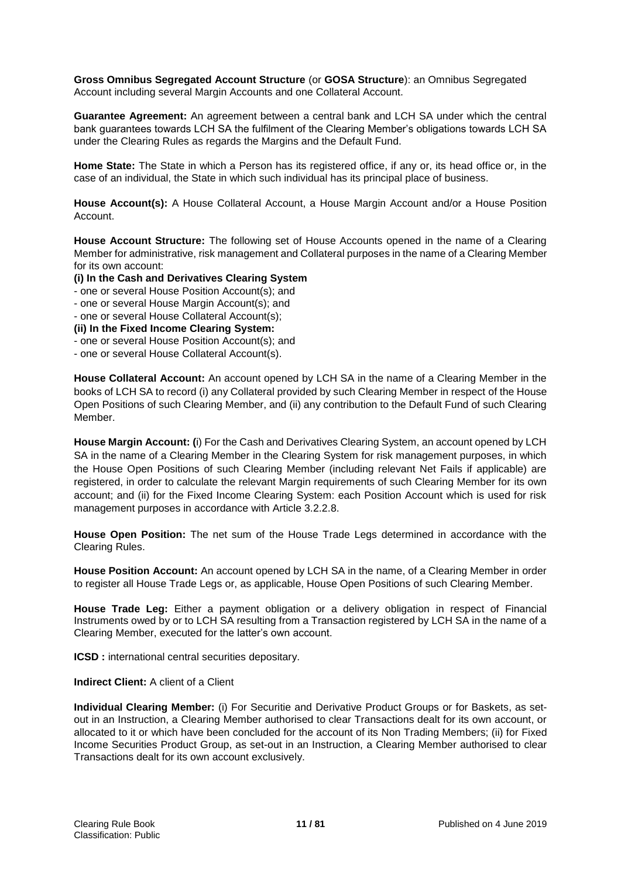**Gross Omnibus Segregated Account Structure** (or **GOSA Structure**): an Omnibus Segregated Account including several Margin Accounts and one Collateral Account.

**Guarantee Agreement:** An agreement between a central bank and LCH SA under which the central bank guarantees towards LCH SA the fulfilment of the Clearing Member's obligations towards LCH SA under the Clearing Rules as regards the Margins and the Default Fund.

**Home State:** The State in which a Person has its registered office, if any or, its head office or, in the case of an individual, the State in which such individual has its principal place of business.

**House Account(s):** A House Collateral Account, a House Margin Account and/or a House Position Account.

**House Account Structure:** The following set of House Accounts opened in the name of a Clearing Member for administrative, risk management and Collateral purposes in the name of a Clearing Member for its own account:

**(i) In the Cash and Derivatives Clearing System** 

- one or several House Position Account(s); and
- one or several House Margin Account(s); and
- one or several House Collateral Account(s);

**(ii) In the Fixed Income Clearing System:** 

- one or several House Position Account(s); and
- one or several House Collateral Account(s).

**House Collateral Account:** An account opened by LCH SA in the name of a Clearing Member in the books of LCH SA to record (i) any Collateral provided by such Clearing Member in respect of the House Open Positions of such Clearing Member, and (ii) any contribution to the Default Fund of such Clearing Member.

**House Margin Account: (**i) For the Cash and Derivatives Clearing System, an account opened by LCH SA in the name of a Clearing Member in the Clearing System for risk management purposes, in which the House Open Positions of such Clearing Member (including relevant Net Fails if applicable) are registered, in order to calculate the relevant Margin requirements of such Clearing Member for its own account; and (ii) for the Fixed Income Clearing System: each Position Account which is used for risk management purposes in accordance with Article 3.2.2.8.

**House Open Position:** The net sum of the House Trade Legs determined in accordance with the Clearing Rules.

**House Position Account:** An account opened by LCH SA in the name, of a Clearing Member in order to register all House Trade Legs or, as applicable, House Open Positions of such Clearing Member.

**House Trade Leg:** Either a payment obligation or a delivery obligation in respect of Financial Instruments owed by or to LCH SA resulting from a Transaction registered by LCH SA in the name of a Clearing Member, executed for the latter's own account.

**ICSD** : international central securities depositary.

**Indirect Client:** A client of a Client

**Individual Clearing Member:** (i) For Securitie and Derivative Product Groups or for Baskets, as setout in an Instruction, a Clearing Member authorised to clear Transactions dealt for its own account, or allocated to it or which have been concluded for the account of its Non Trading Members; (ii) for Fixed Income Securities Product Group, as set-out in an Instruction, a Clearing Member authorised to clear Transactions dealt for its own account exclusively.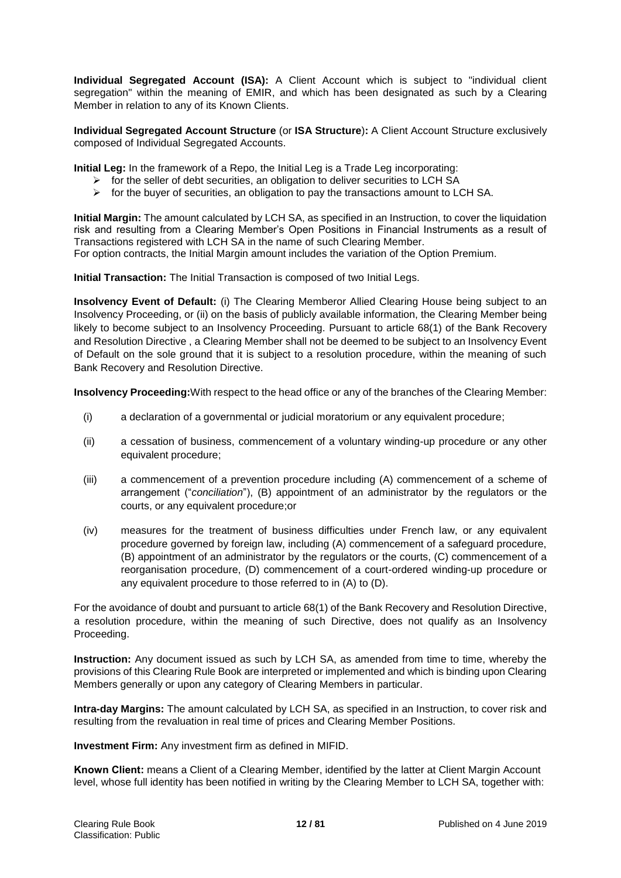**Individual Segregated Account (ISA):** A Client Account which is subject to "individual client segregation" within the meaning of EMIR, and which has been designated as such by a Clearing Member in relation to any of its Known Clients.

**Individual Segregated Account Structure** (or **ISA Structure**)**:** A Client Account Structure exclusively composed of Individual Segregated Accounts.

**Initial Leg:** In the framework of a Repo, the Initial Leg is a Trade Leg incorporating:

- $\triangleright$  for the seller of debt securities, an obligation to deliver securities to LCH SA
- $\triangleright$  for the buyer of securities, an obligation to pay the transactions amount to LCH SA.

**Initial Margin:** The amount calculated by LCH SA, as specified in an Instruction, to cover the liquidation risk and resulting from a Clearing Member's Open Positions in Financial Instruments as a result of Transactions registered with LCH SA in the name of such Clearing Member. For option contracts, the Initial Margin amount includes the variation of the Option Premium.

**Initial Transaction:** The Initial Transaction is composed of two Initial Legs.

**Insolvency Event of Default:** (i) The Clearing Memberor Allied Clearing House being subject to an Insolvency Proceeding, or (ii) on the basis of publicly available information, the Clearing Member being likely to become subject to an Insolvency Proceeding. Pursuant to article 68(1) of the Bank Recovery and Resolution Directive , a Clearing Member shall not be deemed to be subject to an Insolvency Event of Default on the sole ground that it is subject to a resolution procedure, within the meaning of such Bank Recovery and Resolution Directive.

**Insolvency Proceeding:**With respect to the head office or any of the branches of the Clearing Member:

- (i) a declaration of a governmental or judicial moratorium or any equivalent procedure;
- (ii) a cessation of business, commencement of a voluntary winding-up procedure or any other equivalent procedure;
- (iii) a commencement of a prevention procedure including (A) commencement of a scheme of arrangement ("*conciliation*"), (B) appointment of an administrator by the regulators or the courts, or any equivalent procedure;or
- (iv) measures for the treatment of business difficulties under French law, or any equivalent procedure governed by foreign law, including (A) commencement of a safeguard procedure, (B) appointment of an administrator by the regulators or the courts, (C) commencement of a reorganisation procedure, (D) commencement of a court-ordered winding-up procedure or any equivalent procedure to those referred to in (A) to (D).

For the avoidance of doubt and pursuant to article 68(1) of the Bank Recovery and Resolution Directive, a resolution procedure, within the meaning of such Directive, does not qualify as an Insolvency Proceeding.

**Instruction:** Any document issued as such by LCH SA, as amended from time to time, whereby the provisions of this Clearing Rule Book are interpreted or implemented and which is binding upon Clearing Members generally or upon any category of Clearing Members in particular.

**Intra-day Margins:** The amount calculated by LCH SA, as specified in an Instruction, to cover risk and resulting from the revaluation in real time of prices and Clearing Member Positions.

**Investment Firm:** Any investment firm as defined in MIFID.

**Known Client:** means a Client of a Clearing Member, identified by the latter at Client Margin Account level, whose full identity has been notified in writing by the Clearing Member to LCH SA, together with: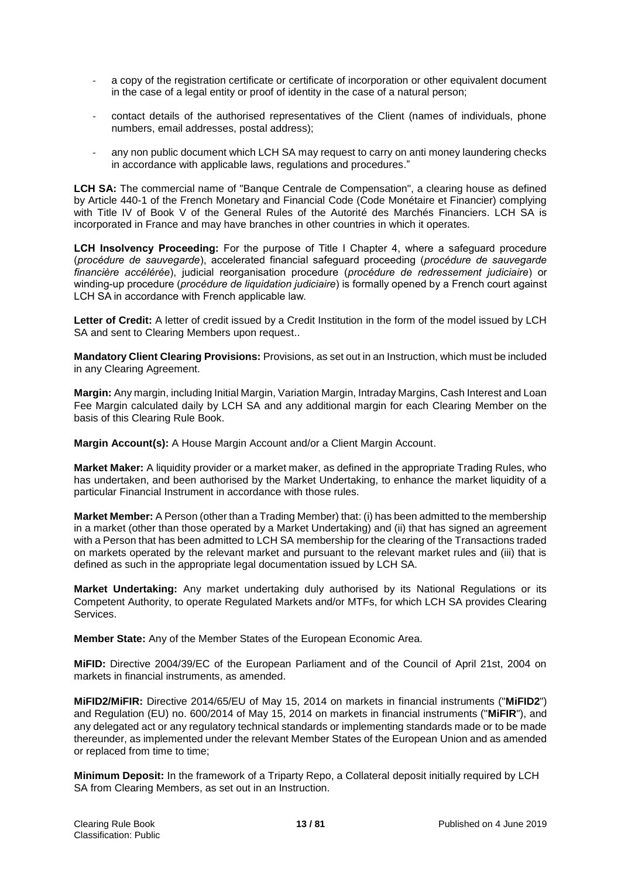- a copy of the registration certificate or certificate of incorporation or other equivalent document in the case of a legal entity or proof of identity in the case of a natural person;
- contact details of the authorised representatives of the Client (names of individuals, phone numbers, email addresses, postal address);
- any non public document which LCH SA may request to carry on anti money laundering checks in accordance with applicable laws, regulations and procedures."

**LCH SA:** The commercial name of "Banque Centrale de Compensation", a clearing house as defined by Article 440-1 of the French Monetary and Financial Code (Code Monétaire et Financier) complying with Title IV of Book V of the General Rules of the Autorité des Marchés Financiers. LCH SA is incorporated in France and may have branches in other countries in which it operates.

**LCH Insolvency Proceeding:** For the purpose of Title I Chapter 4, where a safeguard procedure (*procédure de sauvegarde*), accelerated financial safeguard proceeding (*procédure de sauvegarde financière accélérée*), judicial reorganisation procedure (*procédure de redressement judiciaire*) or winding-up procedure (*procédure de liquidation judiciaire*) is formally opened by a French court against LCH SA in accordance with French applicable law.

**Letter of Credit:** A letter of credit issued by a Credit Institution in the form of the model issued by LCH SA and sent to Clearing Members upon request..

**Mandatory Client Clearing Provisions:** Provisions, as set out in an Instruction, which must be included in any Clearing Agreement.

**Margin:** Any margin, including Initial Margin, Variation Margin, Intraday Margins, Cash Interest and Loan Fee Margin calculated daily by LCH SA and any additional margin for each Clearing Member on the basis of this Clearing Rule Book.

**Margin Account(s):** A House Margin Account and/or a Client Margin Account.

**Market Maker:** A liquidity provider or a market maker, as defined in the appropriate Trading Rules, who has undertaken, and been authorised by the Market Undertaking, to enhance the market liquidity of a particular Financial Instrument in accordance with those rules.

**Market Member:** A Person (other than a Trading Member) that: (i) has been admitted to the membership in a market (other than those operated by a Market Undertaking) and (ii) that has signed an agreement with a Person that has been admitted to LCH SA membership for the clearing of the Transactions traded on markets operated by the relevant market and pursuant to the relevant market rules and (iii) that is defined as such in the appropriate legal documentation issued by LCH SA.

**Market Undertaking:** Any market undertaking duly authorised by its National Regulations or its Competent Authority, to operate Regulated Markets and/or MTFs, for which LCH SA provides Clearing Services.

**Member State:** Any of the Member States of the European Economic Area.

**MiFID:** Directive 2004/39/EC of the European Parliament and of the Council of April 21st, 2004 on markets in financial instruments, as amended.

**MiFID2/MiFIR:** Directive 2014/65/EU of May 15, 2014 on markets in financial instruments ("**MiFID2**") and Regulation (EU) no. 600/2014 of May 15, 2014 on markets in financial instruments ("**MiFIR**"), and any delegated act or any regulatory technical standards or implementing standards made or to be made thereunder, as implemented under the relevant Member States of the European Union and as amended or replaced from time to time;

**Minimum Deposit:** In the framework of a Triparty Repo, a Collateral deposit initially required by LCH SA from Clearing Members, as set out in an Instruction.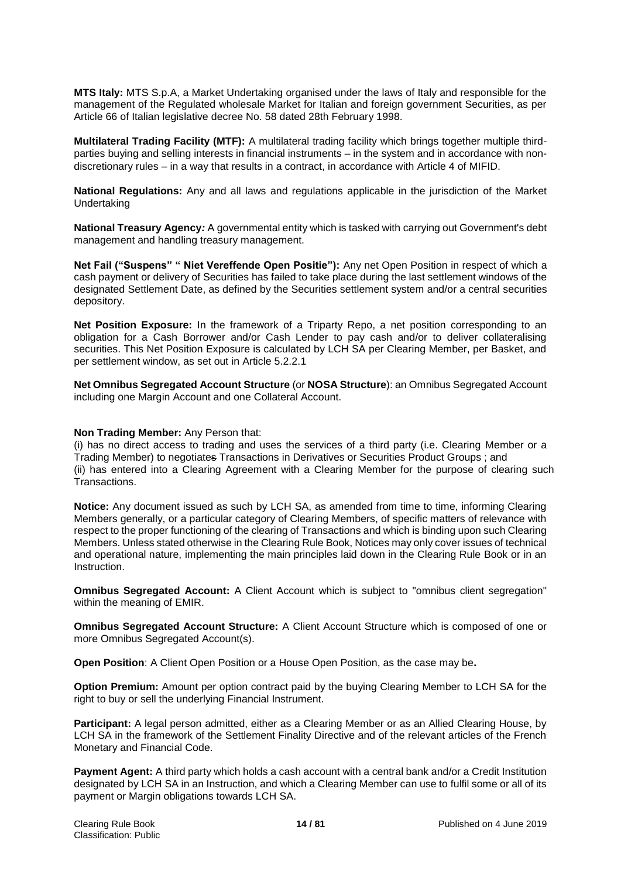**MTS Italy:** MTS S.p.A, a Market Undertaking organised under the laws of Italy and responsible for the management of the Regulated wholesale Market for Italian and foreign government Securities, as per Article 66 of Italian legislative decree No. 58 dated 28th February 1998.

**Multilateral Trading Facility (MTF):** A multilateral trading facility which brings together multiple thirdparties buying and selling interests in financial instruments – in the system and in accordance with nondiscretionary rules – in a way that results in a contract, in accordance with Article 4 of MIFID.

**National Regulations:** Any and all laws and regulations applicable in the jurisdiction of the Market Undertaking

**National Treasury Agency***:* A governmental entity which is tasked with carrying out Government's debt management and handling treasury management.

**Net Fail ("Suspens" " Niet Vereffende Open Positie"):** Any net Open Position in respect of which a cash payment or delivery of Securities has failed to take place during the last settlement windows of the designated Settlement Date, as defined by the Securities settlement system and/or a central securities depository.

**Net Position Exposure:** In the framework of a Triparty Repo, a net position corresponding to an obligation for a Cash Borrower and/or Cash Lender to pay cash and/or to deliver collateralising securities. This Net Position Exposure is calculated by LCH SA per Clearing Member, per Basket, and per settlement window, as set out in Article 5.2.2.1

**Net Omnibus Segregated Account Structure** (or **NOSA Structure**): an Omnibus Segregated Account including one Margin Account and one Collateral Account.

#### **Non Trading Member:** Any Person that:

(i) has no direct access to trading and uses the services of a third party (i.e. Clearing Member or a Trading Member) to negotiates Transactions in Derivatives or Securities Product Groups ; and (ii) has entered into a Clearing Agreement with a Clearing Member for the purpose of clearing such Transactions.

**Notice:** Any document issued as such by LCH SA, as amended from time to time, informing Clearing Members generally, or a particular category of Clearing Members, of specific matters of relevance with respect to the proper functioning of the clearing of Transactions and which is binding upon such Clearing Members. Unless stated otherwise in the Clearing Rule Book, Notices may only cover issues of technical and operational nature, implementing the main principles laid down in the Clearing Rule Book or in an Instruction.

**Omnibus Segregated Account:** A Client Account which is subject to "omnibus client segregation" within the meaning of EMIR.

**Omnibus Segregated Account Structure:** A Client Account Structure which is composed of one or more Omnibus Segregated Account(s).

**Open Position**: A Client Open Position or a House Open Position, as the case may be**.**

**Option Premium:** Amount per option contract paid by the buying Clearing Member to LCH SA for the right to buy or sell the underlying Financial Instrument.

**Participant:** A legal person admitted, either as a Clearing Member or as an Allied Clearing House, by LCH SA in the framework of the Settlement Finality Directive and of the relevant articles of the French Monetary and Financial Code.

**Payment Agent:** A third party which holds a cash account with a central bank and/or a Credit Institution designated by LCH SA in an Instruction, and which a Clearing Member can use to fulfil some or all of its payment or Margin obligations towards LCH SA.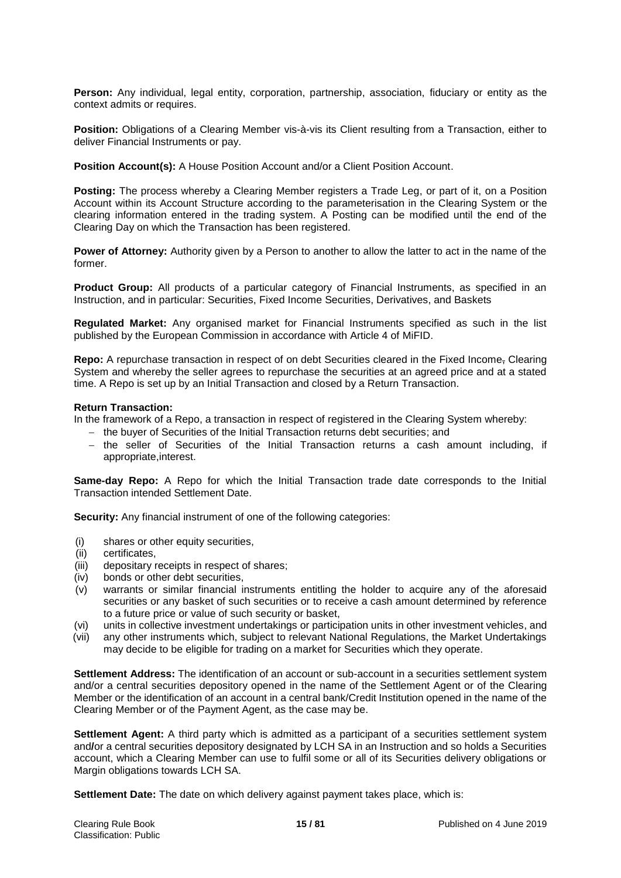**Person:** Any individual, legal entity, corporation, partnership, association, fiduciary or entity as the context admits or requires.

**Position:** Obligations of a Clearing Member vis-à-vis its Client resulting from a Transaction, either to deliver Financial Instruments or pay.

**Position Account(s):** A House Position Account and/or a Client Position Account.

Posting: The process whereby a Clearing Member registers a Trade Leg, or part of it, on a Position Account within its Account Structure according to the parameterisation in the Clearing System or the clearing information entered in the trading system. A Posting can be modified until the end of the Clearing Day on which the Transaction has been registered.

**Power of Attorney:** Authority given by a Person to another to allow the latter to act in the name of the former.

**Product Group:** All products of a particular category of Financial Instruments, as specified in an Instruction, and in particular: Securities, Fixed Income Securities, Derivatives, and Baskets

**Regulated Market:** Any organised market for Financial Instruments specified as such in the list published by the European Commission in accordance with Article 4 of MiFID.

**Repo:** A repurchase transaction in respect of on debt Securities cleared in the Fixed Income, Clearing System and whereby the seller agrees to repurchase the securities at an agreed price and at a stated time. A Repo is set up by an Initial Transaction and closed by a Return Transaction.

# **Return Transaction:**

In the framework of a Repo, a transaction in respect of registered in the Clearing System whereby:

- the buver of Securities of the Initial Transaction returns debt securities; and
- $-$  the seller of Securities of the Initial Transaction returns a cash amount including, if appropriate,interest.

**Same-day Repo:** A Repo for which the Initial Transaction trade date corresponds to the Initial Transaction intended Settlement Date.

**Security:** Any financial instrument of one of the following categories:

- (i) shares or other equity securities,
- (ii) certificates,
- (iii) depositary receipts in respect of shares;
- (iv) bonds or other debt securities,
- $\dot{v}$  warrants or similar financial instruments entitling the holder to acquire any of the aforesaid securities or any basket of such securities or to receive a cash amount determined by reference to a future price or value of such security or basket,
- (vi) units in collective investment undertakings or participation units in other investment vehicles, and
- (vii) any other instruments which, subject to relevant National Regulations, the Market Undertakings may decide to be eligible for trading on a market for Securities which they operate.

**Settlement Address:** The identification of an account or sub-account in a securities settlement system and/or a central securities depository opened in the name of the Settlement Agent or of the Clearing Member or the identification of an account in a central bank/Credit Institution opened in the name of the Clearing Member or of the Payment Agent, as the case may be.

**Settlement Agent:** A third party which is admitted as a participant of a securities settlement system and**/**or a central securities depository designated by LCH SA in an Instruction and so holds a Securities account, which a Clearing Member can use to fulfil some or all of its Securities delivery obligations or Margin obligations towards LCH SA.

**Settlement Date:** The date on which delivery against payment takes place, which is: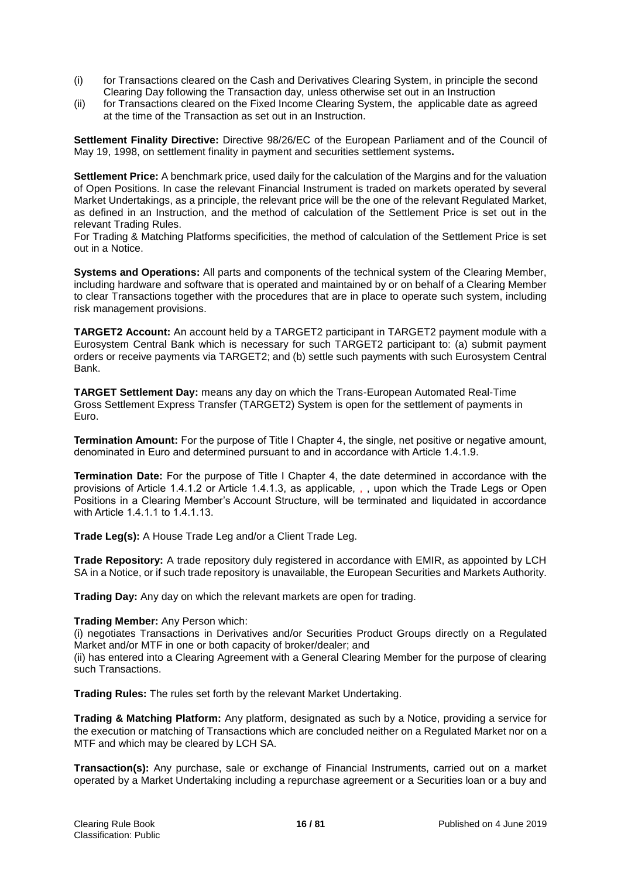- (i) for Transactions cleared on the Cash and Derivatives Clearing System, in principle the second Clearing Day following the Transaction day, unless otherwise set out in an Instruction
- (ii) for Transactions cleared on the Fixed Income Clearing System, the applicable date as agreed at the time of the Transaction as set out in an Instruction.

**Settlement Finality Directive:** Directive 98/26/EC of the European Parliament and of the Council of May 19, 1998, on settlement finality in payment and securities settlement systems**.**

**Settlement Price:** A benchmark price, used daily for the calculation of the Margins and for the valuation of Open Positions. In case the relevant Financial Instrument is traded on markets operated by several Market Undertakings, as a principle, the relevant price will be the one of the relevant Regulated Market, as defined in an Instruction, and the method of calculation of the Settlement Price is set out in the relevant Trading Rules.

For Trading & Matching Platforms specificities, the method of calculation of the Settlement Price is set out in a Notice.

**Systems and Operations:** All parts and components of the technical system of the Clearing Member, including hardware and software that is operated and maintained by or on behalf of a Clearing Member to clear Transactions together with the procedures that are in place to operate such system, including risk management provisions.

**TARGET2 Account:** An account held by a TARGET2 participant in TARGET2 payment module with a Eurosystem Central Bank which is necessary for such TARGET2 participant to: (a) submit payment orders or receive payments via TARGET2; and (b) settle such payments with such Eurosystem Central Bank.

**TARGET Settlement Day:** means any day on which the Trans-European Automated Real-Time Gross Settlement Express Transfer (TARGET2) System is open for the settlement of payments in Euro.

**Termination Amount:** For the purpose of Title I Chapter 4, the single, net positive or negative amount, denominated in Euro and determined pursuant to and in accordance with Article 1.4.1.9.

**Termination Date:** For the purpose of Title I Chapter 4, the date determined in accordance with the provisions of Article 1.4.1.2 or Article 1.4.1.3, as applicable, , , upon which the Trade Legs or Open Positions in a Clearing Member's Account Structure, will be terminated and liquidated in accordance with Article 1.4.1.1 to 1.4.1.13.

**Trade Leg(s):** A House Trade Leg and/or a Client Trade Leg.

**Trade Repository:** A trade repository duly registered in accordance with EMIR, as appointed by LCH SA in a Notice, or if such trade repository is unavailable, the European Securities and Markets Authority.

**Trading Day:** Any day on which the relevant markets are open for trading.

# **Trading Member:** Any Person which:

(i) negotiates Transactions in Derivatives and/or Securities Product Groups directly on a Regulated Market and/or MTF in one or both capacity of broker/dealer; and

(ii) has entered into a Clearing Agreement with a General Clearing Member for the purpose of clearing such Transactions.

**Trading Rules:** The rules set forth by the relevant Market Undertaking.

**Trading & Matching Platform:** Any platform, designated as such by a Notice, providing a service for the execution or matching of Transactions which are concluded neither on a Regulated Market nor on a MTF and which may be cleared by LCH SA.

**Transaction(s):** Any purchase, sale or exchange of Financial Instruments, carried out on a market operated by a Market Undertaking including a repurchase agreement or a Securities loan or a buy and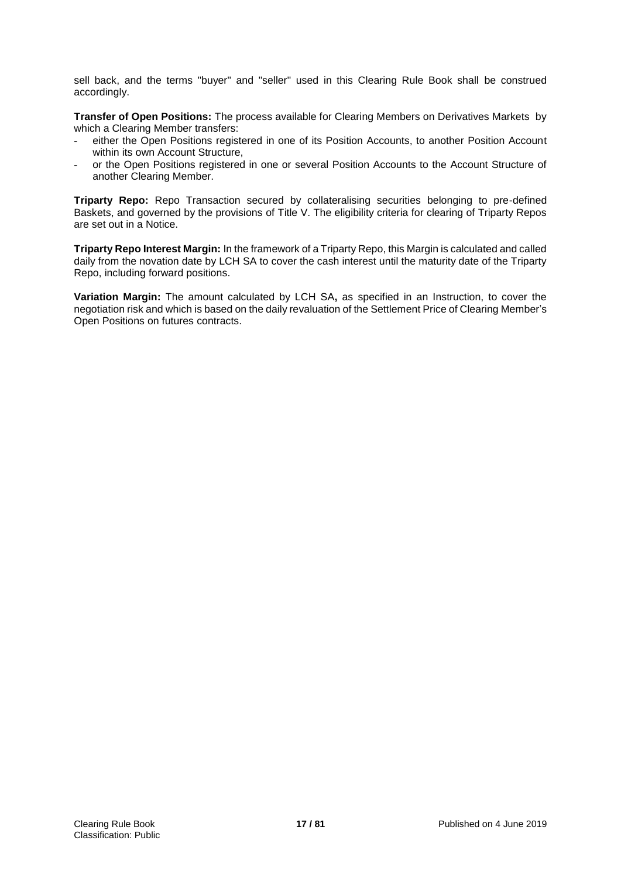sell back, and the terms "buyer" and "seller" used in this Clearing Rule Book shall be construed accordingly.

**Transfer of Open Positions:** The process available for Clearing Members on Derivatives Markets by which a Clearing Member transfers:

- either the Open Positions registered in one of its Position Accounts, to another Position Account within its own Account Structure,
- or the Open Positions registered in one or several Position Accounts to the Account Structure of another Clearing Member.

**Triparty Repo:** Repo Transaction secured by collateralising securities belonging to pre-defined Baskets, and governed by the provisions of Title V. The eligibility criteria for clearing of Triparty Repos are set out in a Notice.

**Triparty Repo Interest Margin:** In the framework of a Triparty Repo, this Margin is calculated and called daily from the novation date by LCH SA to cover the cash interest until the maturity date of the Triparty Repo, including forward positions.

**Variation Margin:** The amount calculated by LCH SA**,** as specified in an Instruction, to cover the negotiation risk and which is based on the daily revaluation of the Settlement Price of Clearing Member's Open Positions on futures contracts.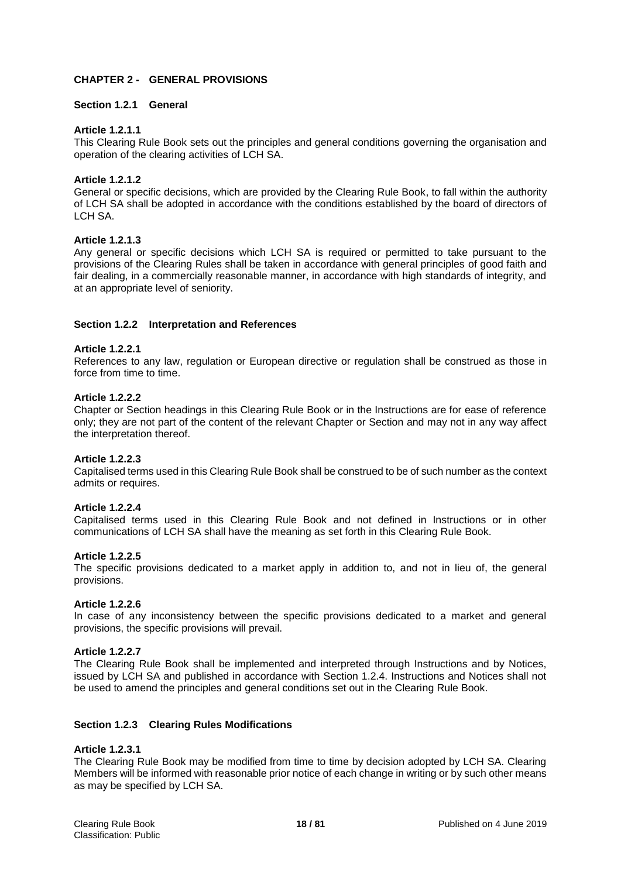# **CHAPTER 2 - GENERAL PROVISIONS**

# **Section 1.2.1 General**

# **Article 1.2.1.1**

This Clearing Rule Book sets out the principles and general conditions governing the organisation and operation of the clearing activities of LCH SA.

# **Article 1.2.1.2**

General or specific decisions, which are provided by the Clearing Rule Book, to fall within the authority of LCH SA shall be adopted in accordance with the conditions established by the board of directors of LCH SA.

# **Article 1.2.1.3**

Any general or specific decisions which LCH SA is required or permitted to take pursuant to the provisions of the Clearing Rules shall be taken in accordance with general principles of good faith and fair dealing, in a commercially reasonable manner, in accordance with high standards of integrity, and at an appropriate level of seniority.

# **Section 1.2.2 Interpretation and References**

# **Article 1.2.2.1**

References to any law, regulation or European directive or regulation shall be construed as those in force from time to time.

#### **Article 1.2.2.2**

Chapter or Section headings in this Clearing Rule Book or in the Instructions are for ease of reference only; they are not part of the content of the relevant Chapter or Section and may not in any way affect the interpretation thereof.

#### **Article 1.2.2.3**

Capitalised terms used in this Clearing Rule Book shall be construed to be of such number as the context admits or requires.

# **Article 1.2.2.4**

Capitalised terms used in this Clearing Rule Book and not defined in Instructions or in other communications of LCH SA shall have the meaning as set forth in this Clearing Rule Book.

#### **Article 1.2.2.5**

The specific provisions dedicated to a market apply in addition to, and not in lieu of, the general provisions.

#### **Article 1.2.2.6**

In case of any inconsistency between the specific provisions dedicated to a market and general provisions, the specific provisions will prevail.

#### **Article 1.2.2.7**

The Clearing Rule Book shall be implemented and interpreted through Instructions and by Notices, issued by LCH SA and published in accordance with Section 1.2.4. Instructions and Notices shall not be used to amend the principles and general conditions set out in the Clearing Rule Book.

#### **Section 1.2.3 Clearing Rules Modifications**

#### **Article 1.2.3.1**

The Clearing Rule Book may be modified from time to time by decision adopted by LCH SA. Clearing Members will be informed with reasonable prior notice of each change in writing or by such other means as may be specified by LCH SA.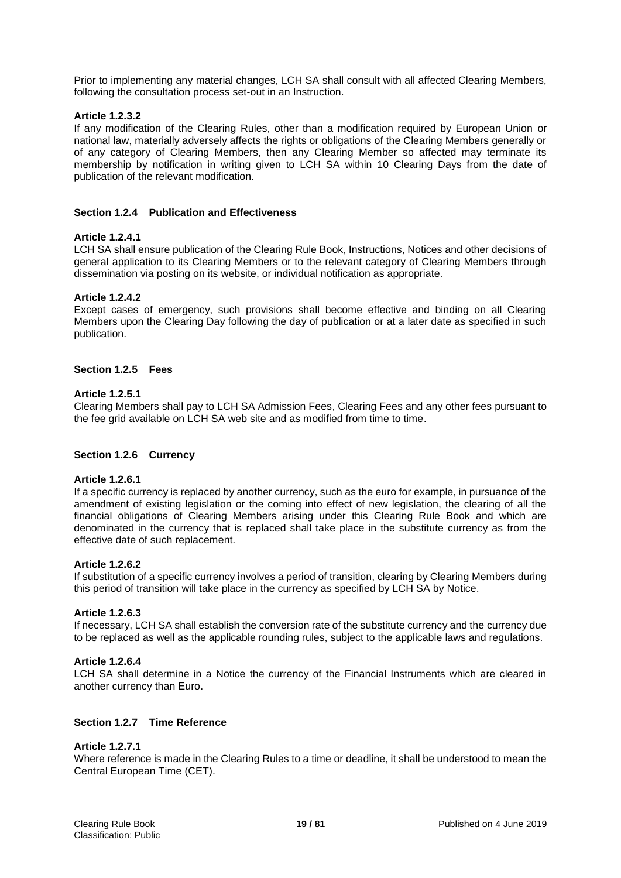Prior to implementing any material changes, LCH SA shall consult with all affected Clearing Members, following the consultation process set-out in an Instruction.

# **Article 1.2.3.2**

If any modification of the Clearing Rules, other than a modification required by European Union or national law, materially adversely affects the rights or obligations of the Clearing Members generally or of any category of Clearing Members, then any Clearing Member so affected may terminate its membership by notification in writing given to LCH SA within 10 Clearing Days from the date of publication of the relevant modification.

# **Section 1.2.4 Publication and Effectiveness**

#### **Article 1.2.4.1**

LCH SA shall ensure publication of the Clearing Rule Book, Instructions, Notices and other decisions of general application to its Clearing Members or to the relevant category of Clearing Members through dissemination via posting on its website, or individual notification as appropriate.

# **Article 1.2.4.2**

Except cases of emergency, such provisions shall become effective and binding on all Clearing Members upon the Clearing Day following the day of publication or at a later date as specified in such publication.

#### **Section 1.2.5 Fees**

#### **Article 1.2.5.1**

Clearing Members shall pay to LCH SA Admission Fees, Clearing Fees and any other fees pursuant to the fee grid available on LCH SA web site and as modified from time to time.

#### **Section 1.2.6 Currency**

#### **Article 1.2.6.1**

If a specific currency is replaced by another currency, such as the euro for example, in pursuance of the amendment of existing legislation or the coming into effect of new legislation, the clearing of all the financial obligations of Clearing Members arising under this Clearing Rule Book and which are denominated in the currency that is replaced shall take place in the substitute currency as from the effective date of such replacement.

#### **Article 1.2.6.2**

If substitution of a specific currency involves a period of transition, clearing by Clearing Members during this period of transition will take place in the currency as specified by LCH SA by Notice.

#### **Article 1.2.6.3**

If necessary, LCH SA shall establish the conversion rate of the substitute currency and the currency due to be replaced as well as the applicable rounding rules, subject to the applicable laws and regulations.

#### **Article 1.2.6.4**

LCH SA shall determine in a Notice the currency of the Financial Instruments which are cleared in another currency than Euro.

#### **Section 1.2.7 Time Reference**

#### **Article 1.2.7.1**

Where reference is made in the Clearing Rules to a time or deadline, it shall be understood to mean the Central European Time (CET).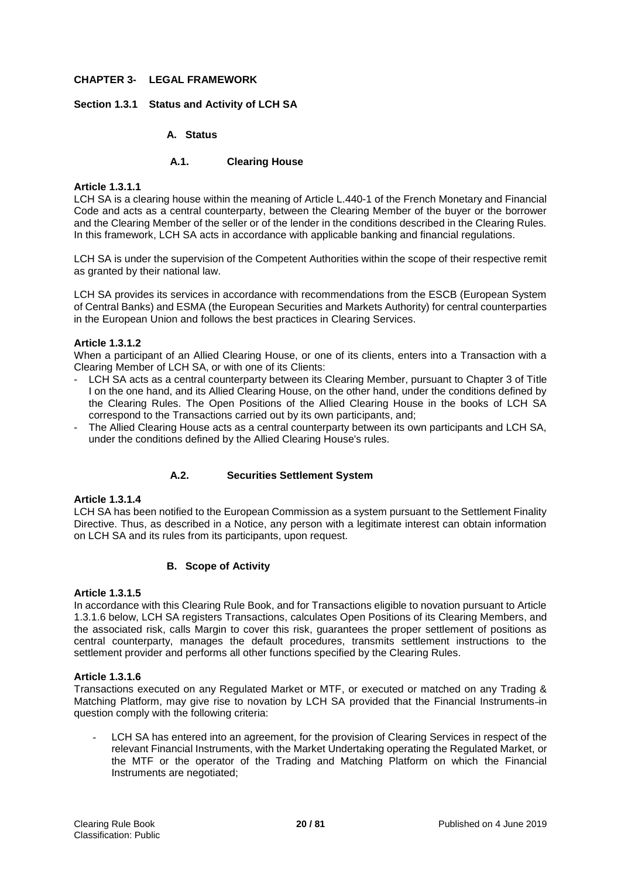# **CHAPTER 3- LEGAL FRAMEWORK**

# **Section 1.3.1 Status and Activity of LCH SA**

# **A. Status**

# **A.1. Clearing House**

# **Article 1.3.1.1**

LCH SA is a clearing house within the meaning of Article L.440-1 of the French Monetary and Financial Code and acts as a central counterparty, between the Clearing Member of the buyer or the borrower and the Clearing Member of the seller or of the lender in the conditions described in the Clearing Rules. In this framework, LCH SA acts in accordance with applicable banking and financial regulations.

LCH SA is under the supervision of the Competent Authorities within the scope of their respective remit as granted by their national law.

LCH SA provides its services in accordance with recommendations from the ESCB (European System of Central Banks) and ESMA (the European Securities and Markets Authority) for central counterparties in the European Union and follows the best practices in Clearing Services.

# **Article 1.3.1.2**

When a participant of an Allied Clearing House, or one of its clients, enters into a Transaction with a Clearing Member of LCH SA, or with one of its Clients:

- LCH SA acts as a central counterparty between its Clearing Member, pursuant to Chapter 3 of Title I on the one hand, and its Allied Clearing House, on the other hand, under the conditions defined by the Clearing Rules. The Open Positions of the Allied Clearing House in the books of LCH SA correspond to the Transactions carried out by its own participants, and;
- The Allied Clearing House acts as a central counterparty between its own participants and LCH SA, under the conditions defined by the Allied Clearing House's rules.

# **A.2. Securities Settlement System**

#### **Article 1.3.1.4**

LCH SA has been notified to the European Commission as a system pursuant to the Settlement Finality Directive. Thus, as described in a Notice, any person with a legitimate interest can obtain information on LCH SA and its rules from its participants, upon request.

# **B. Scope of Activity**

#### **Article 1.3.1.5**

In accordance with this Clearing Rule Book, and for Transactions eligible to novation pursuant to Article 1.3.1.6 below, LCH SA registers Transactions, calculates Open Positions of its Clearing Members, and the associated risk, calls Margin to cover this risk, guarantees the proper settlement of positions as central counterparty, manages the default procedures, transmits settlement instructions to the settlement provider and performs all other functions specified by the Clearing Rules.

# **Article 1.3.1.6**

Transactions executed on any Regulated Market or MTF, or executed or matched on any Trading & Matching Platform, may give rise to novation by LCH SA provided that the Financial Instruments-in question comply with the following criteria:

LCH SA has entered into an agreement, for the provision of Clearing Services in respect of the relevant Financial Instruments, with the Market Undertaking operating the Regulated Market, or the MTF or the operator of the Trading and Matching Platform on which the Financial Instruments are negotiated;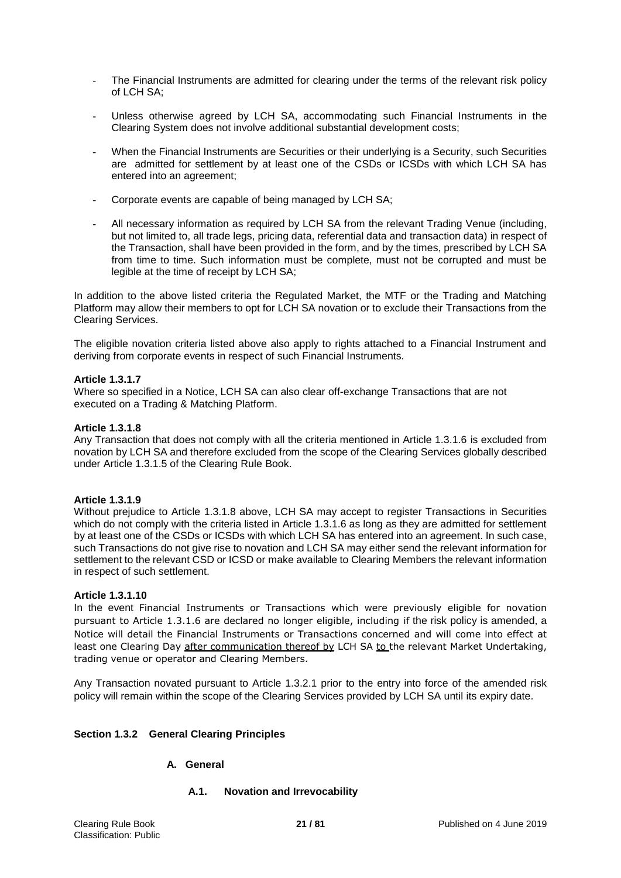- The Financial Instruments are admitted for clearing under the terms of the relevant risk policy of LCH SA;
- Unless otherwise agreed by LCH SA, accommodating such Financial Instruments in the Clearing System does not involve additional substantial development costs;
- When the Financial Instruments are Securities or their underlying is a Security, such Securities are admitted for settlement by at least one of the CSDs or ICSDs with which LCH SA has entered into an agreement;
- Corporate events are capable of being managed by LCH SA;
- All necessary information as required by LCH SA from the relevant Trading Venue (including, but not limited to, all trade legs, pricing data, referential data and transaction data) in respect of the Transaction, shall have been provided in the form, and by the times, prescribed by LCH SA from time to time. Such information must be complete, must not be corrupted and must be legible at the time of receipt by LCH SA;

In addition to the above listed criteria the Regulated Market, the MTF or the Trading and Matching Platform may allow their members to opt for LCH SA novation or to exclude their Transactions from the Clearing Services.

The eligible novation criteria listed above also apply to rights attached to a Financial Instrument and deriving from corporate events in respect of such Financial Instruments.

# **Article 1.3.1.7**

Where so specified in a Notice, LCH SA can also clear off-exchange Transactions that are not executed on a Trading & Matching Platform.

# **Article 1.3.1.8**

Any Transaction that does not comply with all the criteria mentioned in Article 1.3.1.6 is excluded from novation by LCH SA and therefore excluded from the scope of the Clearing Services globally described under Article 1.3.1.5 of the Clearing Rule Book.

#### **Article 1.3.1.9**

Without prejudice to Article 1.3.1.8 above, LCH SA may accept to register Transactions in Securities which do not comply with the criteria listed in Article 1.3.1.6 as long as they are admitted for settlement by at least one of the CSDs or ICSDs with which LCH SA has entered into an agreement. In such case, such Transactions do not give rise to novation and LCH SA may either send the relevant information for settlement to the relevant CSD or ICSD or make available to Clearing Members the relevant information in respect of such settlement.

#### **Article 1.3.1.10**

In the event Financial Instruments or Transactions which were previously eligible for novation pursuant to Article 1.3.1.6 are declared no longer eligible, including if the risk policy is amended, a Notice will detail the Financial Instruments or Transactions concerned and will come into effect at least one Clearing Day after communication thereof by LCH SA to the relevant Market Undertaking, trading venue or operator and Clearing Members.

Any Transaction novated pursuant to Article 1.3.2.1 prior to the entry into force of the amended risk policy will remain within the scope of the Clearing Services provided by LCH SA until its expiry date.

# **Section 1.3.2 General Clearing Principles**

# **A. General**

**A.1. Novation and Irrevocability**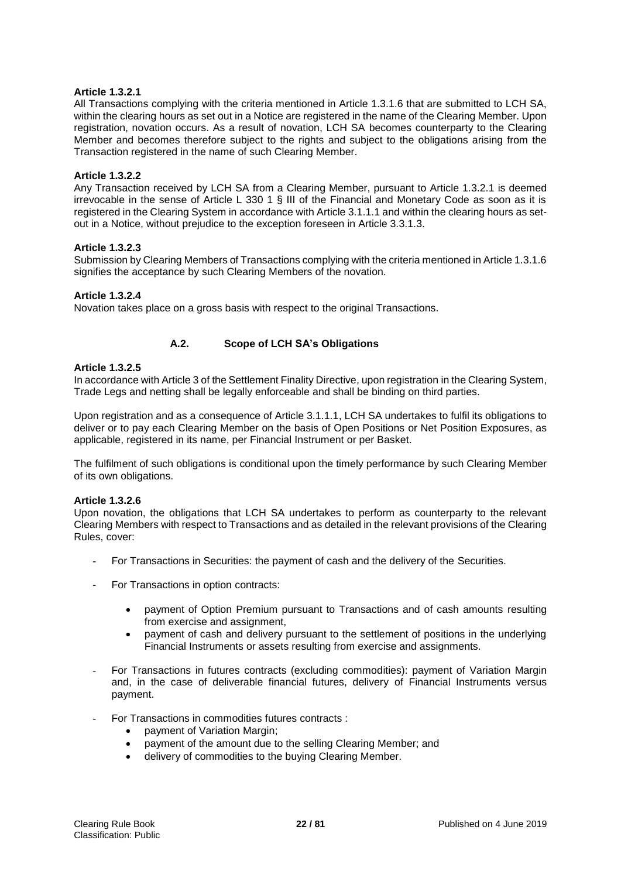# **Article 1.3.2.1**

All Transactions complying with the criteria mentioned in Article 1.3.1.6 that are submitted to LCH SA, within the clearing hours as set out in a Notice are registered in the name of the Clearing Member. Upon registration, novation occurs. As a result of novation, LCH SA becomes counterparty to the Clearing Member and becomes therefore subject to the rights and subject to the obligations arising from the Transaction registered in the name of such Clearing Member.

# **Article 1.3.2.2**

Any Transaction received by LCH SA from a Clearing Member, pursuant to Article 1.3.2.1 is deemed irrevocable in the sense of Article L 330 1 § III of the Financial and Monetary Code as soon as it is registered in the Clearing System in accordance with Article 3.1.1.1 and within the clearing hours as setout in a Notice, without prejudice to the exception foreseen in Article 3.3.1.3.

# **Article 1.3.2.3**

Submission by Clearing Members of Transactions complying with the criteria mentioned in Article 1.3.1.6 signifies the acceptance by such Clearing Members of the novation.

# **Article 1.3.2.4**

Novation takes place on a gross basis with respect to the original Transactions.

# **A.2. Scope of LCH SA's Obligations**

# **Article 1.3.2.5**

In accordance with Article 3 of the Settlement Finality Directive, upon registration in the Clearing System, Trade Legs and netting shall be legally enforceable and shall be binding on third parties.

Upon registration and as a consequence of Article 3.1.1.1, LCH SA undertakes to fulfil its obligations to deliver or to pay each Clearing Member on the basis of Open Positions or Net Position Exposures, as applicable, registered in its name, per Financial Instrument or per Basket.

The fulfilment of such obligations is conditional upon the timely performance by such Clearing Member of its own obligations.

# **Article 1.3.2.6**

Upon novation, the obligations that LCH SA undertakes to perform as counterparty to the relevant Clearing Members with respect to Transactions and as detailed in the relevant provisions of the Clearing Rules, cover:

- For Transactions in Securities: the payment of cash and the delivery of the Securities.
- For Transactions in option contracts:
	- payment of Option Premium pursuant to Transactions and of cash amounts resulting from exercise and assignment,
	- payment of cash and delivery pursuant to the settlement of positions in the underlying Financial Instruments or assets resulting from exercise and assignments.
- For Transactions in futures contracts (excluding commodities): payment of Variation Margin and, in the case of deliverable financial futures, delivery of Financial Instruments versus payment.
- For Transactions in commodities futures contracts :
	- payment of Variation Margin:
	- payment of the amount due to the selling Clearing Member; and
	- delivery of commodities to the buying Clearing Member.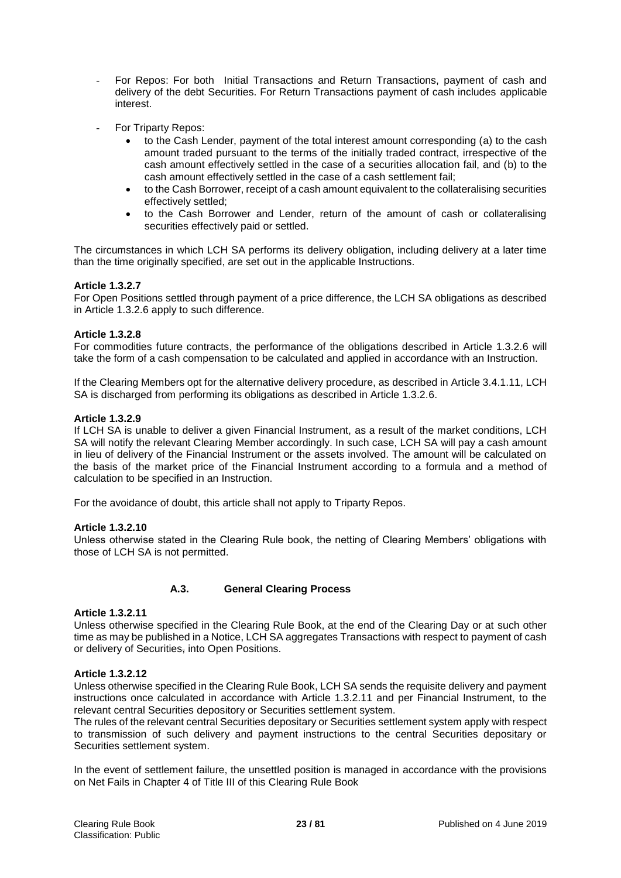- For Repos: For both Initial Transactions and Return Transactions, payment of cash and delivery of the debt Securities. For Return Transactions payment of cash includes applicable interest.
- For Triparty Repos:
	- to the Cash Lender, payment of the total interest amount corresponding (a) to the cash amount traded pursuant to the terms of the initially traded contract, irrespective of the cash amount effectively settled in the case of a securities allocation fail, and (b) to the cash amount effectively settled in the case of a cash settlement fail;
	- to the Cash Borrower, receipt of a cash amount equivalent to the collateralising securities effectively settled;
	- to the Cash Borrower and Lender, return of the amount of cash or collateralising securities effectively paid or settled.

The circumstances in which LCH SA performs its delivery obligation, including delivery at a later time than the time originally specified, are set out in the applicable Instructions.

# **Article 1.3.2.7**

For Open Positions settled through payment of a price difference, the LCH SA obligations as described in Article 1.3.2.6 apply to such difference.

# **Article 1.3.2.8**

For commodities future contracts, the performance of the obligations described in Article 1.3.2.6 will take the form of a cash compensation to be calculated and applied in accordance with an Instruction.

If the Clearing Members opt for the alternative delivery procedure, as described in Article 3.4.1.11, LCH SA is discharged from performing its obligations as described in Article 1.3.2.6.

# **Article 1.3.2.9**

If LCH SA is unable to deliver a given Financial Instrument, as a result of the market conditions, LCH SA will notify the relevant Clearing Member accordingly. In such case, LCH SA will pay a cash amount in lieu of delivery of the Financial Instrument or the assets involved. The amount will be calculated on the basis of the market price of the Financial Instrument according to a formula and a method of calculation to be specified in an Instruction.

For the avoidance of doubt, this article shall not apply to Triparty Repos.

#### **Article 1.3.2.10**

Unless otherwise stated in the Clearing Rule book, the netting of Clearing Members' obligations with those of LCH SA is not permitted.

# **A.3. General Clearing Process**

# **Article 1.3.2.11**

Unless otherwise specified in the Clearing Rule Book, at the end of the Clearing Day or at such other time as may be published in a Notice, LCH SA aggregates Transactions with respect to payment of cash or delivery of Securities, into Open Positions.

#### **Article 1.3.2.12**

Unless otherwise specified in the Clearing Rule Book, LCH SA sends the requisite delivery and payment instructions once calculated in accordance with Article 1.3.2.11 and per Financial Instrument, to the relevant central Securities depository or Securities settlement system.

The rules of the relevant central Securities depositary or Securities settlement system apply with respect to transmission of such delivery and payment instructions to the central Securities depositary or Securities settlement system.

In the event of settlement failure, the unsettled position is managed in accordance with the provisions on Net Fails in Chapter 4 of Title III of this Clearing Rule Book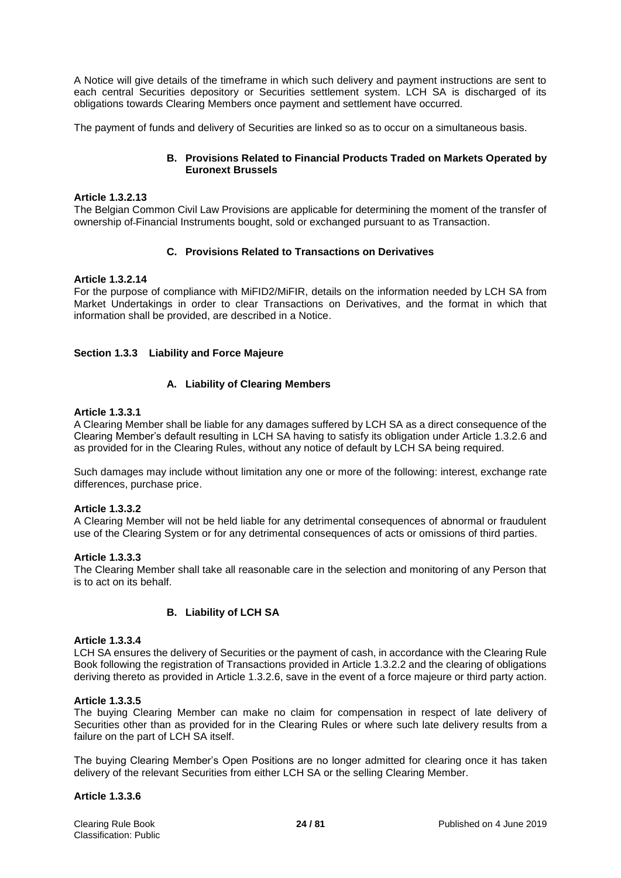A Notice will give details of the timeframe in which such delivery and payment instructions are sent to each central Securities depository or Securities settlement system. LCH SA is discharged of its obligations towards Clearing Members once payment and settlement have occurred.

The payment of funds and delivery of Securities are linked so as to occur on a simultaneous basis.

# **B. Provisions Related to Financial Products Traded on Markets Operated by Euronext Brussels**

# **Article 1.3.2.13**

The Belgian Common Civil Law Provisions are applicable for determining the moment of the transfer of ownership of Financial Instruments bought, sold or exchanged pursuant to as Transaction.

# **C. Provisions Related to Transactions on Derivatives**

# **Article 1.3.2.14**

For the purpose of compliance with MiFID2/MiFIR, details on the information needed by LCH SA from Market Undertakings in order to clear Transactions on Derivatives, and the format in which that information shall be provided, are described in a Notice.

# **Section 1.3.3 Liability and Force Majeure**

# **A. Liability of Clearing Members**

# **Article 1.3.3.1**

A Clearing Member shall be liable for any damages suffered by LCH SA as a direct consequence of the Clearing Member's default resulting in LCH SA having to satisfy its obligation under Article 1.3.2.6 and as provided for in the Clearing Rules, without any notice of default by LCH SA being required.

Such damages may include without limitation any one or more of the following: interest, exchange rate differences, purchase price.

#### **Article 1.3.3.2**

A Clearing Member will not be held liable for any detrimental consequences of abnormal or fraudulent use of the Clearing System or for any detrimental consequences of acts or omissions of third parties.

#### **Article 1.3.3.3**

The Clearing Member shall take all reasonable care in the selection and monitoring of any Person that is to act on its behalf.

#### **B. Liability of LCH SA**

#### **Article 1.3.3.4**

LCH SA ensures the delivery of Securities or the payment of cash, in accordance with the Clearing Rule Book following the registration of Transactions provided in Article 1.3.2.2 and the clearing of obligations deriving thereto as provided in Article 1.3.2.6, save in the event of a force majeure or third party action.

#### **Article 1.3.3.5**

The buying Clearing Member can make no claim for compensation in respect of late delivery of Securities other than as provided for in the Clearing Rules or where such late delivery results from a failure on the part of LCH SA itself.

The buying Clearing Member's Open Positions are no longer admitted for clearing once it has taken delivery of the relevant Securities from either LCH SA or the selling Clearing Member.

# **Article 1.3.3.6**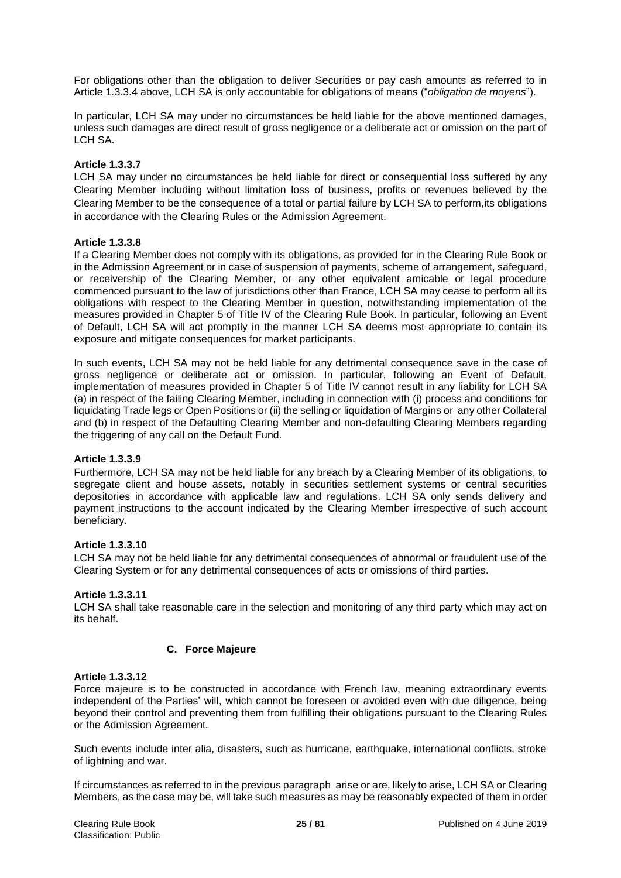For obligations other than the obligation to deliver Securities or pay cash amounts as referred to in Article 1.3.3.4 above, LCH SA is only accountable for obligations of means ("*obligation de moyens*").

In particular, LCH SA may under no circumstances be held liable for the above mentioned damages, unless such damages are direct result of gross negligence or a deliberate act or omission on the part of LCH SA.

# **Article 1.3.3.7**

LCH SA may under no circumstances be held liable for direct or consequential loss suffered by any Clearing Member including without limitation loss of business, profits or revenues believed by the Clearing Member to be the consequence of a total or partial failure by LCH SA to perform,its obligations in accordance with the Clearing Rules or the Admission Agreement.

#### **Article 1.3.3.8**

If a Clearing Member does not comply with its obligations, as provided for in the Clearing Rule Book or in the Admission Agreement or in case of suspension of payments, scheme of arrangement, safeguard, or receivership of the Clearing Member, or any other equivalent amicable or legal procedure commenced pursuant to the law of jurisdictions other than France, LCH SA may cease to perform all its obligations with respect to the Clearing Member in question, notwithstanding implementation of the measures provided in Chapter 5 of Title IV of the Clearing Rule Book. In particular, following an Event of Default, LCH SA will act promptly in the manner LCH SA deems most appropriate to contain its exposure and mitigate consequences for market participants.

In such events, LCH SA may not be held liable for any detrimental consequence save in the case of gross negligence or deliberate act or omission. In particular, following an Event of Default, implementation of measures provided in Chapter 5 of Title IV cannot result in any liability for LCH SA (a) in respect of the failing Clearing Member, including in connection with (i) process and conditions for liquidating Trade legs or Open Positions or (ii) the selling or liquidation of Margins or any other Collateral and (b) in respect of the Defaulting Clearing Member and non-defaulting Clearing Members regarding the triggering of any call on the Default Fund.

#### **Article 1.3.3.9**

Furthermore, LCH SA may not be held liable for any breach by a Clearing Member of its obligations, to segregate client and house assets, notably in securities settlement systems or central securities depositories in accordance with applicable law and regulations. LCH SA only sends delivery and payment instructions to the account indicated by the Clearing Member irrespective of such account beneficiary.

#### **Article 1.3.3.10**

LCH SA may not be held liable for any detrimental consequences of abnormal or fraudulent use of the Clearing System or for any detrimental consequences of acts or omissions of third parties.

#### **Article 1.3.3.11**

LCH SA shall take reasonable care in the selection and monitoring of any third party which may act on its behalf.

# **C. Force Majeure**

#### **Article 1.3.3.12**

Force majeure is to be constructed in accordance with French law, meaning extraordinary events independent of the Parties' will, which cannot be foreseen or avoided even with due diligence, being beyond their control and preventing them from fulfilling their obligations pursuant to the Clearing Rules or the Admission Agreement.

Such events include inter alia, disasters, such as hurricane, earthquake, international conflicts, stroke of lightning and war.

If circumstances as referred to in the previous paragraph arise or are, likely to arise, LCH SA or Clearing Members, as the case may be, will take such measures as may be reasonably expected of them in order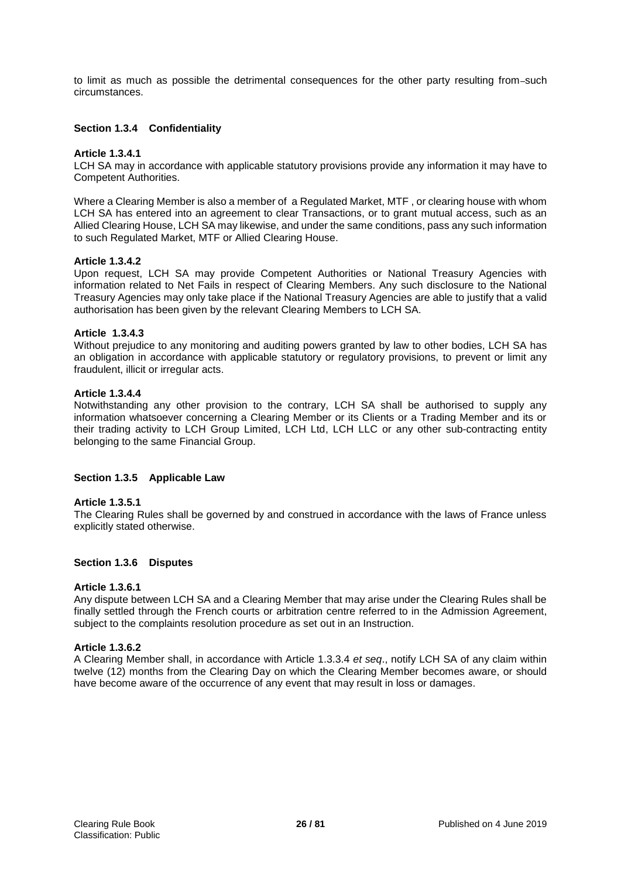to limit as much as possible the detrimental consequences for the other party resulting from-such circumstances.

# **Section 1.3.4 Confidentiality**

# **Article 1.3.4.1**

LCH SA may in accordance with applicable statutory provisions provide any information it may have to Competent Authorities.

Where a Clearing Member is also a member of a Regulated Market, MTF , or clearing house with whom LCH SA has entered into an agreement to clear Transactions, or to grant mutual access, such as an Allied Clearing House, LCH SA may likewise, and under the same conditions, pass any such information to such Regulated Market, MTF or Allied Clearing House.

# **Article 1.3.4.2**

Upon request, LCH SA may provide Competent Authorities or National Treasury Agencies with information related to Net Fails in respect of Clearing Members. Any such disclosure to the National Treasury Agencies may only take place if the National Treasury Agencies are able to justify that a valid authorisation has been given by the relevant Clearing Members to LCH SA.

#### **Article 1.3.4.3**

Without prejudice to any monitoring and auditing powers granted by law to other bodies. LCH SA has an obligation in accordance with applicable statutory or regulatory provisions, to prevent or limit any fraudulent, illicit or irregular acts.

# **Article 1.3.4.4**

Notwithstanding any other provision to the contrary, LCH SA shall be authorised to supply any information whatsoever concerning a Clearing Member or its Clients or a Trading Member and its or their trading activity to LCH Group Limited, LCH Ltd, LCH LLC or any other sub-contracting entity belonging to the same Financial Group.

#### **Section 1.3.5 Applicable Law**

# **Article 1.3.5.1**

The Clearing Rules shall be governed by and construed in accordance with the laws of France unless explicitly stated otherwise.

#### **Section 1.3.6 Disputes**

#### **Article 1.3.6.1**

Any dispute between LCH SA and a Clearing Member that may arise under the Clearing Rules shall be finally settled through the French courts or arbitration centre referred to in the Admission Agreement, subject to the complaints resolution procedure as set out in an Instruction.

#### **Article 1.3.6.2**

A Clearing Member shall, in accordance with Article 1.3.3.4 *et seq*., notify LCH SA of any claim within twelve (12) months from the Clearing Day on which the Clearing Member becomes aware, or should have become aware of the occurrence of any event that may result in loss or damages.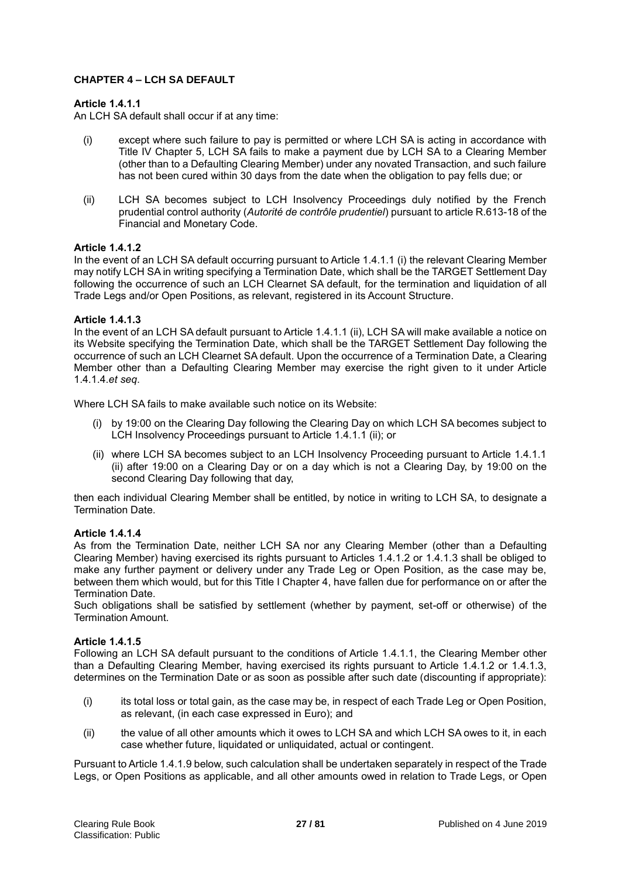# **CHAPTER 4 – LCH SA DEFAULT**

# **Article 1.4.1.1**

An LCH SA default shall occur if at any time:

- (i) except where such failure to pay is permitted or where LCH SA is acting in accordance with Title IV Chapter 5, LCH SA fails to make a payment due by LCH SA to a Clearing Member (other than to a Defaulting Clearing Member) under any novated Transaction, and such failure has not been cured within 30 days from the date when the obligation to pay fells due; or
- (ii) LCH SA becomes subject to LCH Insolvency Proceedings duly notified by the French prudential control authority (*Autorité de contrôle prudentiel*) pursuant to article R.613-18 of the Financial and Monetary Code.

# **Article 1.4.1.2**

In the event of an LCH SA default occurring pursuant to Article 1.4.1.1 (i) the relevant Clearing Member may notify LCH SA in writing specifying a Termination Date, which shall be the TARGET Settlement Day following the occurrence of such an LCH Clearnet SA default, for the termination and liquidation of all Trade Legs and/or Open Positions, as relevant, registered in its Account Structure.

# **Article 1.4.1.3**

In the event of an LCH SA default pursuant to Article 1.4.1.1 (ii), LCH SA will make available a notice on its Website specifying the Termination Date, which shall be the TARGET Settlement Day following the occurrence of such an LCH Clearnet SA default. Upon the occurrence of a Termination Date, a Clearing Member other than a Defaulting Clearing Member may exercise the right given to it under Article 1.4.1.4.*et seq*.

Where LCH SA fails to make available such notice on its Website:

- (i) by 19:00 on the Clearing Day following the Clearing Day on which LCH SA becomes subject to LCH Insolvency Proceedings pursuant to Article 1.4.1.1 (ii); or
- (ii) where LCH SA becomes subject to an LCH Insolvency Proceeding pursuant to Article 1.4.1.1 (ii) after 19:00 on a Clearing Day or on a day which is not a Clearing Day, by 19:00 on the second Clearing Day following that day,

then each individual Clearing Member shall be entitled, by notice in writing to LCH SA, to designate a Termination Date.

#### **Article 1.4.1.4**

As from the Termination Date, neither LCH SA nor any Clearing Member (other than a Defaulting Clearing Member) having exercised its rights pursuant to Articles 1.4.1.2 or 1.4.1.3 shall be obliged to make any further payment or delivery under any Trade Leg or Open Position, as the case may be, between them which would, but for this Title I Chapter 4, have fallen due for performance on or after the Termination Date.

Such obligations shall be satisfied by settlement (whether by payment, set-off or otherwise) of the Termination Amount.

#### **Article 1.4.1.5**

Following an LCH SA default pursuant to the conditions of Article 1.4.1.1, the Clearing Member other than a Defaulting Clearing Member, having exercised its rights pursuant to Article 1.4.1.2 or 1.4.1.3, determines on the Termination Date or as soon as possible after such date (discounting if appropriate):

- (i) its total loss or total gain, as the case may be, in respect of each Trade Leg or Open Position, as relevant, (in each case expressed in Euro); and
- (ii) the value of all other amounts which it owes to LCH SA and which LCH SA owes to it, in each case whether future, liquidated or unliquidated, actual or contingent.

Pursuant to Article 1.4.1.9 below, such calculation shall be undertaken separately in respect of the Trade Legs, or Open Positions as applicable, and all other amounts owed in relation to Trade Legs, or Open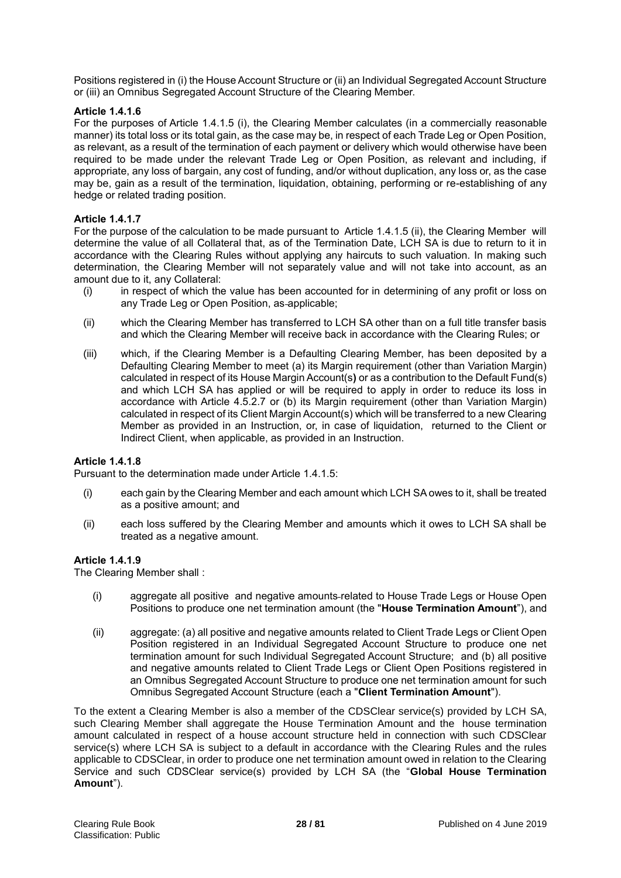Positions registered in (i) the House Account Structure or (ii) an Individual Segregated Account Structure or (iii) an Omnibus Segregated Account Structure of the Clearing Member.

# **Article 1.4.1.6**

For the purposes of Article 1.4.1.5 (i), the Clearing Member calculates (in a commercially reasonable manner) its total loss or its total gain, as the case may be, in respect of each Trade Leg or Open Position, as relevant, as a result of the termination of each payment or delivery which would otherwise have been required to be made under the relevant Trade Leg or Open Position, as relevant and including, if appropriate, any loss of bargain, any cost of funding, and/or without duplication, any loss or, as the case may be, gain as a result of the termination, liquidation, obtaining, performing or re-establishing of any hedge or related trading position.

# **Article 1.4.1.7**

For the purpose of the calculation to be made pursuant to Article 1.4.1.5 (ii), the Clearing Member will determine the value of all Collateral that, as of the Termination Date, LCH SA is due to return to it in accordance with the Clearing Rules without applying any haircuts to such valuation. In making such determination, the Clearing Member will not separately value and will not take into account, as an amount due to it, any Collateral:

- (i) in respect of which the value has been accounted for in determining of any profit or loss on any Trade Leg or Open Position, as applicable;
- (ii) which the Clearing Member has transferred to LCH SA other than on a full title transfer basis and which the Clearing Member will receive back in accordance with the Clearing Rules; or
- (iii) which, if the Clearing Member is a Defaulting Clearing Member, has been deposited by a Defaulting Clearing Member to meet (a) its Margin requirement (other than Variation Margin) calculated in respect of its House Margin Account(s**)** or as a contribution to the Default Fund(s) and which LCH SA has applied or will be required to apply in order to reduce its loss in accordance with Article 4.5.2.7 or (b) its Margin requirement (other than Variation Margin) calculated in respect of its Client Margin Account(s) which will be transferred to a new Clearing Member as provided in an Instruction, or, in case of liquidation, returned to the Client or Indirect Client, when applicable, as provided in an Instruction.

#### **Article 1.4.1.8**

Pursuant to the determination made under Article 1.4.1.5:

- (i) each gain by the Clearing Member and each amount which LCH SA owes to it, shall be treated as a positive amount; and
- (ii) each loss suffered by the Clearing Member and amounts which it owes to LCH SA shall be treated as a negative amount.

# **Article 1.4.1.9**

The Clearing Member shall :

- (i) aggregate all positive and negative amounts related to House Trade Legs or House Open Positions to produce one net termination amount (the "**House Termination Amount**"), and
- (ii) aggregate: (a) all positive and negative amounts related to Client Trade Legs or Client Open Position registered in an Individual Segregated Account Structure to produce one net termination amount for such Individual Segregated Account Structure; and (b) all positive and negative amounts related to Client Trade Legs or Client Open Positions registered in an Omnibus Segregated Account Structure to produce one net termination amount for such Omnibus Segregated Account Structure (each a "**Client Termination Amount**").

To the extent a Clearing Member is also a member of the CDSClear service(s) provided by LCH SA, such Clearing Member shall aggregate the House Termination Amount and the house termination amount calculated in respect of a house account structure held in connection with such CDSClear service(s) where LCH SA is subject to a default in accordance with the Clearing Rules and the rules applicable to CDSClear, in order to produce one net termination amount owed in relation to the Clearing Service and such CDSClear service(s) provided by LCH SA (the "**Global House Termination Amount**").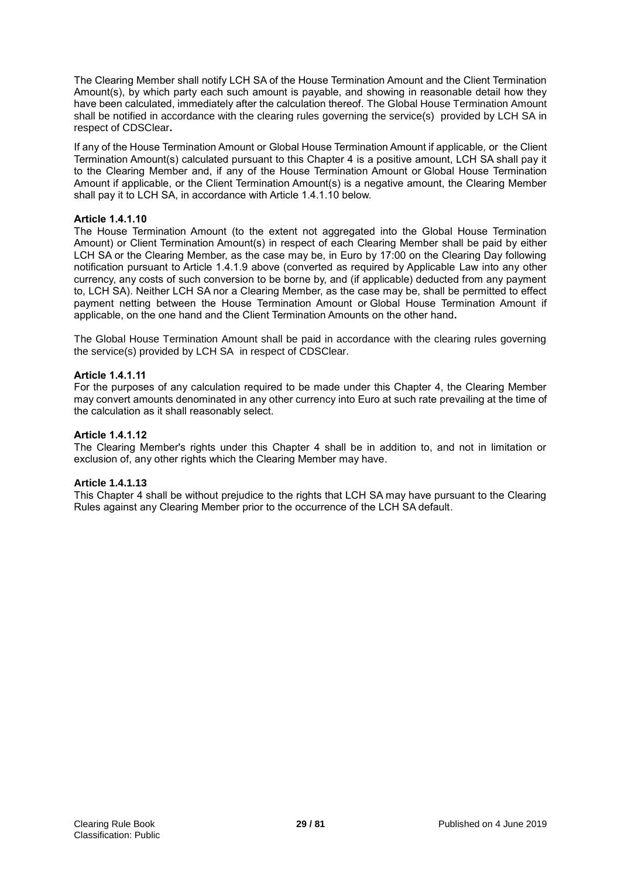The Clearing Member shall notify LCH SA of the House Termination Amount and the Client Termination Amount(s), by which party each such amount is payable, and showing in reasonable detail how they have been calculated, immediately after the calculation thereof. The Global House Termination Amount shall be notified in accordance with the clearing rules governing the service(s) provided by LCH SA in respect of CDSClear**.**

If any of the House Termination Amount or Global House Termination Amount if applicable*,* or the Client Termination Amount(s) calculated pursuant to this Chapter 4 is a positive amount, LCH SA shall pay it to the Clearing Member and, if any of the House Termination Amount or Global House Termination Amount if applicable, or the Client Termination Amount(s) is a negative amount, the Clearing Member shall pay it to LCH SA, in accordance with Article 1.4.1.10 below.

# **Article 1.4.1.10**

The House Termination Amount (to the extent not aggregated into the Global House Termination Amount) or Client Termination Amount(s) in respect of each Clearing Member shall be paid by either LCH SA or the Clearing Member, as the case may be, in Euro by 17:00 on the Clearing Day following notification pursuant to Article 1.4.1.9 above (converted as required by Applicable Law into any other currency, any costs of such conversion to be borne by, and (if applicable) deducted from any payment to, LCH SA). Neither LCH SA nor a Clearing Member, as the case may be, shall be permitted to effect payment netting between the House Termination Amount or Global House Termination Amount if applicable, on the one hand and the Client Termination Amounts on the other hand**.**

The Global House Termination Amount shall be paid in accordance with the clearing rules governing the service(s) provided by LCH SA in respect of CDSClear.

# **Article 1.4.1.11**

For the purposes of any calculation required to be made under this Chapter 4, the Clearing Member may convert amounts denominated in any other currency into Euro at such rate prevailing at the time of the calculation as it shall reasonably select.

# **Article 1.4.1.12**

The Clearing Member's rights under this Chapter 4 shall be in addition to, and not in limitation or exclusion of, any other rights which the Clearing Member may have.

#### **Article 1.4.1.13**

This Chapter 4 shall be without prejudice to the rights that LCH SA may have pursuant to the Clearing Rules against any Clearing Member prior to the occurrence of the LCH SA default.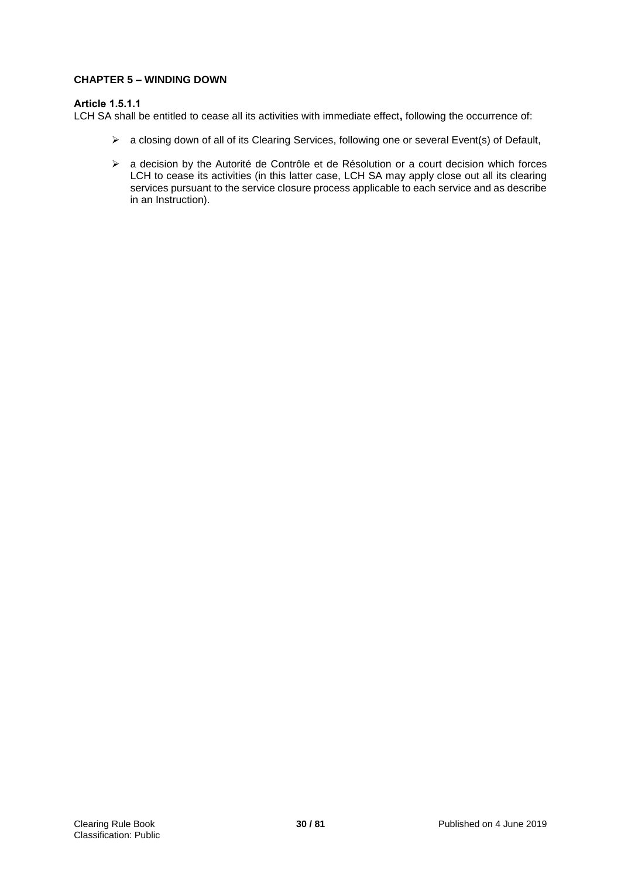# **CHAPTER 5 – WINDING DOWN**

# **Article 1.5.1.1**

LCH SA shall be entitled to cease all its activities with immediate effect**,** following the occurrence of:

- a closing down of all of its Clearing Services, following one or several Event(s) of Default,
- a decision by the Autorité de Contrôle et de Résolution or a court decision which forces LCH to cease its activities (in this latter case, LCH SA may apply close out all its clearing services pursuant to the service closure process applicable to each service and as describe in an Instruction).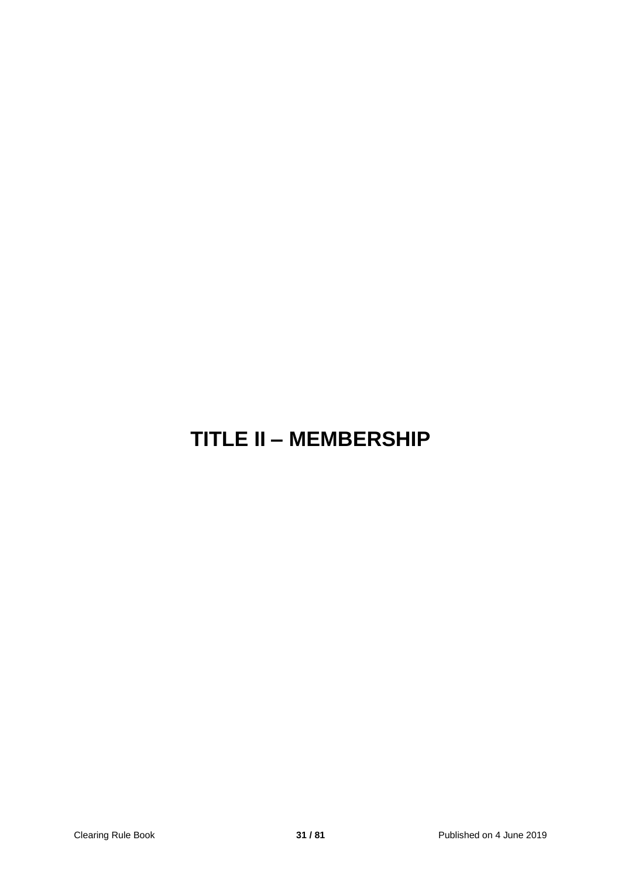# **TITLE II – MEMBERSHIP**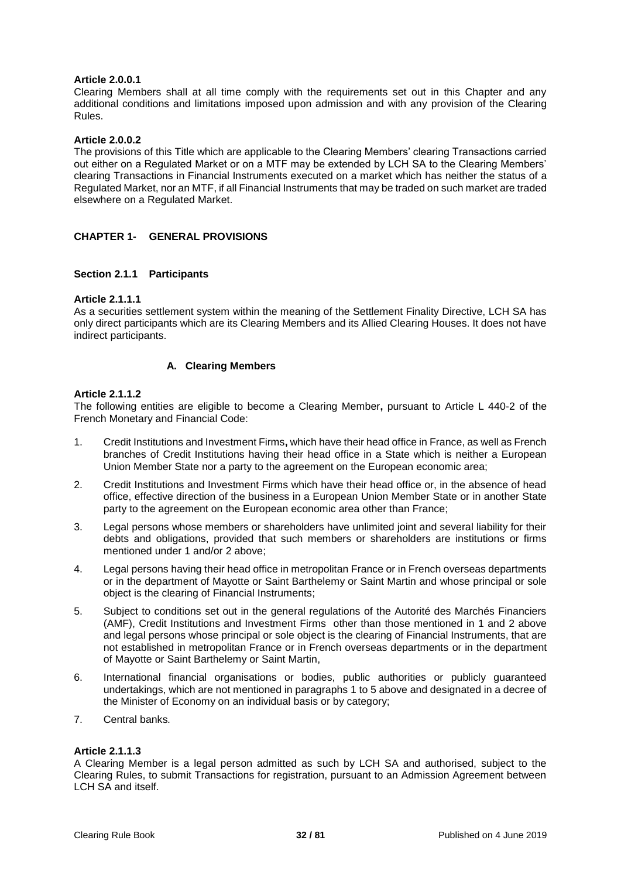# **Article 2.0.0.1**

Clearing Members shall at all time comply with the requirements set out in this Chapter and any additional conditions and limitations imposed upon admission and with any provision of the Clearing Rules.

# **Article 2.0.0.2**

The provisions of this Title which are applicable to the Clearing Members' clearing Transactions carried out either on a Regulated Market or on a MTF may be extended by LCH SA to the Clearing Members' clearing Transactions in Financial Instruments executed on a market which has neither the status of a Regulated Market, nor an MTF, if all Financial Instruments that may be traded on such market are traded elsewhere on a Regulated Market.

# **CHAPTER 1- GENERAL PROVISIONS**

#### **Section 2.1.1 Participants**

# **Article 2.1.1.1**

As a securities settlement system within the meaning of the Settlement Finality Directive, LCH SA has only direct participants which are its Clearing Members and its Allied Clearing Houses. It does not have indirect participants.

# **A. Clearing Members**

#### **Article 2.1.1.2**

The following entities are eligible to become a Clearing Member**,** pursuant to Article L 440-2 of the French Monetary and Financial Code:

- 1. Credit Institutions and Investment Firms**,** which have their head office in France, as well as French branches of Credit Institutions having their head office in a State which is neither a European Union Member State nor a party to the agreement on the European economic area;
- 2. Credit Institutions and Investment Firms which have their head office or, in the absence of head office, effective direction of the business in a European Union Member State or in another State party to the agreement on the European economic area other than France;
- 3. Legal persons whose members or shareholders have unlimited joint and several liability for their debts and obligations, provided that such members or shareholders are institutions or firms mentioned under 1 and/or 2 above;
- 4. Legal persons having their head office in metropolitan France or in French overseas departments or in the department of Mayotte or Saint Barthelemy or Saint Martin and whose principal or sole object is the clearing of Financial Instruments;
- 5. Subject to conditions set out in the general regulations of the Autorité des Marchés Financiers (AMF), Credit Institutions and Investment Firms other than those mentioned in 1 and 2 above and legal persons whose principal or sole object is the clearing of Financial Instruments, that are not established in metropolitan France or in French overseas departments or in the department of Mayotte or Saint Barthelemy or Saint Martin,
- 6. International financial organisations or bodies, public authorities or publicly guaranteed undertakings, which are not mentioned in paragraphs 1 to 5 above and designated in a decree of the Minister of Economy on an individual basis or by category;
- 7. Central banks*.*

#### **Article 2.1.1.3**

A Clearing Member is a legal person admitted as such by LCH SA and authorised, subject to the Clearing Rules, to submit Transactions for registration, pursuant to an Admission Agreement between LCH SA and itself.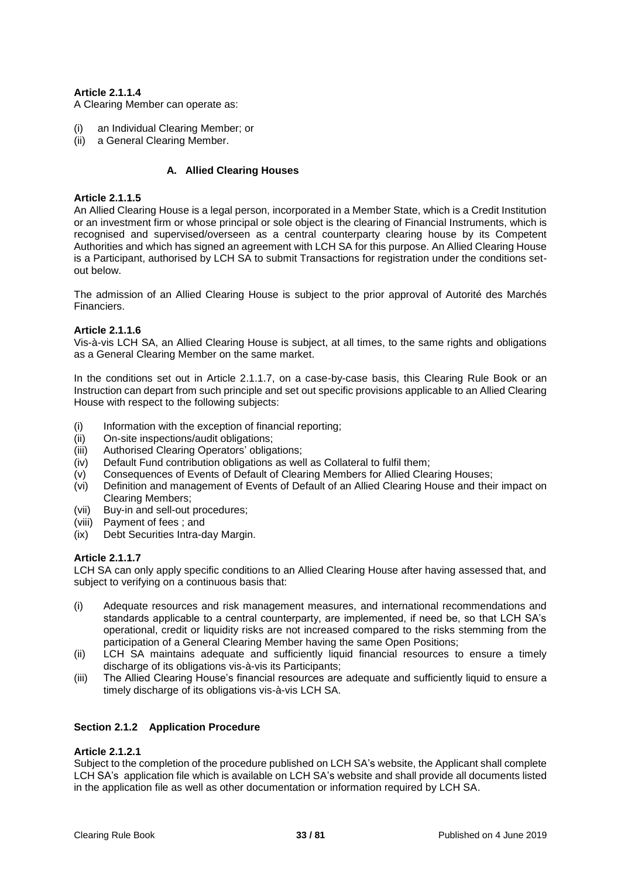# **Article 2.1.1.4**

A Clearing Member can operate as:

- (i) an Individual Clearing Member; or
- (i) an individual Clearing Member.<br>(ii) a General Clearing Member.

# **A. Allied Clearing Houses**

# **Article 2.1.1.5**

An Allied Clearing House is a legal person, incorporated in a Member State, which is a Credit Institution or an investment firm or whose principal or sole object is the clearing of Financial Instruments, which is recognised and supervised/overseen as a central counterparty clearing house by its Competent Authorities and which has signed an agreement with LCH SA for this purpose. An Allied Clearing House is a Participant, authorised by LCH SA to submit Transactions for registration under the conditions setout below.

The admission of an Allied Clearing House is subject to the prior approval of Autorité des Marchés Financiers.

# **Article 2.1.1.6**

Vis-à-vis LCH SA, an Allied Clearing House is subject, at all times, to the same rights and obligations as a General Clearing Member on the same market.

In the conditions set out in Article 2.1.1.7, on a case-by-case basis, this Clearing Rule Book or an Instruction can depart from such principle and set out specific provisions applicable to an Allied Clearing House with respect to the following subjects:

- (i) Information with the exception of financial reporting;
- (ii) On-site inspections/audit obligations;
- (iii) Authorised Clearing Operators' obligations;
- (iv) Default Fund contribution obligations as well as Collateral to fulfil them;
- (v) Consequences of Events of Default of Clearing Members for Allied Clearing Houses;
- (vi) Definition and management of Events of Default of an Allied Clearing House and their impact on Clearing Members;
- (vii) Buy-in and sell-out procedures;
- (viii) Payment of fees ; and
- (ix) Debt Securities Intra-day Margin.

# **Article 2.1.1.7**

LCH SA can only apply specific conditions to an Allied Clearing House after having assessed that, and subject to verifying on a continuous basis that:

- (i) Adequate resources and risk management measures, and international recommendations and standards applicable to a central counterparty, are implemented, if need be, so that LCH SA's operational, credit or liquidity risks are not increased compared to the risks stemming from the participation of a General Clearing Member having the same Open Positions;
- (ii) LCH SA maintains adequate and sufficiently liquid financial resources to ensure a timely discharge of its obligations vis-à-vis its Participants;
- (iii) The Allied Clearing House's financial resources are adequate and sufficiently liquid to ensure a timely discharge of its obligations vis-à-vis LCH SA.

# **Section 2.1.2 Application Procedure**

#### **Article 2.1.2.1**

Subject to the completion of the procedure published on LCH SA's website, the Applicant shall complete LCH SA's application file which is available on LCH SA's website and shall provide all documents listed in the application file as well as other documentation or information required by LCH SA.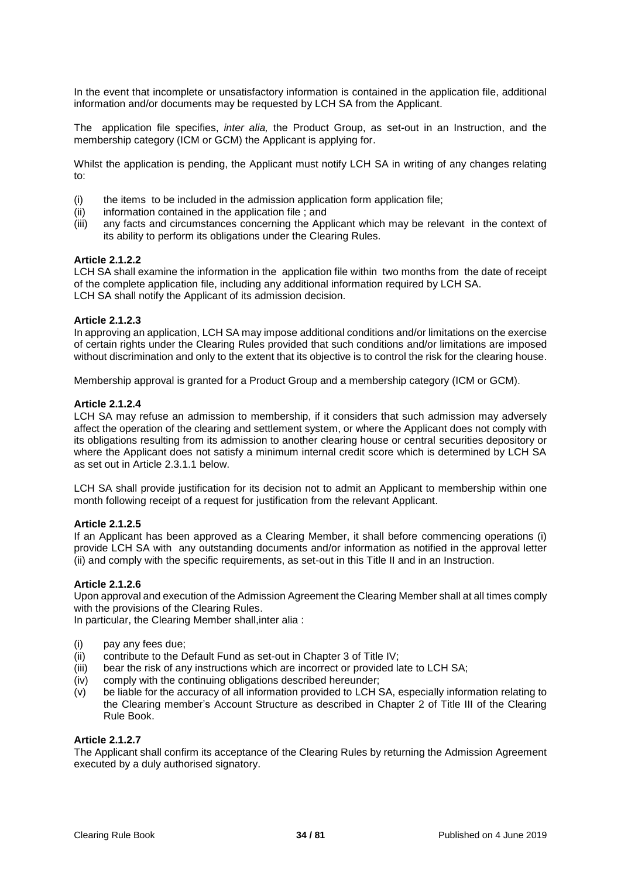In the event that incomplete or unsatisfactory information is contained in the application file, additional information and/or documents may be requested by LCH SA from the Applicant.

The application file specifies, *inter alia,* the Product Group, as set-out in an Instruction, and the membership category (ICM or GCM) the Applicant is applying for.

Whilst the application is pending, the Applicant must notify LCH SA in writing of any changes relating to:

- (i) the items to be included in the admission application form application file;
- (ii) information contained in the application file ; and
- (iii) any facts and circumstances concerning the Applicant which may be relevant in the context of its ability to perform its obligations under the Clearing Rules.

#### **Article 2.1.2.2**

LCH SA shall examine the information in the application file within two months from the date of receipt of the complete application file, including any additional information required by LCH SA. LCH SA shall notify the Applicant of its admission decision.

#### **Article 2.1.2.3**

In approving an application, LCH SA may impose additional conditions and/or limitations on the exercise of certain rights under the Clearing Rules provided that such conditions and/or limitations are imposed without discrimination and only to the extent that its objective is to control the risk for the clearing house.

Membership approval is granted for a Product Group and a membership category (ICM or GCM).

#### **Article 2.1.2.4**

LCH SA may refuse an admission to membership, if it considers that such admission may adversely affect the operation of the clearing and settlement system, or where the Applicant does not comply with its obligations resulting from its admission to another clearing house or central securities depository or where the Applicant does not satisfy a minimum internal credit score which is determined by LCH SA as set out in Article 2.3.1.1 below.

LCH SA shall provide justification for its decision not to admit an Applicant to membership within one month following receipt of a request for justification from the relevant Applicant.

#### **Article 2.1.2.5**

If an Applicant has been approved as a Clearing Member, it shall before commencing operations (i) provide LCH SA with any outstanding documents and/or information as notified in the approval letter (ii) and comply with the specific requirements, as set-out in this Title II and in an Instruction.

#### **Article 2.1.2.6**

Upon approval and execution of the Admission Agreement the Clearing Member shall at all times comply with the provisions of the Clearing Rules.

In particular, the Clearing Member shall,inter alia :

- (i) pay any fees due;
- (ii) contribute to the Default Fund as set-out in Chapter 3 of Title IV;
- $(iii)$  bear the risk of any instructions which are incorrect or provided late to LCH SA;
- (iv) comply with the continuing obligations described hereunder;
- (v) be liable for the accuracy of all information provided to LCH SA, especially information relating to the Clearing member's Account Structure as described in Chapter 2 of Title III of the Clearing Rule Book.

#### **Article 2.1.2.7**

The Applicant shall confirm its acceptance of the Clearing Rules by returning the Admission Agreement executed by a duly authorised signatory.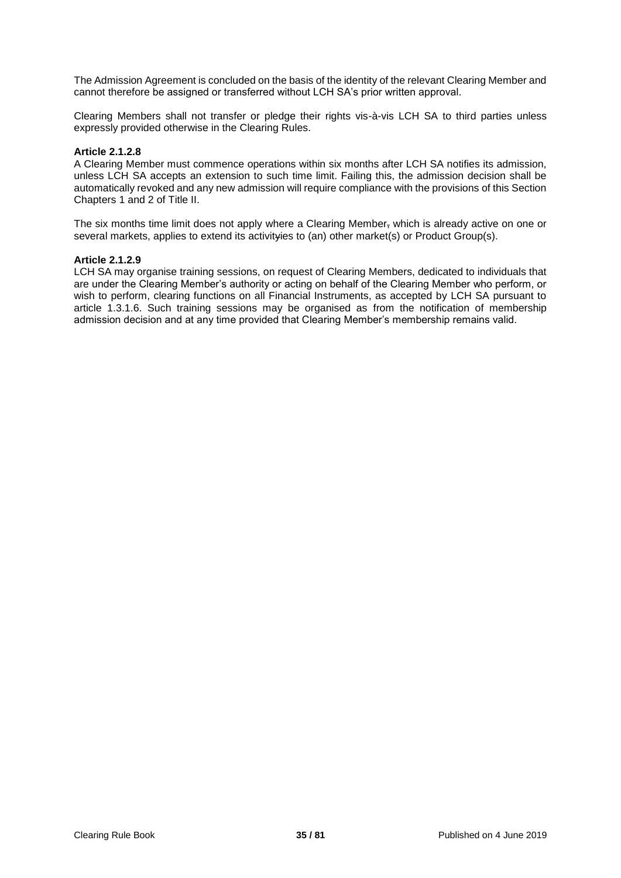The Admission Agreement is concluded on the basis of the identity of the relevant Clearing Member and cannot therefore be assigned or transferred without LCH SA's prior written approval.

Clearing Members shall not transfer or pledge their rights vis-à-vis LCH SA to third parties unless expressly provided otherwise in the Clearing Rules.

#### **Article 2.1.2.8**

A Clearing Member must commence operations within six months after LCH SA notifies its admission, unless LCH SA accepts an extension to such time limit. Failing this, the admission decision shall be automatically revoked and any new admission will require compliance with the provisions of this Section Chapters 1 and 2 of Title II.

The six months time limit does not apply where a Clearing Member, which is already active on one or several markets, applies to extend its activityies to (an) other market(s) or Product Group(s).

#### **Article 2.1.2.9**

LCH SA may organise training sessions, on request of Clearing Members, dedicated to individuals that are under the Clearing Member's authority or acting on behalf of the Clearing Member who perform, or wish to perform, clearing functions on all Financial Instruments, as accepted by LCH SA pursuant to article 1.3.1.6. Such training sessions may be organised as from the notification of membership admission decision and at any time provided that Clearing Member's membership remains valid.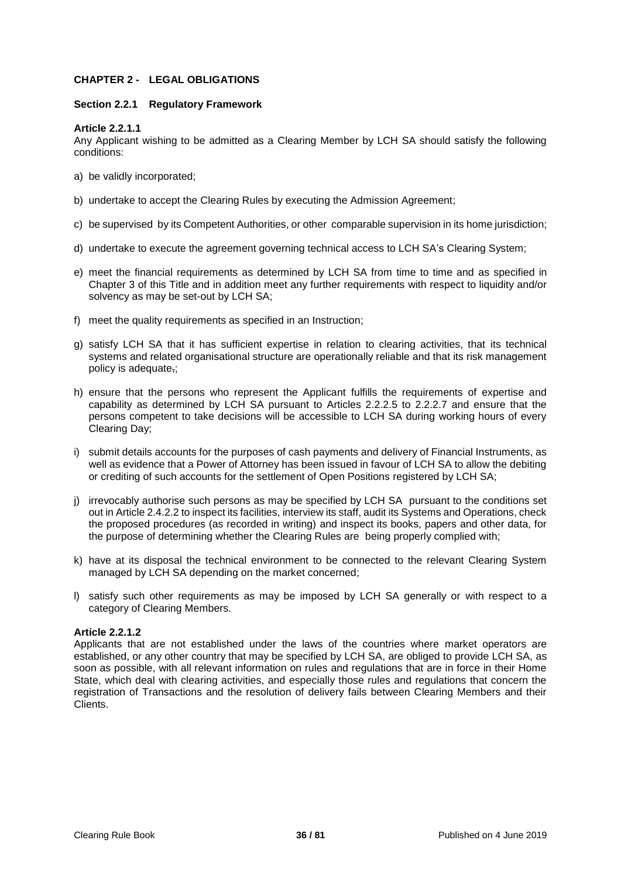# **CHAPTER 2 - LEGAL OBLIGATIONS**

# **Section 2.2.1 Regulatory Framework**

# **Article 2.2.1.1**

Any Applicant wishing to be admitted as a Clearing Member by LCH SA should satisfy the following conditions:

- a) be validly incorporated;
- b) undertake to accept the Clearing Rules by executing the Admission Agreement;
- c) be supervised by its Competent Authorities, or other comparable supervision in its home jurisdiction;
- d) undertake to execute the agreement governing technical access to LCH SA's Clearing System;
- e) meet the financial requirements as determined by LCH SA from time to time and as specified in Chapter 3 of this Title and in addition meet any further requirements with respect to liquidity and/or solvency as may be set-out by LCH SA;
- f) meet the quality requirements as specified in an Instruction;
- g) satisfy LCH SA that it has sufficient expertise in relation to clearing activities, that its technical systems and related organisational structure are operationally reliable and that its risk management policy is adequate,;
- h) ensure that the persons who represent the Applicant fulfills the requirements of expertise and capability as determined by LCH SA pursuant to Articles 2.2.2.5 to 2.2.2.7 and ensure that the persons competent to take decisions will be accessible to LCH SA during working hours of every Clearing Day;
- i) submit details accounts for the purposes of cash payments and delivery of Financial Instruments, as well as evidence that a Power of Attorney has been issued in favour of LCH SA to allow the debiting or crediting of such accounts for the settlement of Open Positions registered by LCH SA;
- j) irrevocably authorise such persons as may be specified by LCH SA pursuant to the conditions set out in Article 2.4.2.2 to inspect its facilities, interview its staff, audit its Systems and Operations, check the proposed procedures (as recorded in writing) and inspect its books, papers and other data, for the purpose of determining whether the Clearing Rules are being properly complied with;
- k) have at its disposal the technical environment to be connected to the relevant Clearing System managed by LCH SA depending on the market concerned;
- l) satisfy such other requirements as may be imposed by LCH SA generally or with respect to a category of Clearing Members.

# **Article 2.2.1.2**

Applicants that are not established under the laws of the countries where market operators are established, or any other country that may be specified by LCH SA, are obliged to provide LCH SA, as soon as possible, with all relevant information on rules and regulations that are in force in their Home State, which deal with clearing activities, and especially those rules and regulations that concern the registration of Transactions and the resolution of delivery fails between Clearing Members and their Clients.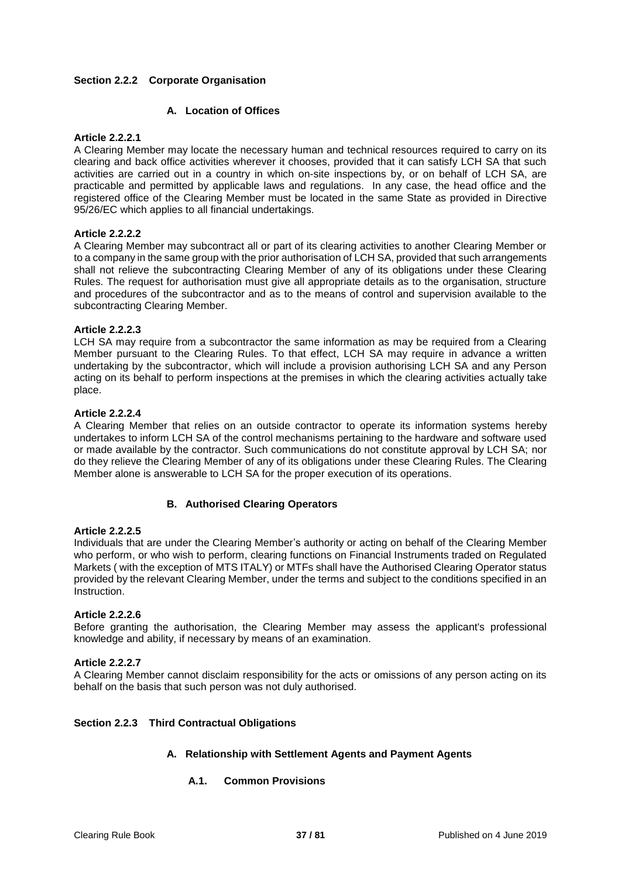# **Section 2.2.2 Corporate Organisation**

## **A. Location of Offices**

#### **Article 2.2.2.1**

A Clearing Member may locate the necessary human and technical resources required to carry on its clearing and back office activities wherever it chooses, provided that it can satisfy LCH SA that such activities are carried out in a country in which on-site inspections by, or on behalf of LCH SA, are practicable and permitted by applicable laws and regulations. In any case, the head office and the registered office of the Clearing Member must be located in the same State as provided in Directive 95/26/EC which applies to all financial undertakings.

## **Article 2.2.2.2**

A Clearing Member may subcontract all or part of its clearing activities to another Clearing Member or to a company in the same group with the prior authorisation of LCH SA, provided that such arrangements shall not relieve the subcontracting Clearing Member of any of its obligations under these Clearing Rules. The request for authorisation must give all appropriate details as to the organisation, structure and procedures of the subcontractor and as to the means of control and supervision available to the subcontracting Clearing Member.

#### **Article 2.2.2.3**

LCH SA may require from a subcontractor the same information as may be required from a Clearing Member pursuant to the Clearing Rules. To that effect, LCH SA may require in advance a written undertaking by the subcontractor, which will include a provision authorising LCH SA and any Person acting on its behalf to perform inspections at the premises in which the clearing activities actually take place.

#### **Article 2.2.2.4**

A Clearing Member that relies on an outside contractor to operate its information systems hereby undertakes to inform LCH SA of the control mechanisms pertaining to the hardware and software used or made available by the contractor. Such communications do not constitute approval by LCH SA; nor do they relieve the Clearing Member of any of its obligations under these Clearing Rules. The Clearing Member alone is answerable to LCH SA for the proper execution of its operations.

# **B. Authorised Clearing Operators**

## **Article 2.2.2.5**

Individuals that are under the Clearing Member's authority or acting on behalf of the Clearing Member who perform, or who wish to perform, clearing functions on Financial Instruments traded on Regulated Markets ( with the exception of MTS ITALY) or MTFs shall have the Authorised Clearing Operator status provided by the relevant Clearing Member, under the terms and subject to the conditions specified in an Instruction.

#### **Article 2.2.2.6**

Before granting the authorisation, the Clearing Member may assess the applicant's professional knowledge and ability, if necessary by means of an examination.

#### **Article 2.2.2.7**

A Clearing Member cannot disclaim responsibility for the acts or omissions of any person acting on its behalf on the basis that such person was not duly authorised.

## **Section 2.2.3 Third Contractual Obligations**

# **A. Relationship with Settlement Agents and Payment Agents**

**A.1. Common Provisions**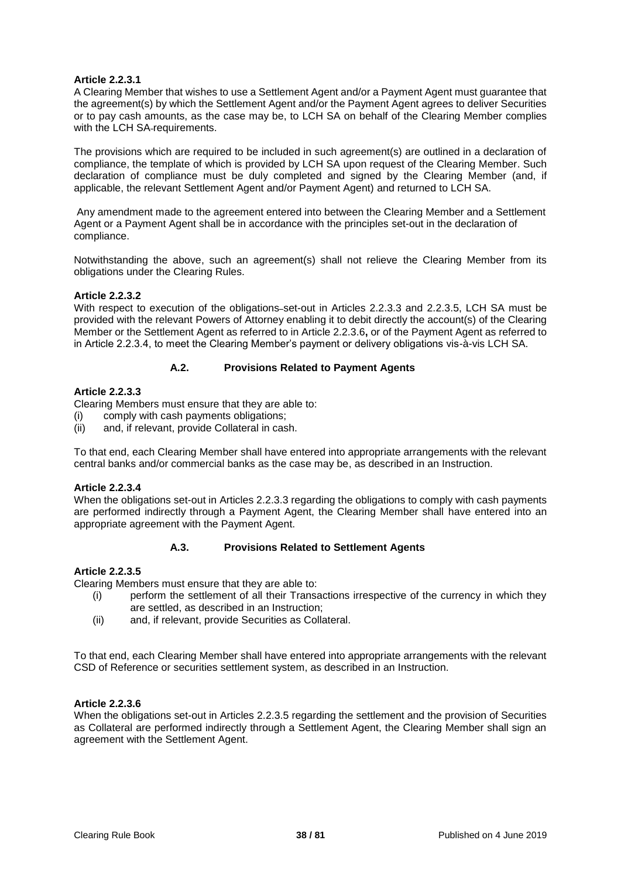## **Article 2.2.3.1**

A Clearing Member that wishes to use a Settlement Agent and/or a Payment Agent must guarantee that the agreement(s) by which the Settlement Agent and/or the Payment Agent agrees to deliver Securities or to pay cash amounts, as the case may be, to LCH SA on behalf of the Clearing Member complies with the LCH SA-requirements.

The provisions which are required to be included in such agreement(s) are outlined in a declaration of compliance, the template of which is provided by LCH SA upon request of the Clearing Member. Such declaration of compliance must be duly completed and signed by the Clearing Member (and, if applicable, the relevant Settlement Agent and/or Payment Agent) and returned to LCH SA.

Any amendment made to the agreement entered into between the Clearing Member and a Settlement Agent or a Payment Agent shall be in accordance with the principles set-out in the declaration of compliance.

Notwithstanding the above, such an agreement(s) shall not relieve the Clearing Member from its obligations under the Clearing Rules.

## **Article 2.2.3.2**

With respect to execution of the obligations-set-out in Articles 2.2.3.3 and 2.2.3.5, LCH SA must be provided with the relevant Powers of Attorney enabling it to debit directly the account(s) of the Clearing Member or the Settlement Agent as referred to in Article 2.2.3.6**,** or of the Payment Agent as referred to in Article 2.2.3.4, to meet the Clearing Member's payment or delivery obligations vis-à-vis LCH SA.

## **A.2. Provisions Related to Payment Agents**

## **Article 2.2.3.3**

Clearing Members must ensure that they are able to:

- (i) comply with cash payments obligations;
- (ii) and, if relevant, provide Collateral in cash.

To that end, each Clearing Member shall have entered into appropriate arrangements with the relevant central banks and/or commercial banks as the case may be, as described in an Instruction.

#### **Article 2.2.3.4**

When the obligations set-out in Articles 2.2.3.3 regarding the obligations to comply with cash payments are performed indirectly through a Payment Agent, the Clearing Member shall have entered into an appropriate agreement with the Payment Agent.

#### **A.3. Provisions Related to Settlement Agents**

#### **Article 2.2.3.5**

Clearing Members must ensure that they are able to:

- (i) perform the settlement of all their Transactions irrespective of the currency in which they are settled, as described in an Instruction;
- (ii) and, if relevant, provide Securities as Collateral.

To that end, each Clearing Member shall have entered into appropriate arrangements with the relevant CSD of Reference or securities settlement system, as described in an Instruction.

### **Article 2.2.3.6**

When the obligations set-out in Articles 2.2.3.5 regarding the settlement and the provision of Securities as Collateral are performed indirectly through a Settlement Agent, the Clearing Member shall sign an agreement with the Settlement Agent.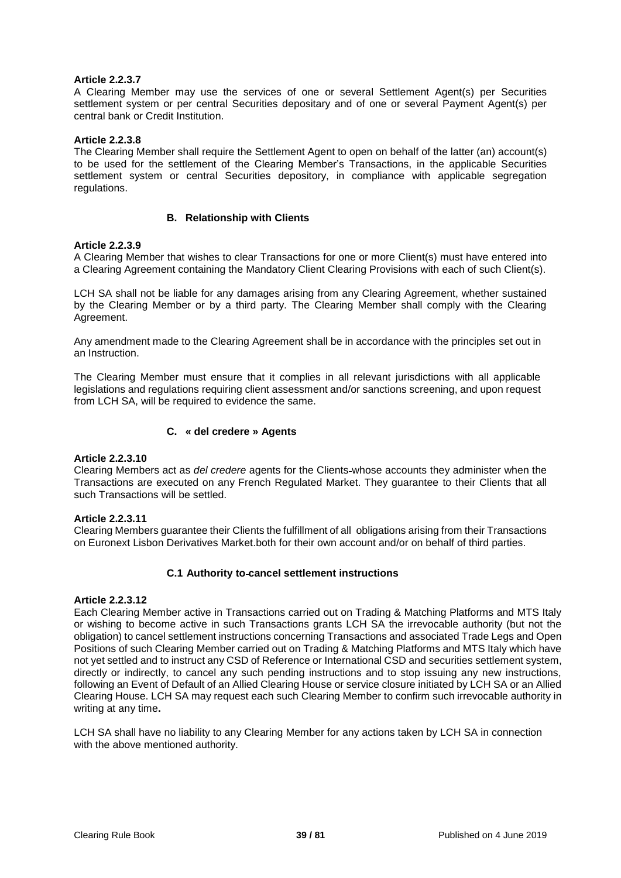## **Article 2.2.3.7**

A Clearing Member may use the services of one or several Settlement Agent(s) per Securities settlement system or per central Securities depositary and of one or several Payment Agent(s) per central bank or Credit Institution.

# **Article 2.2.3.8**

The Clearing Member shall require the Settlement Agent to open on behalf of the latter (an) account(s) to be used for the settlement of the Clearing Member's Transactions, in the applicable Securities settlement system or central Securities depository, in compliance with applicable segregation regulations.

## **B. Relationship with Clients**

# **Article 2.2.3.9**

A Clearing Member that wishes to clear Transactions for one or more Client(s) must have entered into a Clearing Agreement containing the Mandatory Client Clearing Provisions with each of such Client(s).

LCH SA shall not be liable for any damages arising from any Clearing Agreement, whether sustained by the Clearing Member or by a third party. The Clearing Member shall comply with the Clearing Agreement.

Any amendment made to the Clearing Agreement shall be in accordance with the principles set out in an Instruction.

The Clearing Member must ensure that it complies in all relevant jurisdictions with all applicable legislations and regulations requiring client assessment and/or sanctions screening, and upon request from LCH SA, will be required to evidence the same.

#### **C. « del credere » Agents**

#### **Article 2.2.3.10**

Clearing Members act as *del credere* agents for the Clients whose accounts they administer when the Transactions are executed on any French Regulated Market. They guarantee to their Clients that all such Transactions will be settled.

#### **Article 2.2.3.11**

Clearing Members guarantee their Clients the fulfillment of all obligations arising from their Transactions on Euronext Lisbon Derivatives Market.both for their own account and/or on behalf of third parties.

# **C.1 Authority to cancel settlement instructions**

#### **Article 2.2.3.12**

Each Clearing Member active in Transactions carried out on Trading & Matching Platforms and MTS Italy or wishing to become active in such Transactions grants LCH SA the irrevocable authority (but not the obligation) to cancel settlement instructions concerning Transactions and associated Trade Legs and Open Positions of such Clearing Member carried out on Trading & Matching Platforms and MTS Italy which have not yet settled and to instruct any CSD of Reference or International CSD and securities settlement system, directly or indirectly, to cancel any such pending instructions and to stop issuing any new instructions, following an Event of Default of an Allied Clearing House or service closure initiated by LCH SA or an Allied Clearing House. LCH SA may request each such Clearing Member to confirm such irrevocable authority in writing at any time**.**

LCH SA shall have no liability to any Clearing Member for any actions taken by LCH SA in connection with the above mentioned authority.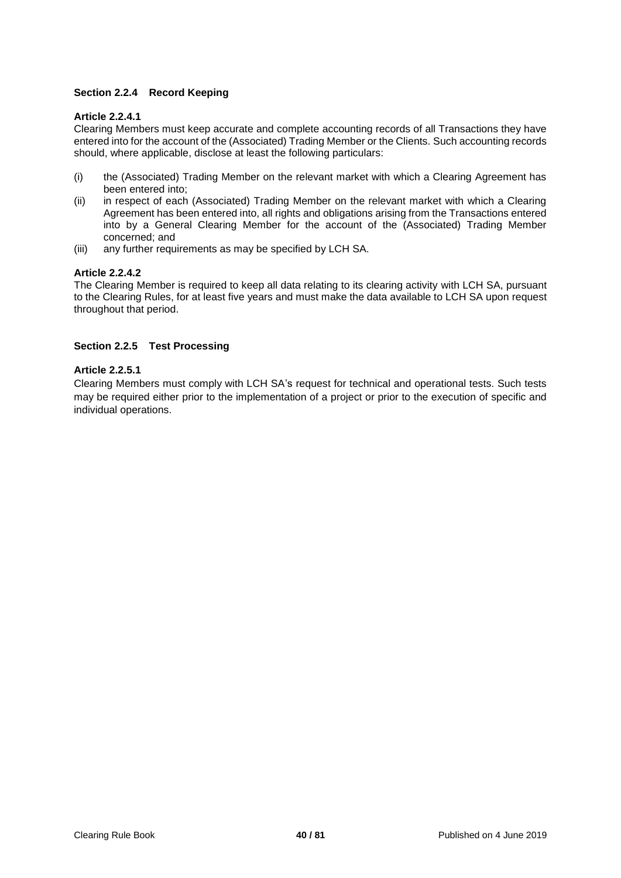# **Section 2.2.4 Record Keeping**

# **Article 2.2.4.1**

Clearing Members must keep accurate and complete accounting records of all Transactions they have entered into for the account of the (Associated) Trading Member or the Clients. Such accounting records should, where applicable, disclose at least the following particulars:

- (i) the (Associated) Trading Member on the relevant market with which a Clearing Agreement has been entered into;
- (ii) in respect of each (Associated) Trading Member on the relevant market with which a Clearing Agreement has been entered into, all rights and obligations arising from the Transactions entered into by a General Clearing Member for the account of the (Associated) Trading Member concerned; and
- (iii) any further requirements as may be specified by LCH SA.

# **Article 2.2.4.2**

The Clearing Member is required to keep all data relating to its clearing activity with LCH SA, pursuant to the Clearing Rules, for at least five years and must make the data available to LCH SA upon request throughout that period.

# **Section 2.2.5 Test Processing**

# **Article 2.2.5.1**

Clearing Members must comply with LCH SA's request for technical and operational tests. Such tests may be required either prior to the implementation of a project or prior to the execution of specific and individual operations.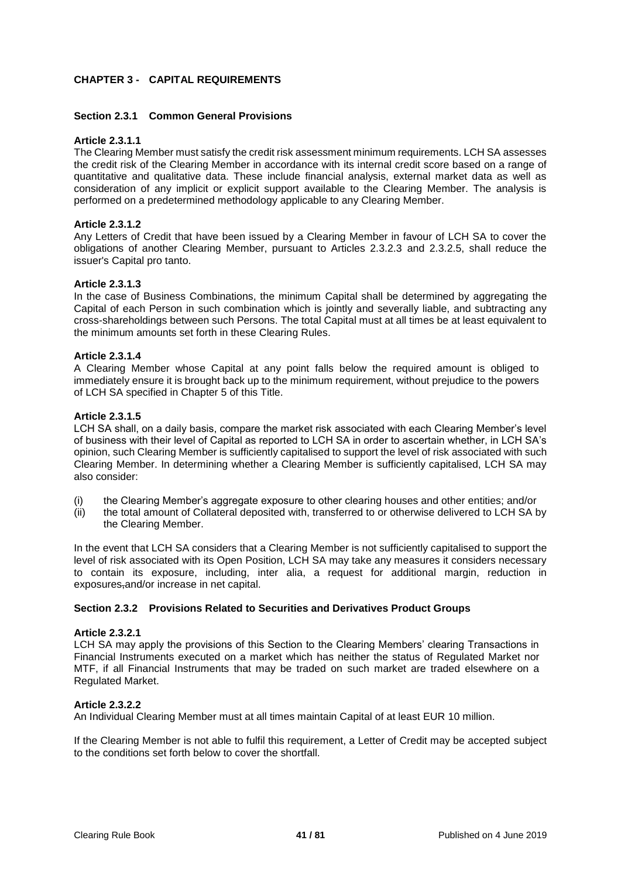# **CHAPTER 3 - CAPITAL REQUIREMENTS**

## **Section 2.3.1 Common General Provisions**

### **Article 2.3.1.1**

The Clearing Member must satisfy the credit risk assessment minimum requirements. LCH SA assesses the credit risk of the Clearing Member in accordance with its internal credit score based on a range of quantitative and qualitative data. These include financial analysis, external market data as well as consideration of any implicit or explicit support available to the Clearing Member. The analysis is performed on a predetermined methodology applicable to any Clearing Member.

#### **Article 2.3.1.2**

Any Letters of Credit that have been issued by a Clearing Member in favour of LCH SA to cover the obligations of another Clearing Member, pursuant to Articles 2.3.2.3 and 2.3.2.5, shall reduce the issuer's Capital pro tanto.

#### **Article 2.3.1.3**

In the case of Business Combinations, the minimum Capital shall be determined by aggregating the Capital of each Person in such combination which is jointly and severally liable, and subtracting any cross-shareholdings between such Persons. The total Capital must at all times be at least equivalent to the minimum amounts set forth in these Clearing Rules.

#### **Article 2.3.1.4**

A Clearing Member whose Capital at any point falls below the required amount is obliged to immediately ensure it is brought back up to the minimum requirement, without prejudice to the powers of LCH SA specified in Chapter 5 of this Title.

#### **Article 2.3.1.5**

LCH SA shall, on a daily basis, compare the market risk associated with each Clearing Member's level of business with their level of Capital as reported to LCH SA in order to ascertain whether, in LCH SA's opinion, such Clearing Member is sufficiently capitalised to support the level of risk associated with such Clearing Member. In determining whether a Clearing Member is sufficiently capitalised, LCH SA may also consider:

- (i) the Clearing Member's aggregate exposure to other clearing houses and other entities; and/or
- (ii) the total amount of Collateral deposited with, transferred to or otherwise delivered to LCH SA by the Clearing Member.

In the event that LCH SA considers that a Clearing Member is not sufficiently capitalised to support the level of risk associated with its Open Position, LCH SA may take any measures it considers necessary to contain its exposure, including, inter alia, a request for additional margin, reduction in exposures,and/or increase in net capital.

#### **Section 2.3.2 Provisions Related to Securities and Derivatives Product Groups**

#### **Article 2.3.2.1**

LCH SA may apply the provisions of this Section to the Clearing Members' clearing Transactions in Financial Instruments executed on a market which has neither the status of Regulated Market nor MTF, if all Financial Instruments that may be traded on such market are traded elsewhere on a Regulated Market.

#### **Article 2.3.2.2**

An Individual Clearing Member must at all times maintain Capital of at least EUR 10 million.

If the Clearing Member is not able to fulfil this requirement, a Letter of Credit may be accepted subject to the conditions set forth below to cover the shortfall.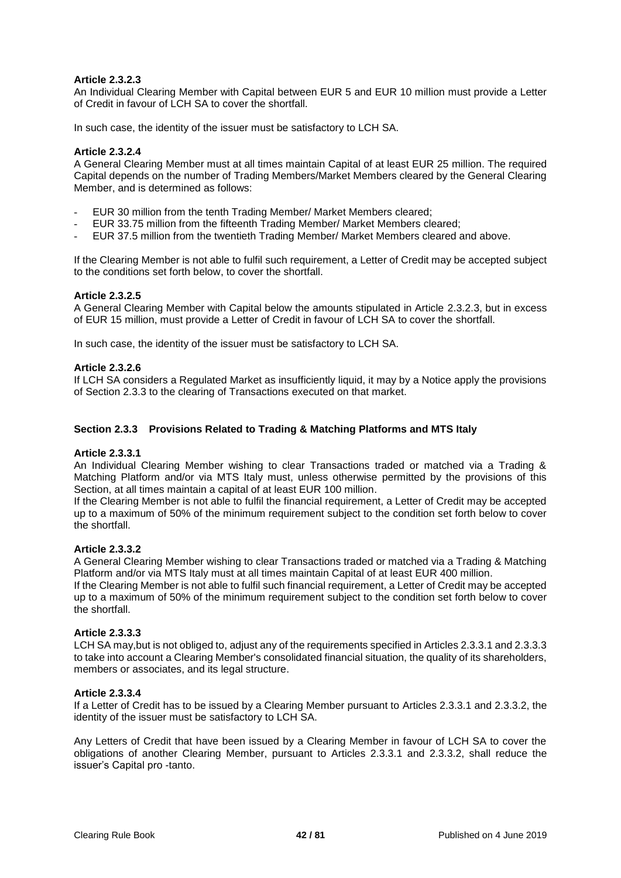# **Article 2.3.2.3**

An Individual Clearing Member with Capital between EUR 5 and EUR 10 million must provide a Letter of Credit in favour of LCH SA to cover the shortfall.

In such case, the identity of the issuer must be satisfactory to LCH SA.

# **Article 2.3.2.4**

A General Clearing Member must at all times maintain Capital of at least EUR 25 million. The required Capital depends on the number of Trading Members/Market Members cleared by the General Clearing Member, and is determined as follows:

- EUR 30 million from the tenth Trading Member/ Market Members cleared;
- EUR 33.75 million from the fifteenth Trading Member/ Market Members cleared;
- EUR 37.5 million from the twentieth Trading Member/ Market Members cleared and above.

If the Clearing Member is not able to fulfil such requirement, a Letter of Credit may be accepted subject to the conditions set forth below, to cover the shortfall.

# **Article 2.3.2.5**

A General Clearing Member with Capital below the amounts stipulated in Article 2.3.2.3, but in excess of EUR 15 million, must provide a Letter of Credit in favour of LCH SA to cover the shortfall.

In such case, the identity of the issuer must be satisfactory to LCH SA.

## **Article 2.3.2.6**

If LCH SA considers a Regulated Market as insufficiently liquid, it may by a Notice apply the provisions of Section 2.3.3 to the clearing of Transactions executed on that market.

## **Section 2.3.3 Provisions Related to Trading & Matching Platforms and MTS Italy**

#### **Article 2.3.3.1**

An Individual Clearing Member wishing to clear Transactions traded or matched via a Trading & Matching Platform and/or via MTS Italy must, unless otherwise permitted by the provisions of this Section, at all times maintain a capital of at least EUR 100 million.

If the Clearing Member is not able to fulfil the financial requirement, a Letter of Credit may be accepted up to a maximum of 50% of the minimum requirement subject to the condition set forth below to cover the shortfall.

#### **Article 2.3.3.2**

A General Clearing Member wishing to clear Transactions traded or matched via a Trading & Matching Platform and/or via MTS Italy must at all times maintain Capital of at least EUR 400 million.

If the Clearing Member is not able to fulfil such financial requirement, a Letter of Credit may be accepted up to a maximum of 50% of the minimum requirement subject to the condition set forth below to cover the shortfall.

#### **Article 2.3.3.3**

LCH SA may,but is not obliged to, adjust any of the requirements specified in Articles 2.3.3.1 and 2.3.3.3 to take into account a Clearing Member's consolidated financial situation, the quality of its shareholders, members or associates, and its legal structure.

#### **Article 2.3.3.4**

If a Letter of Credit has to be issued by a Clearing Member pursuant to Articles 2.3.3.1 and 2.3.3.2, the identity of the issuer must be satisfactory to LCH SA.

Any Letters of Credit that have been issued by a Clearing Member in favour of LCH SA to cover the obligations of another Clearing Member, pursuant to Articles 2.3.3.1 and 2.3.3.2, shall reduce the issuer's Capital pro -tanto.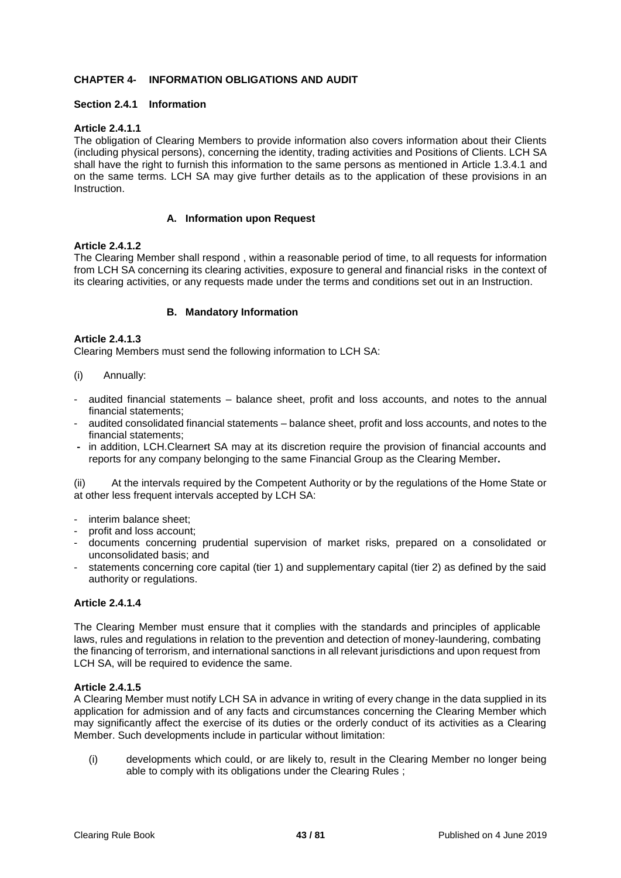# **CHAPTER 4- INFORMATION OBLIGATIONS AND AUDIT**

# **Section 2.4.1 Information**

## **Article 2.4.1.1**

The obligation of Clearing Members to provide information also covers information about their Clients (including physical persons), concerning the identity, trading activities and Positions of Clients. LCH SA shall have the right to furnish this information to the same persons as mentioned in Article 1.3.4.1 and on the same terms. LCH SA may give further details as to the application of these provisions in an Instruction.

## **A. Information upon Request**

## **Article 2.4.1.2**

The Clearing Member shall respond , within a reasonable period of time, to all requests for information from LCH SA concerning its clearing activities, exposure to general and financial risks in the context of its clearing activities, or any requests made under the terms and conditions set out in an Instruction.

## **B. Mandatory Information**

## **Article 2.4.1.3**

Clearing Members must send the following information to LCH SA:

- (i) Annually:
- audited financial statements balance sheet, profit and loss accounts, and notes to the annual financial statements;
- audited consolidated financial statements balance sheet, profit and loss accounts, and notes to the financial statements;
- **-** in addition, LCH.Clearnert SA may at its discretion require the provision of financial accounts and reports for any company belonging to the same Financial Group as the Clearing Member**.**

(ii) At the intervals required by the Competent Authority or by the regulations of the Home State or at other less frequent intervals accepted by LCH SA:

- interim balance sheet;
- profit and loss account;
- documents concerning prudential supervision of market risks, prepared on a consolidated or unconsolidated basis; and
- statements concerning core capital (tier 1) and supplementary capital (tier 2) as defined by the said authority or regulations.

# **Article 2.4.1.4**

The Clearing Member must ensure that it complies with the standards and principles of applicable laws, rules and regulations in relation to the prevention and detection of money-laundering, combating the financing of terrorism, and international sanctions in all relevant jurisdictions and upon request from LCH SA, will be required to evidence the same.

#### **Article 2.4.1.5**

A Clearing Member must notify LCH SA in advance in writing of every change in the data supplied in its application for admission and of any facts and circumstances concerning the Clearing Member which may significantly affect the exercise of its duties or the orderly conduct of its activities as a Clearing Member. Such developments include in particular without limitation:

(i) developments which could, or are likely to, result in the Clearing Member no longer being able to comply with its obligations under the Clearing Rules ;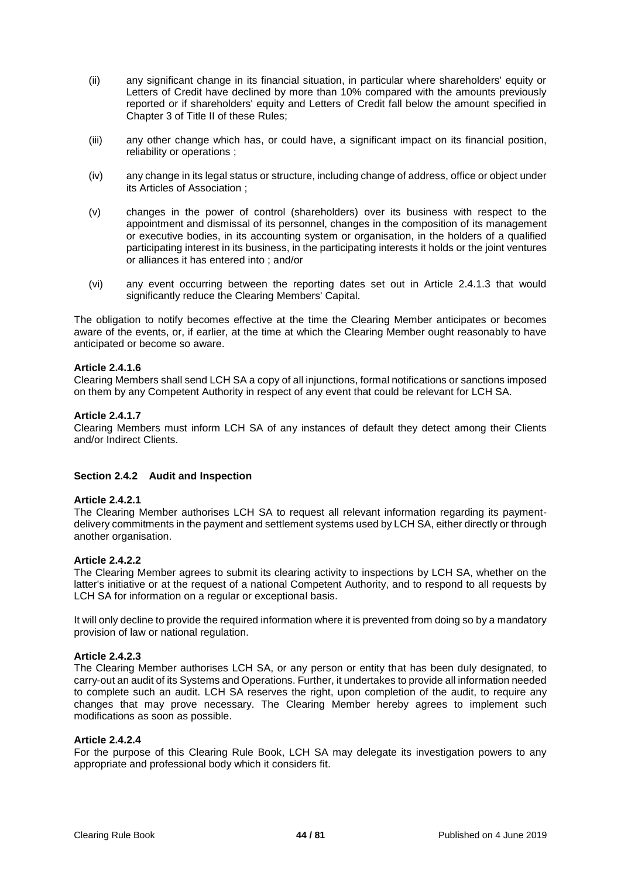- (ii) any significant change in its financial situation, in particular where shareholders' equity or Letters of Credit have declined by more than 10% compared with the amounts previously reported or if shareholders' equity and Letters of Credit fall below the amount specified in Chapter 3 of Title II of these Rules;
- (iii) any other change which has, or could have, a significant impact on its financial position, reliability or operations ;
- (iv) any change in its legal status or structure, including change of address, office or object under its Articles of Association ;
- (v) changes in the power of control (shareholders) over its business with respect to the appointment and dismissal of its personnel, changes in the composition of its management or executive bodies, in its accounting system or organisation, in the holders of a qualified participating interest in its business, in the participating interests it holds or the joint ventures or alliances it has entered into ; and/or
- (vi) any event occurring between the reporting dates set out in Article 2.4.1.3 that would significantly reduce the Clearing Members' Capital.

The obligation to notify becomes effective at the time the Clearing Member anticipates or becomes aware of the events, or, if earlier, at the time at which the Clearing Member ought reasonably to have anticipated or become so aware.

## **Article 2.4.1.6**

Clearing Members shall send LCH SA a copy of all injunctions, formal notifications or sanctions imposed on them by any Competent Authority in respect of any event that could be relevant for LCH SA.

## **Article 2.4.1.7**

Clearing Members must inform LCH SA of any instances of default they detect among their Clients and/or Indirect Clients.

#### **Section 2.4.2 Audit and Inspection**

#### **Article 2.4.2.1**

The Clearing Member authorises LCH SA to request all relevant information regarding its paymentdelivery commitments in the payment and settlement systems used by LCH SA, either directly or through another organisation.

# **Article 2.4.2.2**

The Clearing Member agrees to submit its clearing activity to inspections by LCH SA, whether on the latter's initiative or at the request of a national Competent Authority, and to respond to all requests by LCH SA for information on a regular or exceptional basis.

It will only decline to provide the required information where it is prevented from doing so by a mandatory provision of law or national regulation.

#### **Article 2.4.2.3**

The Clearing Member authorises LCH SA, or any person or entity that has been duly designated, to carry-out an audit of its Systems and Operations. Further, it undertakes to provide all information needed to complete such an audit. LCH SA reserves the right, upon completion of the audit, to require any changes that may prove necessary. The Clearing Member hereby agrees to implement such modifications as soon as possible.

#### **Article 2.4.2.4**

For the purpose of this Clearing Rule Book, LCH SA may delegate its investigation powers to any appropriate and professional body which it considers fit.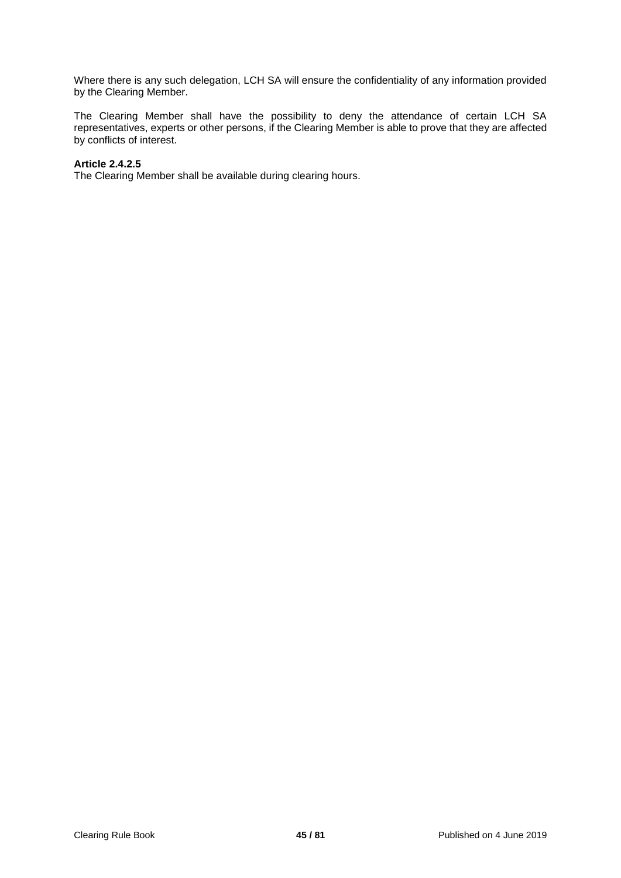Where there is any such delegation, LCH SA will ensure the confidentiality of any information provided by the Clearing Member.

The Clearing Member shall have the possibility to deny the attendance of certain LCH SA representatives, experts or other persons, if the Clearing Member is able to prove that they are affected by conflicts of interest.

### **Article 2.4.2.5**

The Clearing Member shall be available during clearing hours.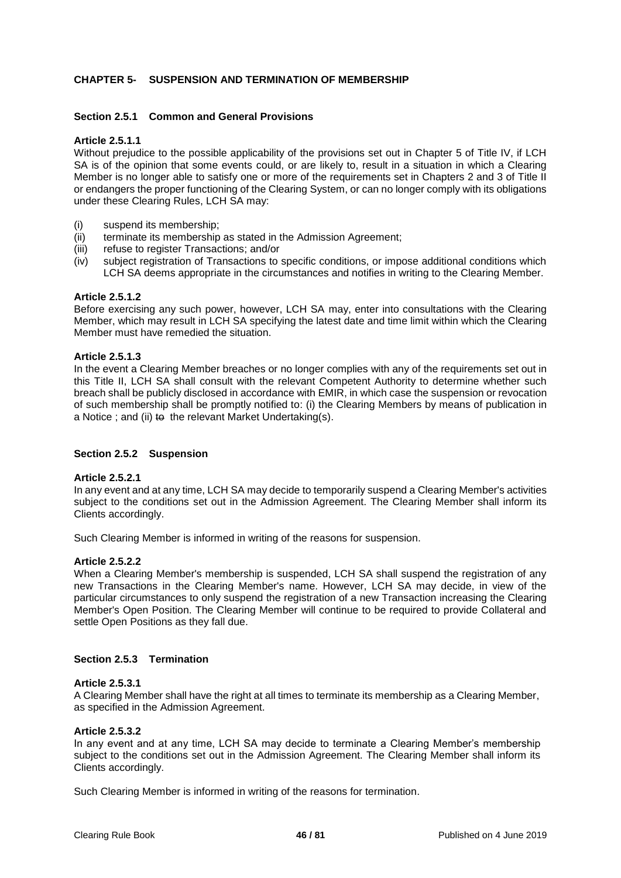# **CHAPTER 5- SUSPENSION AND TERMINATION OF MEMBERSHIP**

## **Section 2.5.1 Common and General Provisions**

### **Article 2.5.1.1**

Without prejudice to the possible applicability of the provisions set out in Chapter 5 of Title IV, if LCH SA is of the opinion that some events could, or are likely to, result in a situation in which a Clearing Member is no longer able to satisfy one or more of the requirements set in Chapters 2 and 3 of Title II or endangers the proper functioning of the Clearing System, or can no longer comply with its obligations under these Clearing Rules, LCH SA may:

- (i) suspend its membership;
- (ii) terminate its membership as stated in the Admission Agreement;
- (iii) refuse to register Transactions; and/or
- (iv) subject registration of Transactions to specific conditions, or impose additional conditions which LCH SA deems appropriate in the circumstances and notifies in writing to the Clearing Member.

#### **Article 2.5.1.2**

Before exercising any such power, however, LCH SA may, enter into consultations with the Clearing Member, which may result in LCH SA specifying the latest date and time limit within which the Clearing Member must have remedied the situation.

#### **Article 2.5.1.3**

In the event a Clearing Member breaches or no longer complies with any of the requirements set out in this Title II, LCH SA shall consult with the relevant Competent Authority to determine whether such breach shall be publicly disclosed in accordance with EMIR, in which case the suspension or revocation of such membership shall be promptly notified to: (i) the Clearing Members by means of publication in a Notice ; and (ii) to the relevant Market Undertaking(s).

#### **Section 2.5.2 Suspension**

#### **Article 2.5.2.1**

In any event and at any time, LCH SA may decide to temporarily suspend a Clearing Member's activities subject to the conditions set out in the Admission Agreement. The Clearing Member shall inform its Clients accordingly.

Such Clearing Member is informed in writing of the reasons for suspension.

#### **Article 2.5.2.2**

When a Clearing Member's membership is suspended, LCH SA shall suspend the registration of any new Transactions in the Clearing Member's name. However, LCH SA may decide, in view of the particular circumstances to only suspend the registration of a new Transaction increasing the Clearing Member's Open Position. The Clearing Member will continue to be required to provide Collateral and settle Open Positions as they fall due.

# **Section 2.5.3 Termination**

#### **Article 2.5.3.1**

A Clearing Member shall have the right at all times to terminate its membership as a Clearing Member, as specified in the Admission Agreement.

#### **Article 2.5.3.2**

In any event and at any time, LCH SA may decide to terminate a Clearing Member's membership subject to the conditions set out in the Admission Agreement. The Clearing Member shall inform its Clients accordingly.

Such Clearing Member is informed in writing of the reasons for termination.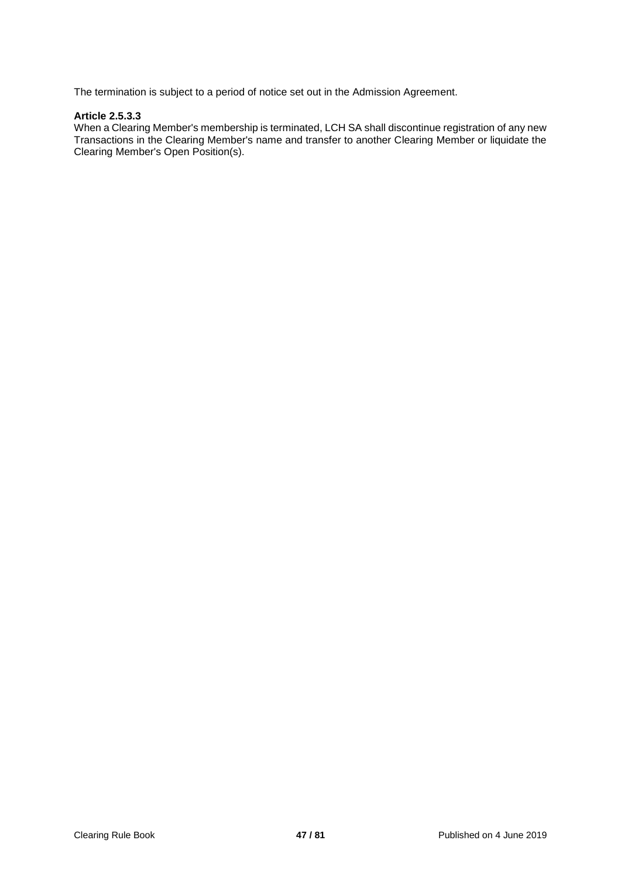The termination is subject to a period of notice set out in the Admission Agreement.

# **Article 2.5.3.3**

When a Clearing Member's membership is terminated, LCH SA shall discontinue registration of any new Transactions in the Clearing Member's name and transfer to another Clearing Member or liquidate the Clearing Member's Open Position(s).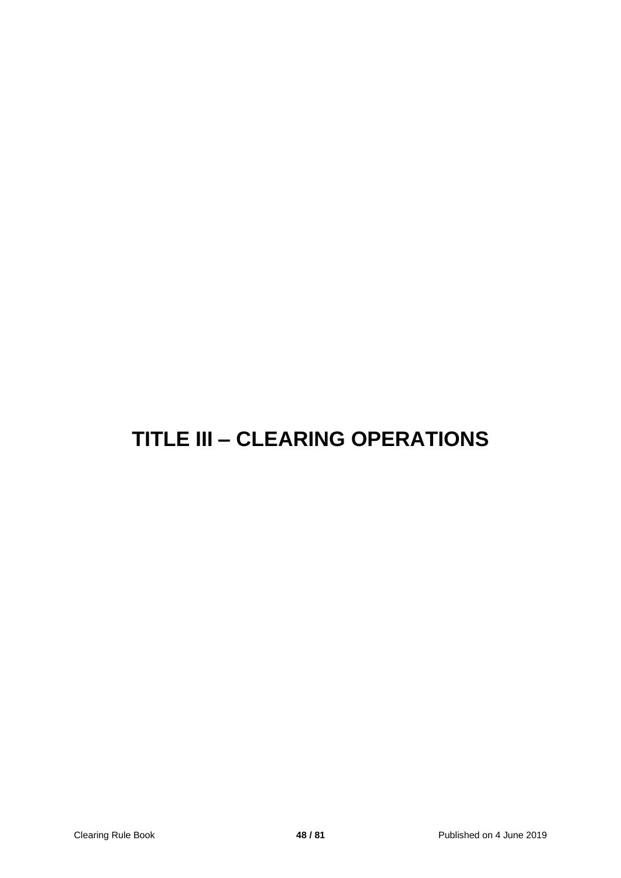# **TITLE III – CLEARING OPERATIONS**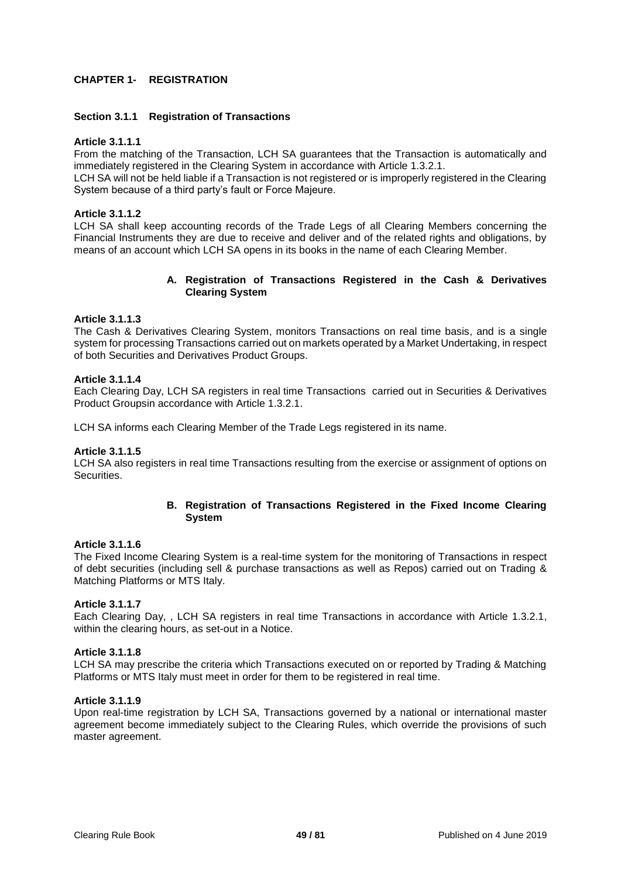## **CHAPTER 1- REGISTRATION**

### **Section 3.1.1 Registration of Transactions**

### **Article 3.1.1.1**

From the matching of the Transaction, LCH SA guarantees that the Transaction is automatically and immediately registered in the Clearing System in accordance with Article 1.3.2.1.

LCH SA will not be held liable if a Transaction is not registered or is improperly registered in the Clearing System because of a third party's fault or Force Majeure.

#### **Article 3.1.1.2**

LCH SA shall keep accounting records of the Trade Legs of all Clearing Members concerning the Financial Instruments they are due to receive and deliver and of the related rights and obligations, by means of an account which LCH SA opens in its books in the name of each Clearing Member.

## **A. Registration of Transactions Registered in the Cash & Derivatives Clearing System**

## **Article 3.1.1.3**

The Cash & Derivatives Clearing System, monitors Transactions on real time basis, and is a single system for processing Transactions carried out on markets operated by a Market Undertaking, in respect of both Securities and Derivatives Product Groups.

#### **Article 3.1.1.4**

Each Clearing Day, LCH SA registers in real time Transactions carried out in Securities & Derivatives Product Groupsin accordance with Article 1.3.2.1.

LCH SA informs each Clearing Member of the Trade Legs registered in its name.

#### **Article 3.1.1.5**

LCH SA also registers in real time Transactions resulting from the exercise or assignment of options on Securities.

## **B. Registration of Transactions Registered in the Fixed Income Clearing System**

#### **Article 3.1.1.6**

The Fixed Income Clearing System is a real-time system for the monitoring of Transactions in respect of debt securities (including sell & purchase transactions as well as Repos) carried out on Trading & Matching Platforms or MTS Italy.

#### **Article 3.1.1.7**

Each Clearing Day, , LCH SA registers in real time Transactions in accordance with Article 1.3.2.1, within the clearing hours, as set-out in a Notice.

#### **Article 3.1.1.8**

LCH SA may prescribe the criteria which Transactions executed on or reported by Trading & Matching Platforms or MTS Italy must meet in order for them to be registered in real time.

#### **Article 3.1.1.9**

Upon real-time registration by LCH SA, Transactions governed by a national or international master agreement become immediately subject to the Clearing Rules, which override the provisions of such master agreement.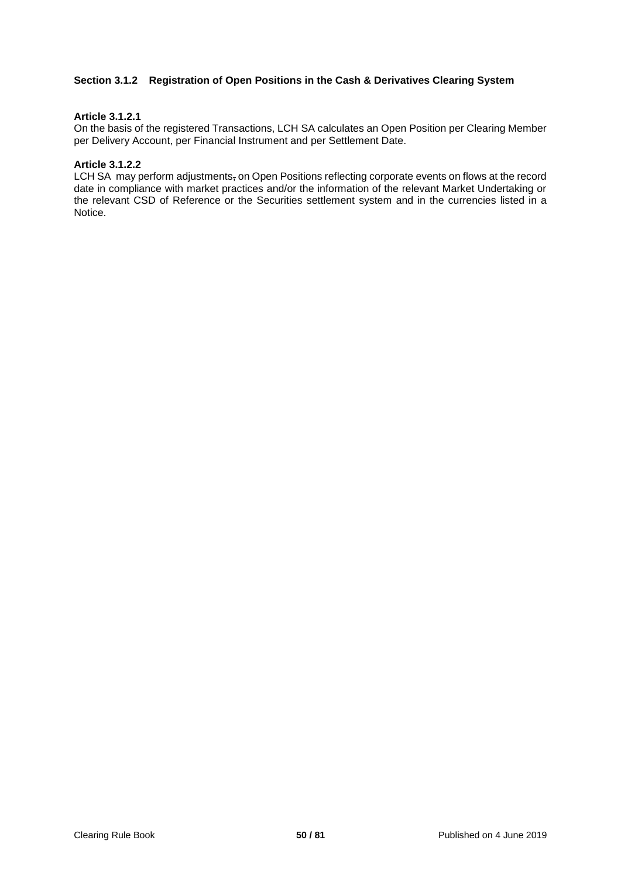## **Section 3.1.2 Registration of Open Positions in the Cash & Derivatives Clearing System**

### **Article 3.1.2.1**

On the basis of the registered Transactions, LCH SA calculates an Open Position per Clearing Member per Delivery Account, per Financial Instrument and per Settlement Date.

#### **Article 3.1.2.2**

LCH SA may perform adjustments, on Open Positions reflecting corporate events on flows at the record date in compliance with market practices and/or the information of the relevant Market Undertaking or the relevant CSD of Reference or the Securities settlement system and in the currencies listed in a Notice.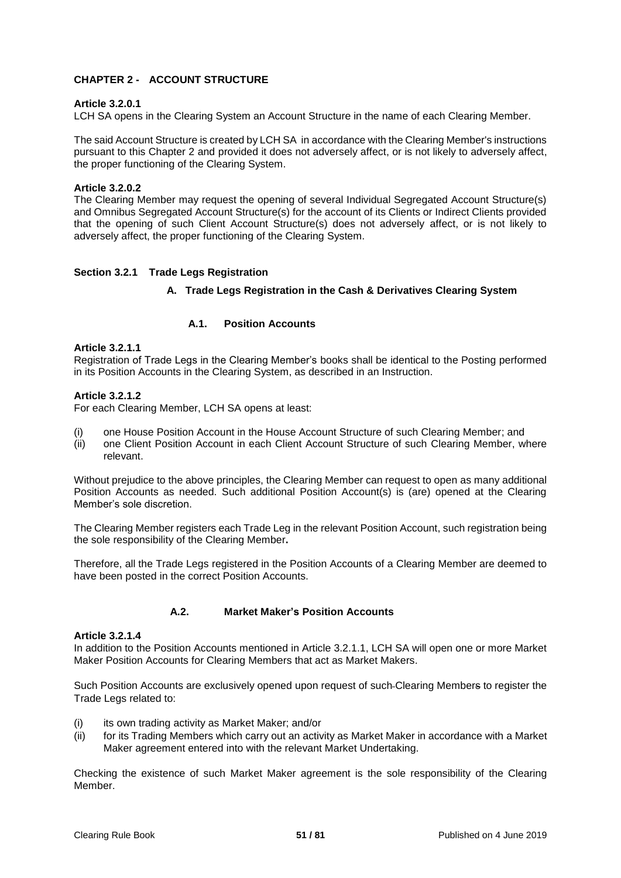# **CHAPTER 2 - ACCOUNT STRUCTURE**

## **Article 3.2.0.1**

LCH SA opens in the Clearing System an Account Structure in the name of each Clearing Member.

The said Account Structure is created by LCH SA in accordance with the Clearing Member's instructions pursuant to this Chapter 2 and provided it does not adversely affect, or is not likely to adversely affect, the proper functioning of the Clearing System.

### **Article 3.2.0.2**

The Clearing Member may request the opening of several Individual Segregated Account Structure(s) and Omnibus Segregated Account Structure(s) for the account of its Clients or Indirect Clients provided that the opening of such Client Account Structure(s) does not adversely affect, or is not likely to adversely affect, the proper functioning of the Clearing System.

## **Section 3.2.1 Trade Legs Registration**

## **A. Trade Legs Registration in the Cash & Derivatives Clearing System**

# **A.1. Position Accounts**

## **Article 3.2.1.1**

Registration of Trade Legs in the Clearing Member's books shall be identical to the Posting performed in its Position Accounts in the Clearing System, as described in an Instruction.

## **Article 3.2.1.2**

For each Clearing Member, LCH SA opens at least:

- (i) one House Position Account in the House Account Structure of such Clearing Member; and
- (ii) one Client Position Account in each Client Account Structure of such Clearing Member, where relevant.

Without prejudice to the above principles, the Clearing Member can request to open as many additional Position Accounts as needed. Such additional Position Account(s) is (are) opened at the Clearing Member's sole discretion.

The Clearing Member registers each Trade Leg in the relevant Position Account, such registration being the sole responsibility of the Clearing Member**.**

Therefore, all the Trade Legs registered in the Position Accounts of a Clearing Member are deemed to have been posted in the correct Position Accounts.

### **A.2. Market Maker's Position Accounts**

#### **Article 3.2.1.4**

In addition to the Position Accounts mentioned in Article 3.2.1.1, LCH SA will open one or more Market Maker Position Accounts for Clearing Members that act as Market Makers.

Such Position Accounts are exclusively opened upon request of such Clearing Members to register the Trade Legs related to:

- (i) its own trading activity as Market Maker; and/or
- (ii) for its Trading Members which carry out an activity as Market Maker in accordance with a Market Maker agreement entered into with the relevant Market Undertaking.

Checking the existence of such Market Maker agreement is the sole responsibility of the Clearing Member.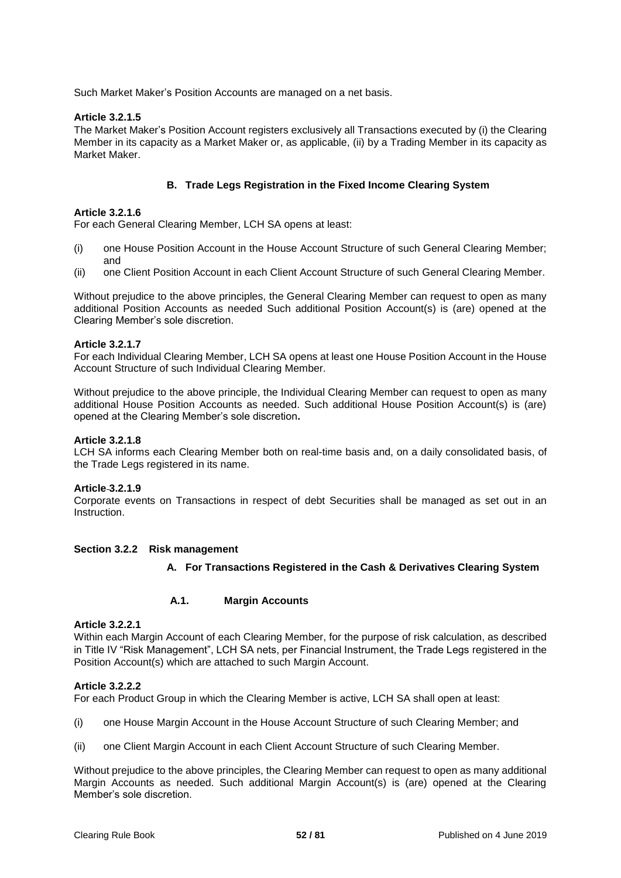Such Market Maker's Position Accounts are managed on a net basis.

# **Article 3.2.1.5**

The Market Maker's Position Account registers exclusively all Transactions executed by (i) the Clearing Member in its capacity as a Market Maker or, as applicable, (ii) by a Trading Member in its capacity as Market Maker.

# **B. Trade Legs Registration in the Fixed Income Clearing System**

# **Article 3.2.1.6**

For each General Clearing Member, LCH SA opens at least:

- (i) one House Position Account in the House Account Structure of such General Clearing Member; and
- (ii) one Client Position Account in each Client Account Structure of such General Clearing Member.

Without prejudice to the above principles, the General Clearing Member can request to open as many additional Position Accounts as needed Such additional Position Account(s) is (are) opened at the Clearing Member's sole discretion.

## **Article 3.2.1.7**

For each Individual Clearing Member, LCH SA opens at least one House Position Account in the House Account Structure of such Individual Clearing Member.

Without prejudice to the above principle, the Individual Clearing Member can request to open as many additional House Position Accounts as needed. Such additional House Position Account(s) is (are) opened at the Clearing Member's sole discretion**.**

### **Article 3.2.1.8**

LCH SA informs each Clearing Member both on real-time basis and, on a daily consolidated basis, of the Trade Legs registered in its name.

#### **Article 3.2.1.9**

Corporate events on Transactions in respect of debt Securities shall be managed as set out in an **Instruction** 

#### **Section 3.2.2 Risk management**

#### **A. For Transactions Registered in the Cash & Derivatives Clearing System**

# **A.1. Margin Accounts**

### **Article 3.2.2.1**

Within each Margin Account of each Clearing Member, for the purpose of risk calculation, as described in Title IV "Risk Management", LCH SA nets, per Financial Instrument, the Trade Legs registered in the Position Account(s) which are attached to such Margin Account.

#### **Article 3.2.2.2**

For each Product Group in which the Clearing Member is active, LCH SA shall open at least:

- (i) one House Margin Account in the House Account Structure of such Clearing Member; and
- (ii) one Client Margin Account in each Client Account Structure of such Clearing Member.

Without prejudice to the above principles, the Clearing Member can request to open as many additional Margin Accounts as needed. Such additional Margin Account(s) is (are) opened at the Clearing Member's sole discretion.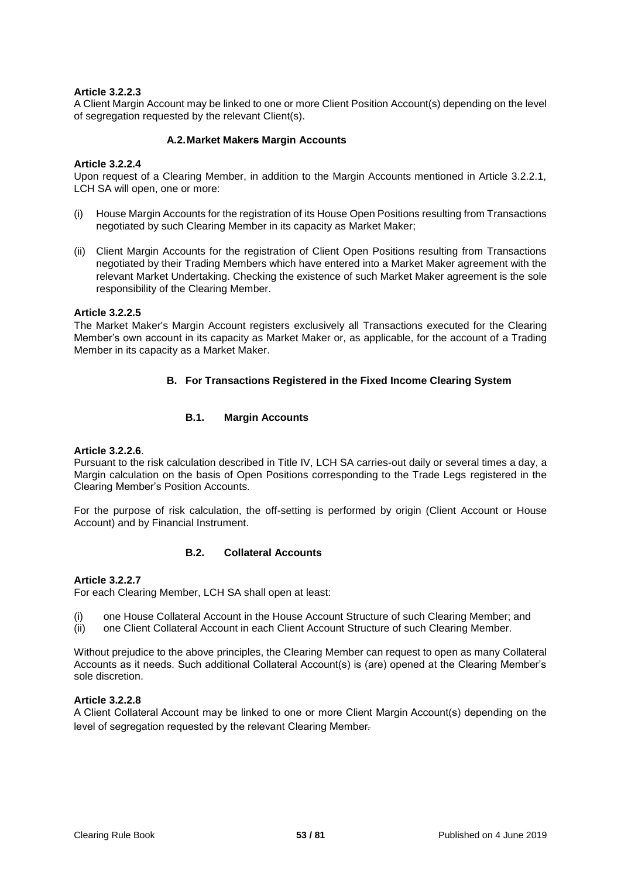# **Article 3.2.2.3**

A Client Margin Account may be linked to one or more Client Position Account(s) depending on the level of segregation requested by the relevant Client(s).

# **A.2.Market Makers Margin Accounts**

## **Article 3.2.2.4**

Upon request of a Clearing Member, in addition to the Margin Accounts mentioned in Article 3.2.2.1, LCH SA will open, one or more:

- (i) House Margin Accounts for the registration of its House Open Positions resulting from Transactions negotiated by such Clearing Member in its capacity as Market Maker;
- (ii) Client Margin Accounts for the registration of Client Open Positions resulting from Transactions negotiated by their Trading Members which have entered into a Market Maker agreement with the relevant Market Undertaking. Checking the existence of such Market Maker agreement is the sole responsibility of the Clearing Member.

## **Article 3.2.2.5**

The Market Maker's Margin Account registers exclusively all Transactions executed for the Clearing Member's own account in its capacity as Market Maker or, as applicable, for the account of a Trading Member in its capacity as a Market Maker.

# **B. For Transactions Registered in the Fixed Income Clearing System**

## **B.1. Margin Accounts**

#### **Article 3.2.2.6**.

Pursuant to the risk calculation described in Title IV, LCH SA carries-out daily or several times a day, a Margin calculation on the basis of Open Positions corresponding to the Trade Legs registered in the Clearing Member's Position Accounts.

For the purpose of risk calculation, the off-setting is performed by origin (Client Account or House Account) and by Financial Instrument.

#### **B.2. Collateral Accounts**

#### **Article 3.2.2.7**

For each Clearing Member, LCH SA shall open at least:

- (i) one House Collateral Account in the House Account Structure of such Clearing Member; and
- (ii) one Client Collateral Account in each Client Account Structure of such Clearing Member.

Without prejudice to the above principles, the Clearing Member can request to open as many Collateral Accounts as it needs. Such additional Collateral Account(s) is (are) opened at the Clearing Member's sole discretion.

#### **Article 3.2.2.8**

A Client Collateral Account may be linked to one or more Client Margin Account(s) depending on the level of segregation requested by the relevant Clearing Member.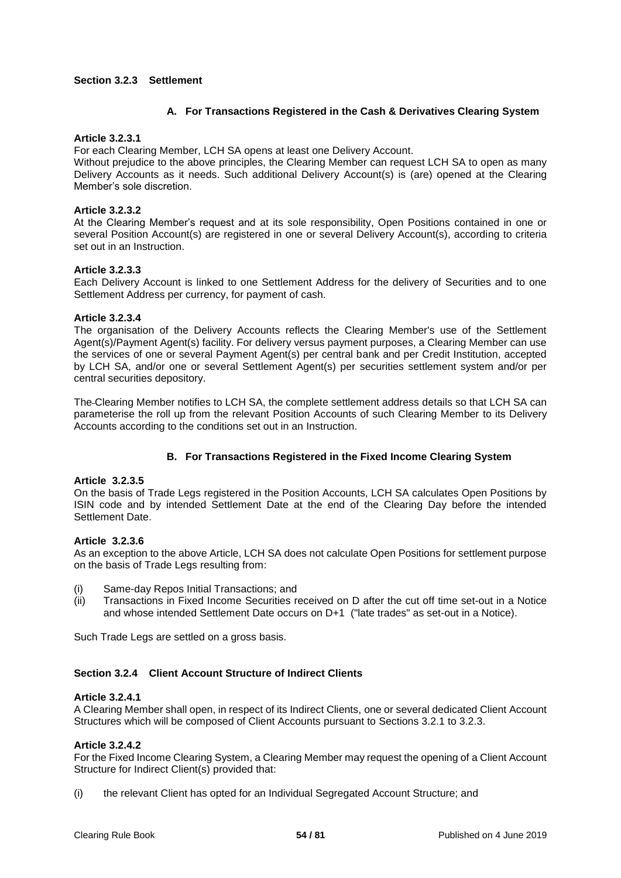## **Section 3.2.3 Settlement**

# **A. For Transactions Registered in the Cash & Derivatives Clearing System**

#### **Article 3.2.3.1**

For each Clearing Member, LCH SA opens at least one Delivery Account.

Without prejudice to the above principles, the Clearing Member can request LCH SA to open as many Delivery Accounts as it needs. Such additional Delivery Account(s) is (are) opened at the Clearing Member's sole discretion.

### **Article 3.2.3.2**

At the Clearing Member's request and at its sole responsibility, Open Positions contained in one or several Position Account(s) are registered in one or several Delivery Account(s), according to criteria set out in an Instruction.

## **Article 3.2.3.3**

Each Delivery Account is linked to one Settlement Address for the delivery of Securities and to one Settlement Address per currency, for payment of cash.

## **Article 3.2.3.4**

The organisation of the Delivery Accounts reflects the Clearing Member's use of the Settlement Agent(s)/Payment Agent(s) facility. For delivery versus payment purposes, a Clearing Member can use the services of one or several Payment Agent(s) per central bank and per Credit Institution, accepted by LCH SA, and/or one or several Settlement Agent(s) per securities settlement system and/or per central securities depository.

The Clearing Member notifies to LCH SA, the complete settlement address details so that LCH SA can parameterise the roll up from the relevant Position Accounts of such Clearing Member to its Delivery Accounts according to the conditions set out in an Instruction.

# **B. For Transactions Registered in the Fixed Income Clearing System**

#### **Article 3.2.3.5**

On the basis of Trade Legs registered in the Position Accounts, LCH SA calculates Open Positions by ISIN code and by intended Settlement Date at the end of the Clearing Day before the intended Settlement Date.

# **Article 3.2.3.6**

As an exception to the above Article, LCH SA does not calculate Open Positions for settlement purpose on the basis of Trade Legs resulting from:

- (i) Same-day Repos Initial Transactions; and
- (ii) Transactions in Fixed Income Securities received on D after the cut off time set-out in a Notice and whose intended Settlement Date occurs on D+1 ("late trades" as set-out in a Notice).

Such Trade Legs are settled on a gross basis.

# **Section 3.2.4 Client Account Structure of Indirect Clients**

#### **Article 3.2.4.1**

A Clearing Member shall open, in respect of its Indirect Clients, one or several dedicated Client Account Structures which will be composed of Client Accounts pursuant to Sections 3.2.1 to 3.2.3.

#### **Article 3.2.4.2**

For the Fixed Income Clearing System, a Clearing Member may request the opening of a Client Account Structure for Indirect Client(s) provided that:

(i) the relevant Client has opted for an Individual Segregated Account Structure; and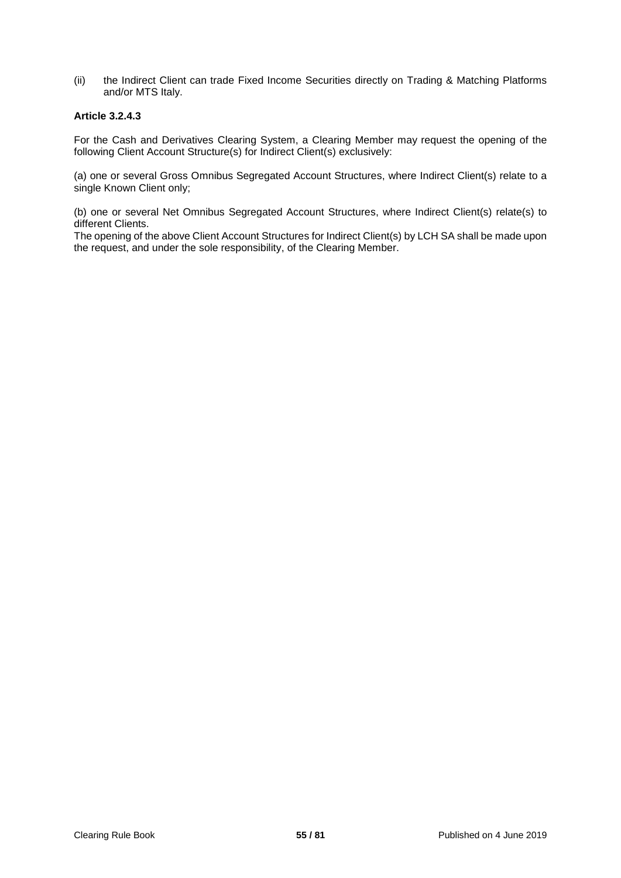(ii) the Indirect Client can trade Fixed Income Securities directly on Trading & Matching Platforms and/or MTS Italy.

# **Article 3.2.4.3**

For the Cash and Derivatives Clearing System, a Clearing Member may request the opening of the following Client Account Structure(s) for Indirect Client(s) exclusively:

(a) one or several Gross Omnibus Segregated Account Structures, where Indirect Client(s) relate to a single Known Client only;

(b) one or several Net Omnibus Segregated Account Structures, where Indirect Client(s) relate(s) to different Clients.

The opening of the above Client Account Structures for Indirect Client(s) by LCH SA shall be made upon the request, and under the sole responsibility, of the Clearing Member.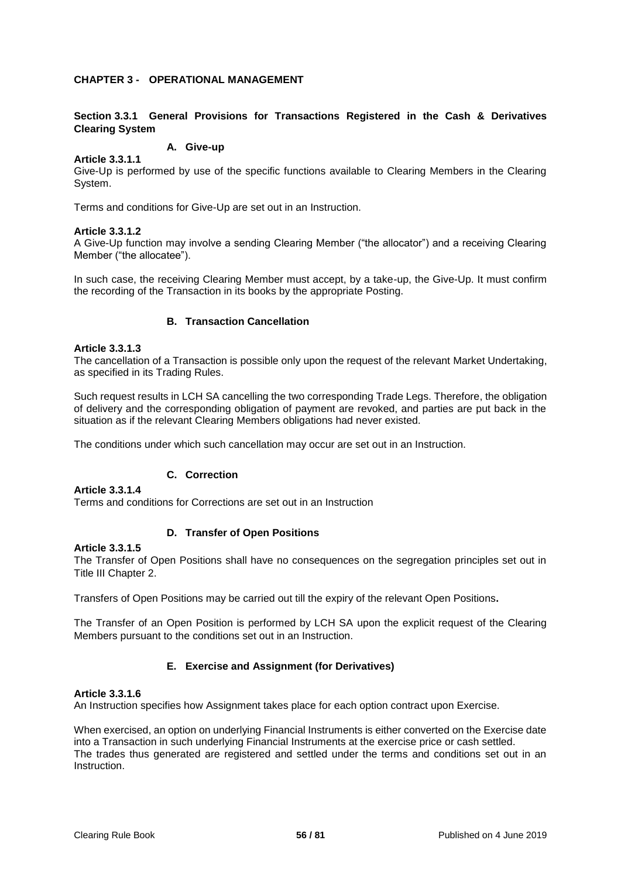## **CHAPTER 3 - OPERATIONAL MANAGEMENT**

# **Section 3.3.1 General Provisions for Transactions Registered in the Cash & Derivatives Clearing System**

# **A. Give-up**

Give-Up is performed by use of the specific functions available to Clearing Members in the Clearing System.

Terms and conditions for Give-Up are set out in an Instruction.

## **Article 3.3.1.2**

**Article 3.3.1.1**

A Give-Up function may involve a sending Clearing Member ("the allocator") and a receiving Clearing Member ("the allocatee").

In such case, the receiving Clearing Member must accept, by a take-up, the Give-Up. It must confirm the recording of the Transaction in its books by the appropriate Posting.

## **B. Transaction Cancellation**

#### **Article 3.3.1.3**

The cancellation of a Transaction is possible only upon the request of the relevant Market Undertaking, as specified in its Trading Rules.

Such request results in LCH SA cancelling the two corresponding Trade Legs. Therefore, the obligation of delivery and the corresponding obligation of payment are revoked, and parties are put back in the situation as if the relevant Clearing Members obligations had never existed.

The conditions under which such cancellation may occur are set out in an Instruction.

# **C. Correction**

**Article 3.3.1.4**

Terms and conditions for Corrections are set out in an Instruction

#### **D. Transfer of Open Positions**

#### **Article 3.3.1.5**

The Transfer of Open Positions shall have no consequences on the segregation principles set out in Title III Chapter 2.

Transfers of Open Positions may be carried out till the expiry of the relevant Open Positions**.**

The Transfer of an Open Position is performed by LCH SA upon the explicit request of the Clearing Members pursuant to the conditions set out in an Instruction.

#### **E. Exercise and Assignment (for Derivatives)**

#### **Article 3.3.1.6**

An Instruction specifies how Assignment takes place for each option contract upon Exercise.

When exercised, an option on underlying Financial Instruments is either converted on the Exercise date into a Transaction in such underlying Financial Instruments at the exercise price or cash settled. The trades thus generated are registered and settled under the terms and conditions set out in an **Instruction**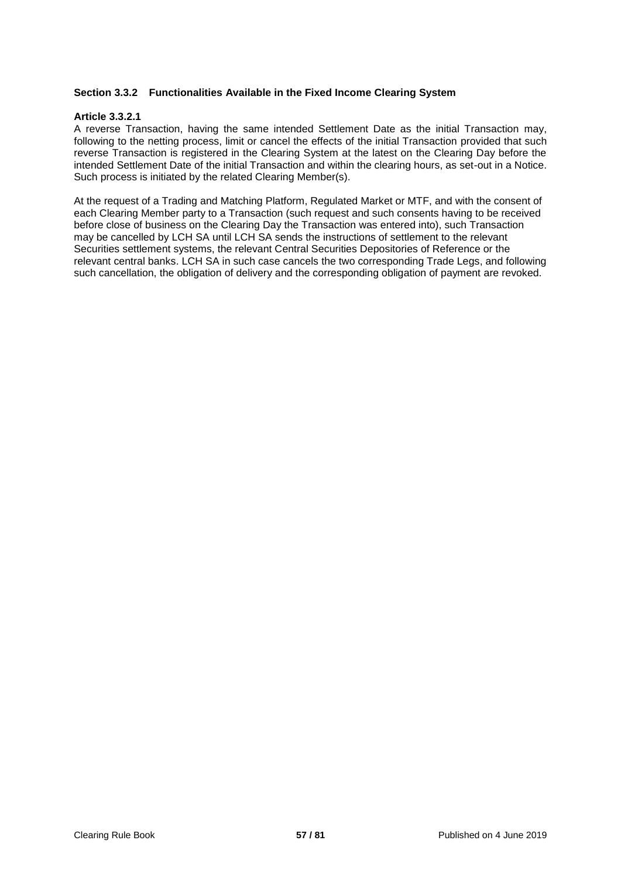# **Section 3.3.2 Functionalities Available in the Fixed Income Clearing System**

## **Article 3.3.2.1**

A reverse Transaction, having the same intended Settlement Date as the initial Transaction may, following to the netting process, limit or cancel the effects of the initial Transaction provided that such reverse Transaction is registered in the Clearing System at the latest on the Clearing Day before the intended Settlement Date of the initial Transaction and within the clearing hours, as set-out in a Notice. Such process is initiated by the related Clearing Member(s).

At the request of a Trading and Matching Platform, Regulated Market or MTF, and with the consent of each Clearing Member party to a Transaction (such request and such consents having to be received before close of business on the Clearing Day the Transaction was entered into), such Transaction may be cancelled by LCH SA until LCH SA sends the instructions of settlement to the relevant Securities settlement systems, the relevant Central Securities Depositories of Reference or the relevant central banks. LCH SA in such case cancels the two corresponding Trade Legs, and following such cancellation, the obligation of delivery and the corresponding obligation of payment are revoked.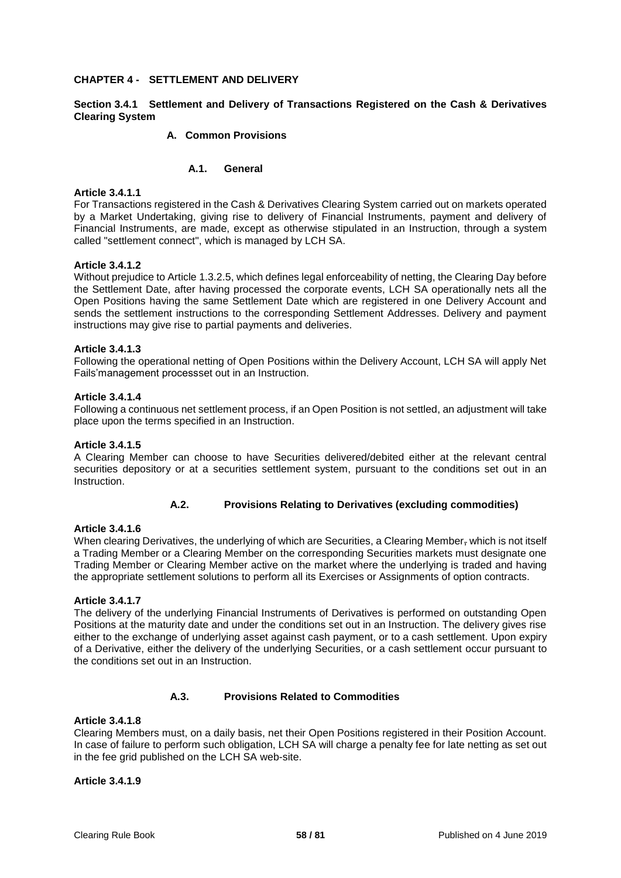## **CHAPTER 4 - SETTLEMENT AND DELIVERY**

# **Section 3.4.1 Settlement and Delivery of Transactions Registered on the Cash & Derivatives Clearing System**

# **A. Common Provisions**

## **A.1. General**

### **Article 3.4.1.1**

For Transactions registered in the Cash & Derivatives Clearing System carried out on markets operated by a Market Undertaking, giving rise to delivery of Financial Instruments, payment and delivery of Financial Instruments, are made, except as otherwise stipulated in an Instruction, through a system called "settlement connect", which is managed by LCH SA.

#### **Article 3.4.1.2**

Without prejudice to Article 1.3.2.5, which defines legal enforceability of netting, the Clearing Day before the Settlement Date, after having processed the corporate events, LCH SA operationally nets all the Open Positions having the same Settlement Date which are registered in one Delivery Account and sends the settlement instructions to the corresponding Settlement Addresses. Delivery and payment instructions may give rise to partial payments and deliveries.

## **Article 3.4.1.3**

Following the operational netting of Open Positions within the Delivery Account, LCH SA will apply Net Fails'management processset out in an Instruction.

#### **Article 3.4.1.4**

Following a continuous net settlement process, if an Open Position is not settled, an adjustment will take place upon the terms specified in an Instruction.

#### **Article 3.4.1.5**

A Clearing Member can choose to have Securities delivered/debited either at the relevant central securities depository or at a securities settlement system, pursuant to the conditions set out in an **Instruction** 

# **A.2. Provisions Relating to Derivatives (excluding commodities)**

#### **Article 3.4.1.6**

When clearing Derivatives, the underlying of which are Securities, a Clearing Member, which is not itself a Trading Member or a Clearing Member on the corresponding Securities markets must designate one Trading Member or Clearing Member active on the market where the underlying is traded and having the appropriate settlement solutions to perform all its Exercises or Assignments of option contracts.

#### **Article 3.4.1.7**

The delivery of the underlying Financial Instruments of Derivatives is performed on outstanding Open Positions at the maturity date and under the conditions set out in an Instruction. The delivery gives rise either to the exchange of underlying asset against cash payment, or to a cash settlement. Upon expiry of a Derivative, either the delivery of the underlying Securities, or a cash settlement occur pursuant to the conditions set out in an Instruction.

#### **A.3. Provisions Related to Commodities**

## **Article 3.4.1.8**

Clearing Members must, on a daily basis, net their Open Positions registered in their Position Account. In case of failure to perform such obligation, LCH SA will charge a penalty fee for late netting as set out in the fee grid published on the LCH SA web-site.

#### **Article 3.4.1.9**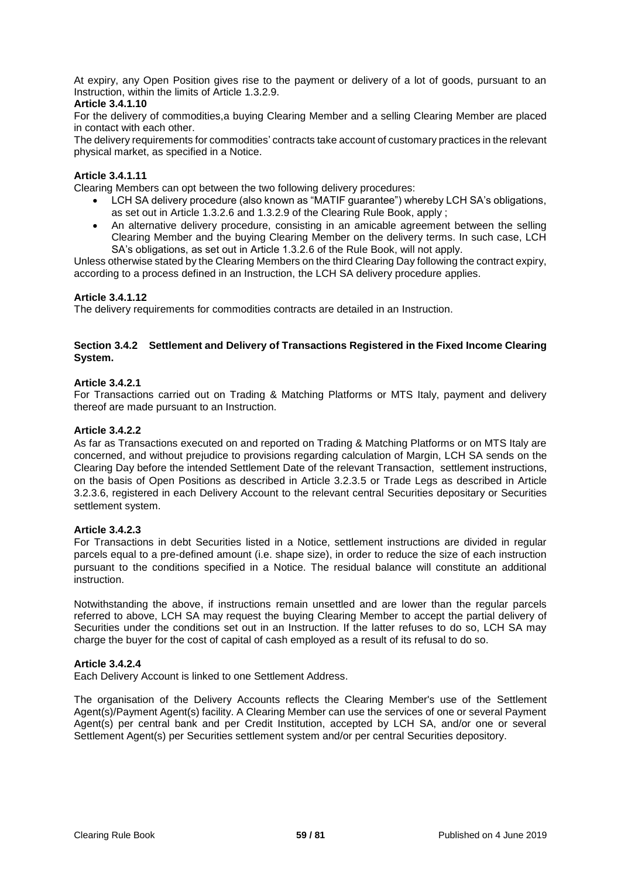At expiry, any Open Position gives rise to the payment or delivery of a lot of goods, pursuant to an Instruction, within the limits of Article 1.3.2.9.

# **Article 3.4.1.10**

For the delivery of commodities,a buying Clearing Member and a selling Clearing Member are placed in contact with each other.

The delivery requirements for commodities' contracts take account of customary practices in the relevant physical market, as specified in a Notice.

### **Article 3.4.1.11**

Clearing Members can opt between the two following delivery procedures:

- LCH SA delivery procedure (also known as "MATIF guarantee") whereby LCH SA's obligations, as set out in Article 1.3.2.6 and 1.3.2.9 of the Clearing Rule Book, apply ;
- An alternative delivery procedure, consisting in an amicable agreement between the selling Clearing Member and the buying Clearing Member on the delivery terms. In such case, LCH SA's obligations, as set out in Article 1.3.2.6 of the Rule Book, will not apply.

Unless otherwise stated by the Clearing Members on the third Clearing Day following the contract expiry, according to a process defined in an Instruction, the LCH SA delivery procedure applies.

## **Article 3.4.1.12**

The delivery requirements for commodities contracts are detailed in an Instruction.

# **Section 3.4.2 Settlement and Delivery of Transactions Registered in the Fixed Income Clearing System.**

## **Article 3.4.2.1**

For Transactions carried out on Trading & Matching Platforms or MTS Italy, payment and delivery thereof are made pursuant to an Instruction.

## **Article 3.4.2.2**

As far as Transactions executed on and reported on Trading & Matching Platforms or on MTS Italy are concerned, and without prejudice to provisions regarding calculation of Margin, LCH SA sends on the Clearing Day before the intended Settlement Date of the relevant Transaction, settlement instructions, on the basis of Open Positions as described in Article 3.2.3.5 or Trade Legs as described in Article 3.2.3.6, registered in each Delivery Account to the relevant central Securities depositary or Securities settlement system.

#### **Article 3.4.2.3**

For Transactions in debt Securities listed in a Notice, settlement instructions are divided in regular parcels equal to a pre-defined amount (i.e. shape size), in order to reduce the size of each instruction pursuant to the conditions specified in a Notice. The residual balance will constitute an additional instruction.

Notwithstanding the above, if instructions remain unsettled and are lower than the regular parcels referred to above, LCH SA may request the buying Clearing Member to accept the partial delivery of Securities under the conditions set out in an Instruction. If the latter refuses to do so, LCH SA may charge the buyer for the cost of capital of cash employed as a result of its refusal to do so.

#### **Article 3.4.2.4**

Each Delivery Account is linked to one Settlement Address.

The organisation of the Delivery Accounts reflects the Clearing Member's use of the Settlement Agent(s)/Payment Agent(s) facility. A Clearing Member can use the services of one or several Payment Agent(s) per central bank and per Credit Institution, accepted by LCH SA, and/or one or several Settlement Agent(s) per Securities settlement system and/or per central Securities depository.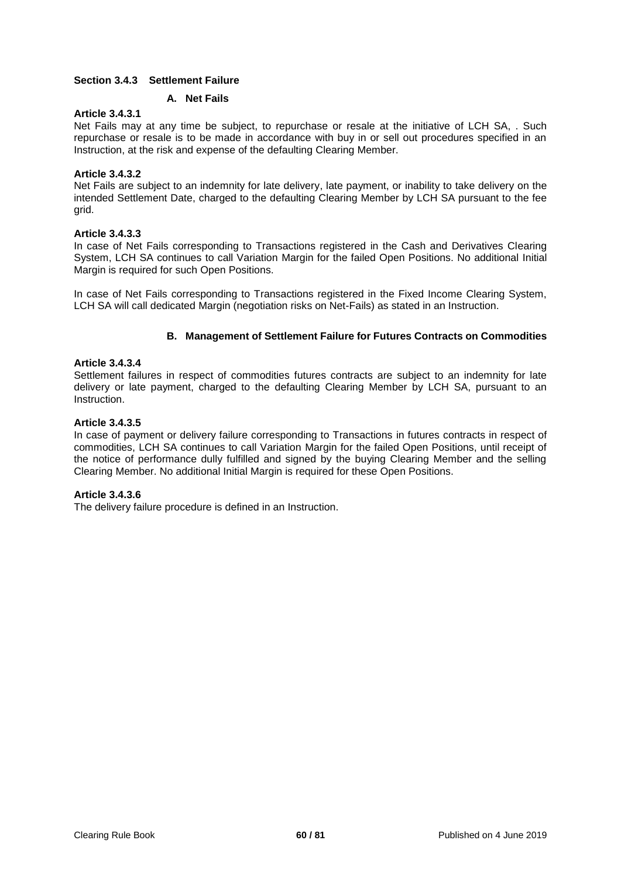# **Section 3.4.3 Settlement Failure**

### **A. Net Fails**

## **Article 3.4.3.1**

Net Fails may at any time be subject, to repurchase or resale at the initiative of LCH SA, . Such repurchase or resale is to be made in accordance with buy in or sell out procedures specified in an Instruction, at the risk and expense of the defaulting Clearing Member.

## **Article 3.4.3.2**

Net Fails are subject to an indemnity for late delivery, late payment, or inability to take delivery on the intended Settlement Date, charged to the defaulting Clearing Member by LCH SA pursuant to the fee grid.

## **Article 3.4.3.3**

In case of Net Fails corresponding to Transactions registered in the Cash and Derivatives Clearing System, LCH SA continues to call Variation Margin for the failed Open Positions. No additional Initial Margin is required for such Open Positions.

In case of Net Fails corresponding to Transactions registered in the Fixed Income Clearing System, LCH SA will call dedicated Margin (negotiation risks on Net-Fails) as stated in an Instruction.

## **B. Management of Settlement Failure for Futures Contracts on Commodities**

## **Article 3.4.3.4**

Settlement failures in respect of commodities futures contracts are subject to an indemnity for late delivery or late payment, charged to the defaulting Clearing Member by LCH SA, pursuant to an Instruction.

## **Article 3.4.3.5**

In case of payment or delivery failure corresponding to Transactions in futures contracts in respect of commodities, LCH SA continues to call Variation Margin for the failed Open Positions, until receipt of the notice of performance dully fulfilled and signed by the buying Clearing Member and the selling Clearing Member. No additional Initial Margin is required for these Open Positions.

#### **Article 3.4.3.6**

The delivery failure procedure is defined in an Instruction.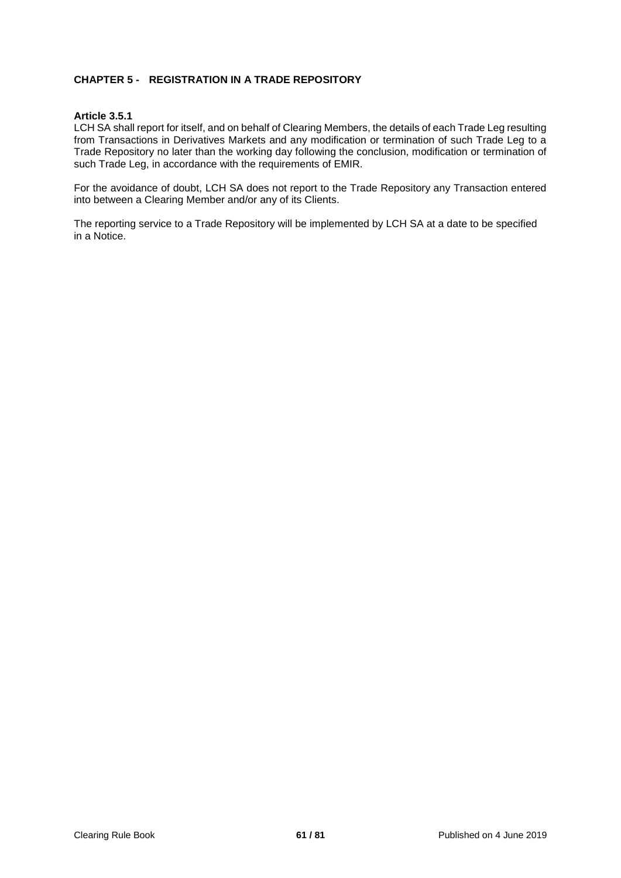# **CHAPTER 5 - REGISTRATION IN A TRADE REPOSITORY**

#### **Article 3.5.1**

LCH SA shall report for itself, and on behalf of Clearing Members, the details of each Trade Leg resulting from Transactions in Derivatives Markets and any modification or termination of such Trade Leg to a Trade Repository no later than the working day following the conclusion, modification or termination of such Trade Leg, in accordance with the requirements of EMIR.

For the avoidance of doubt, LCH SA does not report to the Trade Repository any Transaction entered into between a Clearing Member and/or any of its Clients.

The reporting service to a Trade Repository will be implemented by LCH SA at a date to be specified in a Notice.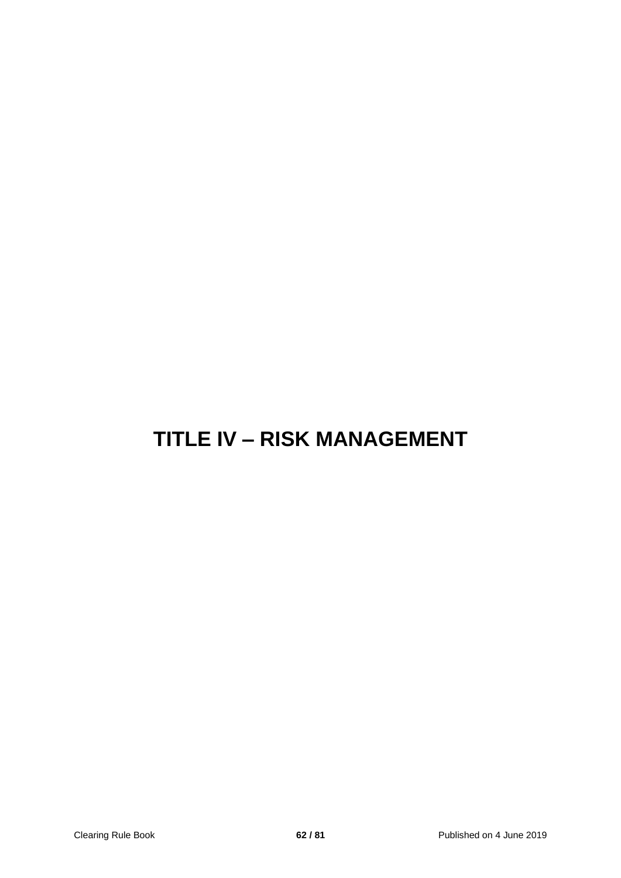# **TITLE IV – RISK MANAGEMENT**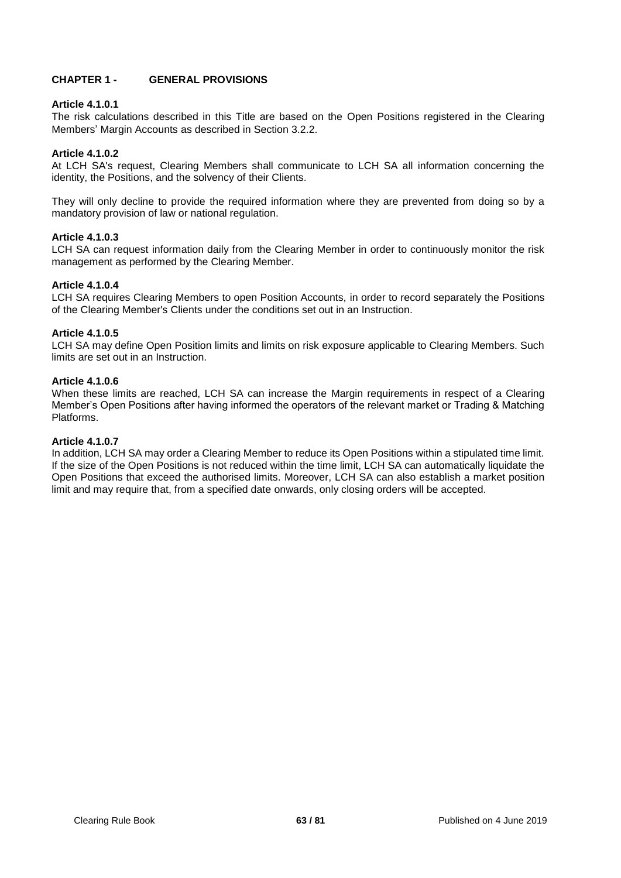# **CHAPTER 1 - GENERAL PROVISIONS**

# **Article 4.1.0.1**

The risk calculations described in this Title are based on the Open Positions registered in the Clearing Members' Margin Accounts as described in Section 3.2.2.

# **Article 4.1.0.2**

At LCH SA's request, Clearing Members shall communicate to LCH SA all information concerning the identity, the Positions, and the solvency of their Clients.

They will only decline to provide the required information where they are prevented from doing so by a mandatory provision of law or national regulation.

## **Article 4.1.0.3**

LCH SA can request information daily from the Clearing Member in order to continuously monitor the risk management as performed by the Clearing Member.

## **Article 4.1.0.4**

LCH SA requires Clearing Members to open Position Accounts, in order to record separately the Positions of the Clearing Member's Clients under the conditions set out in an Instruction.

## **Article 4.1.0.5**

LCH SA may define Open Position limits and limits on risk exposure applicable to Clearing Members. Such limits are set out in an Instruction.

#### **Article 4.1.0.6**

When these limits are reached, LCH SA can increase the Margin requirements in respect of a Clearing Member's Open Positions after having informed the operators of the relevant market or Trading & Matching Platforms.

#### **Article 4.1.0.7**

In addition, LCH SA may order a Clearing Member to reduce its Open Positions within a stipulated time limit. If the size of the Open Positions is not reduced within the time limit, LCH SA can automatically liquidate the Open Positions that exceed the authorised limits. Moreover, LCH SA can also establish a market position limit and may require that, from a specified date onwards, only closing orders will be accepted.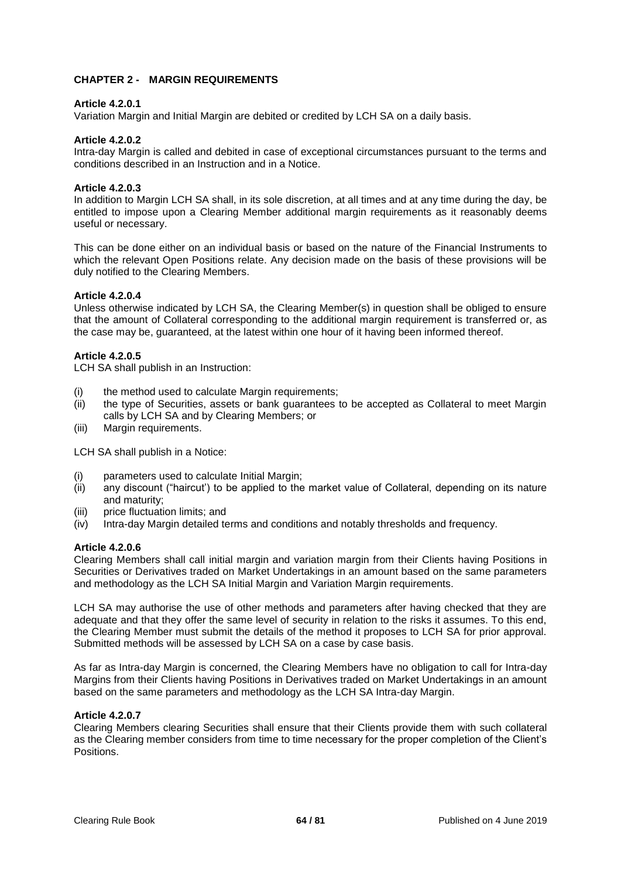# **CHAPTER 2 - MARGIN REQUIREMENTS**

#### **Article 4.2.0.1**

Variation Margin and Initial Margin are debited or credited by LCH SA on a daily basis.

## **Article 4.2.0.2**

Intra-day Margin is called and debited in case of exceptional circumstances pursuant to the terms and conditions described in an Instruction and in a Notice.

### **Article 4.2.0.3**

In addition to Margin LCH SA shall, in its sole discretion, at all times and at any time during the day, be entitled to impose upon a Clearing Member additional margin requirements as it reasonably deems useful or necessary.

This can be done either on an individual basis or based on the nature of the Financial Instruments to which the relevant Open Positions relate. Any decision made on the basis of these provisions will be duly notified to the Clearing Members.

## **Article 4.2.0.4**

Unless otherwise indicated by LCH SA, the Clearing Member(s) in question shall be obliged to ensure that the amount of Collateral corresponding to the additional margin requirement is transferred or, as the case may be, guaranteed, at the latest within one hour of it having been informed thereof.

## **Article 4.2.0.5**

LCH SA shall publish in an Instruction:

- (i) the method used to calculate Margin requirements;
- (ii) the type of Securities, assets or bank guarantees to be accepted as Collateral to meet Margin calls by LCH SA and by Clearing Members; or
- (iii) Margin requirements.

LCH SA shall publish in a Notice:

- (i) parameters used to calculate Initial Margin;
- (ii) any discount ("haircut') to be applied to the market value of Collateral, depending on its nature and maturity;
- (iii) price fluctuation limits; and
- (iv) Intra-day Margin detailed terms and conditions and notably thresholds and frequency.

#### **Article 4.2.0.6**

Clearing Members shall call initial margin and variation margin from their Clients having Positions in Securities or Derivatives traded on Market Undertakings in an amount based on the same parameters and methodology as the LCH SA Initial Margin and Variation Margin requirements.

LCH SA may authorise the use of other methods and parameters after having checked that they are adequate and that they offer the same level of security in relation to the risks it assumes. To this end, the Clearing Member must submit the details of the method it proposes to LCH SA for prior approval. Submitted methods will be assessed by LCH SA on a case by case basis.

As far as Intra-day Margin is concerned, the Clearing Members have no obligation to call for Intra-day Margins from their Clients having Positions in Derivatives traded on Market Undertakings in an amount based on the same parameters and methodology as the LCH SA Intra-day Margin.

#### **Article 4.2.0.7**

Clearing Members clearing Securities shall ensure that their Clients provide them with such collateral as the Clearing member considers from time to time necessary for the proper completion of the Client's **Positions**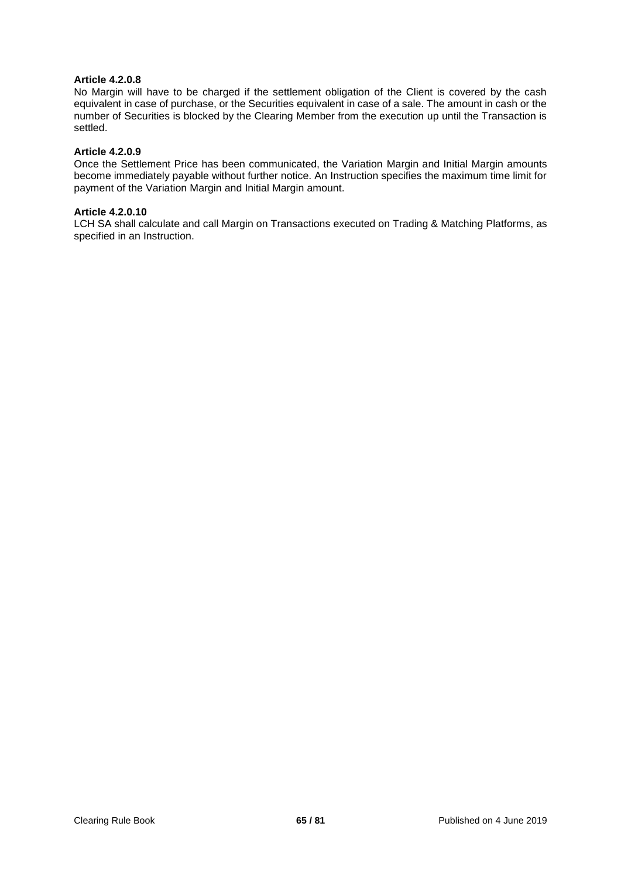# **Article 4.2.0.8**

No Margin will have to be charged if the settlement obligation of the Client is covered by the cash equivalent in case of purchase, or the Securities equivalent in case of a sale. The amount in cash or the number of Securities is blocked by the Clearing Member from the execution up until the Transaction is settled.

### **Article 4.2.0.9**

Once the Settlement Price has been communicated, the Variation Margin and Initial Margin amounts become immediately payable without further notice. An Instruction specifies the maximum time limit for payment of the Variation Margin and Initial Margin amount.

## **Article 4.2.0.10**

LCH SA shall calculate and call Margin on Transactions executed on Trading & Matching Platforms, as specified in an Instruction.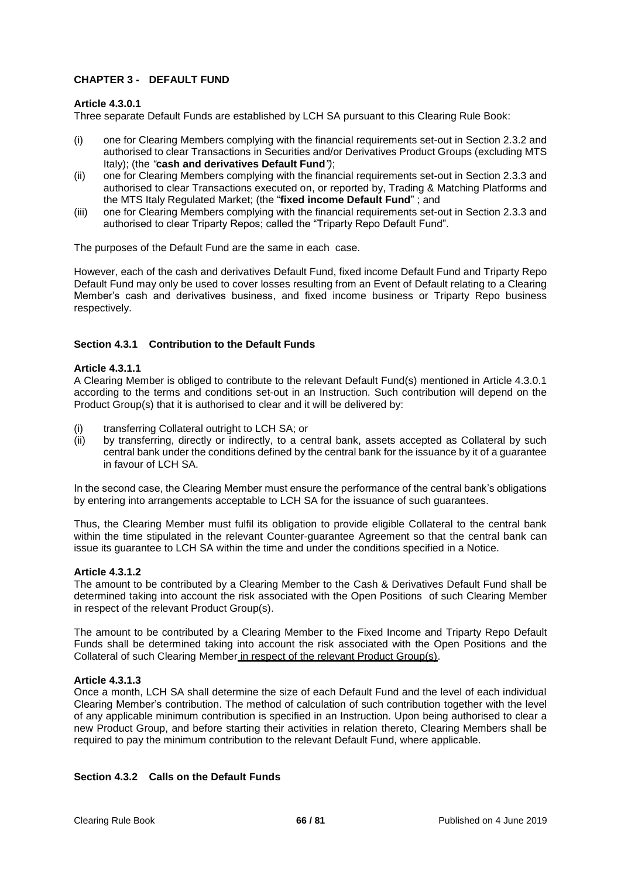# **CHAPTER 3 - DEFAULT FUND**

## **Article 4.3.0.1**

Three separate Default Funds are established by LCH SA pursuant to this Clearing Rule Book:

- (i) one for Clearing Members complying with the financial requirements set-out in Section 2.3.2 and authorised to clear Transactions in Securities and/or Derivatives Product Groups (excluding MTS Italy); (the *"***cash and derivatives Default Fund***")*;
- (ii) one for Clearing Members complying with the financial requirements set-out in Section 2.3.3 and authorised to clear Transactions executed on, or reported by, Trading & Matching Platforms and the MTS Italy Regulated Market; (the "**fixed income Default Fund**" ; and
- (iii) one for Clearing Members complying with the financial requirements set-out in Section 2.3.3 and authorised to clear Triparty Repos; called the "Triparty Repo Default Fund".

The purposes of the Default Fund are the same in each case.

However, each of the cash and derivatives Default Fund, fixed income Default Fund and Triparty Repo Default Fund may only be used to cover losses resulting from an Event of Default relating to a Clearing Member's cash and derivatives business, and fixed income business or Triparty Repo business respectively.

# **Section 4.3.1 Contribution to the Default Funds**

## **Article 4.3.1.1**

A Clearing Member is obliged to contribute to the relevant Default Fund(s) mentioned in Article 4.3.0.1 according to the terms and conditions set-out in an Instruction. Such contribution will depend on the Product Group(s) that it is authorised to clear and it will be delivered by:

- (i) transferring Collateral outright to LCH SA; or
- (ii) by transferring, directly or indirectly, to a central bank, assets accepted as Collateral by such central bank under the conditions defined by the central bank for the issuance by it of a guarantee in favour of LCH SA.

In the second case, the Clearing Member must ensure the performance of the central bank's obligations by entering into arrangements acceptable to LCH SA for the issuance of such guarantees.

Thus, the Clearing Member must fulfil its obligation to provide eligible Collateral to the central bank within the time stipulated in the relevant Counter-guarantee Agreement so that the central bank can issue its guarantee to LCH SA within the time and under the conditions specified in a Notice.

# **Article 4.3.1.2**

The amount to be contributed by a Clearing Member to the Cash & Derivatives Default Fund shall be determined taking into account the risk associated with the Open Positions of such Clearing Member in respect of the relevant Product Group(s).

The amount to be contributed by a Clearing Member to the Fixed Income and Triparty Repo Default Funds shall be determined taking into account the risk associated with the Open Positions and the Collateral of such Clearing Member in respect of the relevant Product Group(s).

# **Article 4.3.1.3**

Once a month, LCH SA shall determine the size of each Default Fund and the level of each individual Clearing Member's contribution. The method of calculation of such contribution together with the level of any applicable minimum contribution is specified in an Instruction. Upon being authorised to clear a new Product Group, and before starting their activities in relation thereto, Clearing Members shall be required to pay the minimum contribution to the relevant Default Fund, where applicable.

# **Section 4.3.2 Calls on the Default Funds**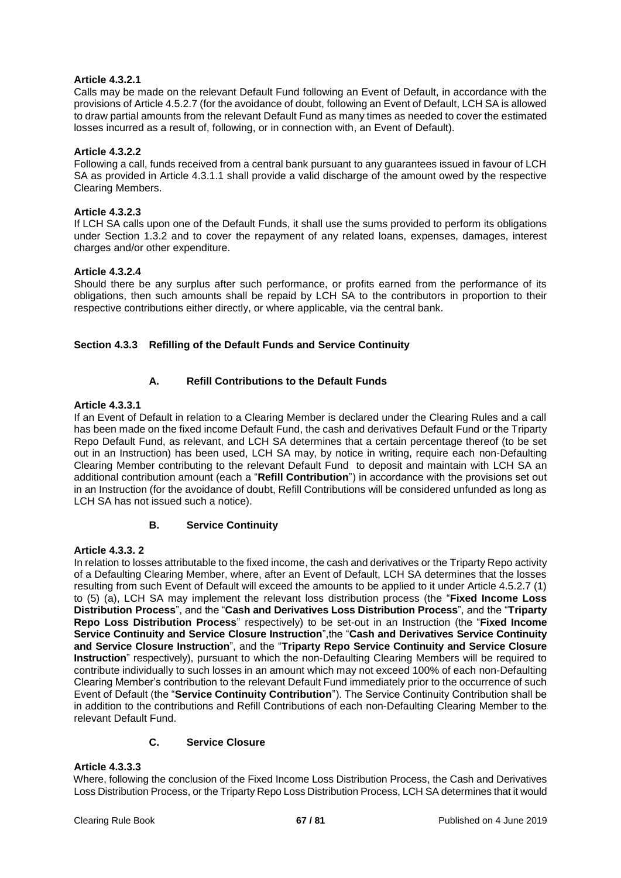# **Article 4.3.2.1**

Calls may be made on the relevant Default Fund following an Event of Default, in accordance with the provisions of Article 4.5.2.7 (for the avoidance of doubt, following an Event of Default, LCH SA is allowed to draw partial amounts from the relevant Default Fund as many times as needed to cover the estimated losses incurred as a result of, following, or in connection with, an Event of Default).

# **Article 4.3.2.2**

Following a call, funds received from a central bank pursuant to any guarantees issued in favour of LCH SA as provided in Article 4.3.1.1 shall provide a valid discharge of the amount owed by the respective Clearing Members.

# **Article 4.3.2.3**

If LCH SA calls upon one of the Default Funds, it shall use the sums provided to perform its obligations under Section 1.3.2 and to cover the repayment of any related loans, expenses, damages, interest charges and/or other expenditure.

# **Article 4.3.2.4**

Should there be any surplus after such performance, or profits earned from the performance of its obligations, then such amounts shall be repaid by LCH SA to the contributors in proportion to their respective contributions either directly, or where applicable, via the central bank.

# **Section 4.3.3 Refilling of the Default Funds and Service Continuity**

# **A. Refill Contributions to the Default Funds**

# **Article 4.3.3.1**

If an Event of Default in relation to a Clearing Member is declared under the Clearing Rules and a call has been made on the fixed income Default Fund, the cash and derivatives Default Fund or the Triparty Repo Default Fund, as relevant, and LCH SA determines that a certain percentage thereof (to be set out in an Instruction) has been used, LCH SA may, by notice in writing, require each non-Defaulting Clearing Member contributing to the relevant Default Fund to deposit and maintain with LCH SA an additional contribution amount (each a "**Refill Contribution**") in accordance with the provisions set out in an Instruction (for the avoidance of doubt, Refill Contributions will be considered unfunded as long as LCH SA has not issued such a notice).

# **B. Service Continuity**

# **Article 4.3.3. 2**

In relation to losses attributable to the fixed income, the cash and derivatives or the Triparty Repo activity of a Defaulting Clearing Member, where, after an Event of Default, LCH SA determines that the losses resulting from such Event of Default will exceed the amounts to be applied to it under Article 4.5.2.7 (1) to (5) (a), LCH SA may implement the relevant loss distribution process (the "**Fixed Income Loss Distribution Process**", and the "**Cash and Derivatives Loss Distribution Process**", and the "**Triparty Repo Loss Distribution Process**" respectively) to be set-out in an Instruction (the "**Fixed Income Service Continuity and Service Closure Instruction**",the "**Cash and Derivatives Service Continuity and Service Closure Instruction**", and the "**Triparty Repo Service Continuity and Service Closure Instruction**" respectively), pursuant to which the non-Defaulting Clearing Members will be required to contribute individually to such losses in an amount which may not exceed 100% of each non-Defaulting Clearing Member's contribution to the relevant Default Fund immediately prior to the occurrence of such Event of Default (the "**Service Continuity Contribution**"). The Service Continuity Contribution shall be in addition to the contributions and Refill Contributions of each non-Defaulting Clearing Member to the relevant Default Fund.

# **C. Service Closure**

# **Article 4.3.3.3**

Where, following the conclusion of the Fixed Income Loss Distribution Process, the Cash and Derivatives Loss Distribution Process, or the Triparty Repo Loss Distribution Process, LCH SA determines that it would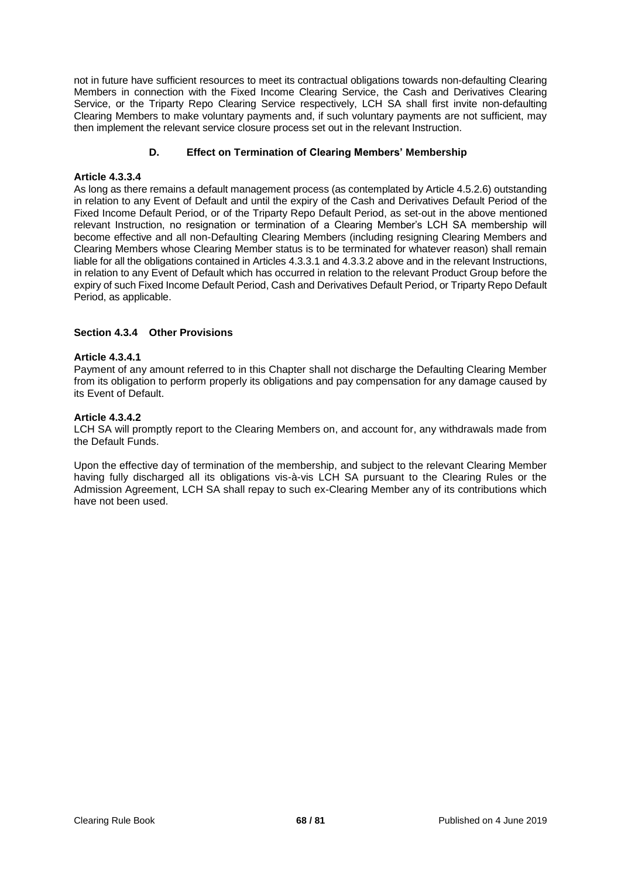not in future have sufficient resources to meet its contractual obligations towards non-defaulting Clearing Members in connection with the Fixed Income Clearing Service, the Cash and Derivatives Clearing Service, or the Triparty Repo Clearing Service respectively, LCH SA shall first invite non-defaulting Clearing Members to make voluntary payments and, if such voluntary payments are not sufficient, may then implement the relevant service closure process set out in the relevant Instruction.

# **D. Effect on Termination of Clearing Members' Membership**

# **Article 4.3.3.4**

As long as there remains a default management process (as contemplated by Article 4.5.2.6) outstanding in relation to any Event of Default and until the expiry of the Cash and Derivatives Default Period of the Fixed Income Default Period, or of the Triparty Repo Default Period, as set-out in the above mentioned relevant Instruction, no resignation or termination of a Clearing Member's LCH SA membership will become effective and all non-Defaulting Clearing Members (including resigning Clearing Members and Clearing Members whose Clearing Member status is to be terminated for whatever reason) shall remain liable for all the obligations contained in Articles 4.3.3.1 and 4.3.3.2 above and in the relevant Instructions, in relation to any Event of Default which has occurred in relation to the relevant Product Group before the expiry of such Fixed Income Default Period, Cash and Derivatives Default Period, or Triparty Repo Default Period, as applicable.

# **Section 4.3.4 Other Provisions**

## **Article 4.3.4.1**

Payment of any amount referred to in this Chapter shall not discharge the Defaulting Clearing Member from its obligation to perform properly its obligations and pay compensation for any damage caused by its Event of Default.

# **Article 4.3.4.2**

LCH SA will promptly report to the Clearing Members on, and account for, any withdrawals made from the Default Funds.

Upon the effective day of termination of the membership, and subject to the relevant Clearing Member having fully discharged all its obligations vis-à-vis LCH SA pursuant to the Clearing Rules or the Admission Agreement, LCH SA shall repay to such ex-Clearing Member any of its contributions which have not been used.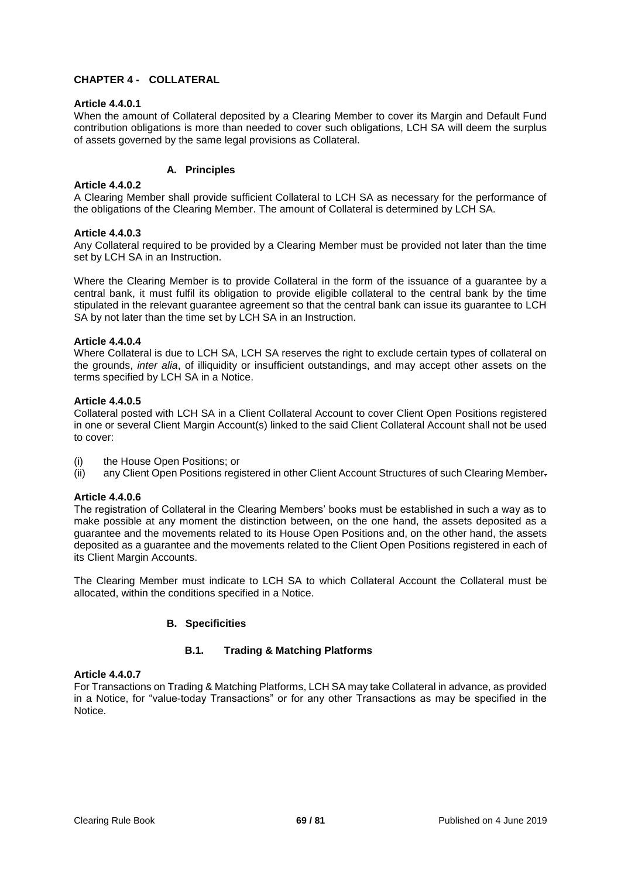# **CHAPTER 4 - COLLATERAL**

## **Article 4.4.0.1**

When the amount of Collateral deposited by a Clearing Member to cover its Margin and Default Fund contribution obligations is more than needed to cover such obligations, LCH SA will deem the surplus of assets governed by the same legal provisions as Collateral.

# **A. Principles**

## **Article 4.4.0.2**

A Clearing Member shall provide sufficient Collateral to LCH SA as necessary for the performance of the obligations of the Clearing Member. The amount of Collateral is determined by LCH SA.

## **Article 4.4.0.3**

Any Collateral required to be provided by a Clearing Member must be provided not later than the time set by LCH SA in an Instruction.

Where the Clearing Member is to provide Collateral in the form of the issuance of a guarantee by a central bank, it must fulfil its obligation to provide eligible collateral to the central bank by the time stipulated in the relevant quarantee agreement so that the central bank can issue its guarantee to LCH SA by not later than the time set by LCH SA in an Instruction.

## **Article 4.4.0.4**

Where Collateral is due to LCH SA, LCH SA reserves the right to exclude certain types of collateral on the grounds, *inter alia*, of illiquidity or insufficient outstandings, and may accept other assets on the terms specified by LCH SA in a Notice.

## **Article 4.4.0.5**

Collateral posted with LCH SA in a Client Collateral Account to cover Client Open Positions registered in one or several Client Margin Account(s) linked to the said Client Collateral Account shall not be used to cover:

- (i) the House Open Positions; or
- (ii) any Client Open Positions registered in other Client Account Structures of such Clearing Member.

# **Article 4.4.0.6**

The registration of Collateral in the Clearing Members' books must be established in such a way as to make possible at any moment the distinction between, on the one hand, the assets deposited as a guarantee and the movements related to its House Open Positions and, on the other hand, the assets deposited as a guarantee and the movements related to the Client Open Positions registered in each of its Client Margin Accounts.

The Clearing Member must indicate to LCH SA to which Collateral Account the Collateral must be allocated, within the conditions specified in a Notice.

# **B. Specificities**

# **B.1. Trading & Matching Platforms**

#### **Article 4.4.0.7**

For Transactions on Trading & Matching Platforms, LCH SA may take Collateral in advance, as provided in a Notice, for "value-today Transactions" or for any other Transactions as may be specified in the Notice.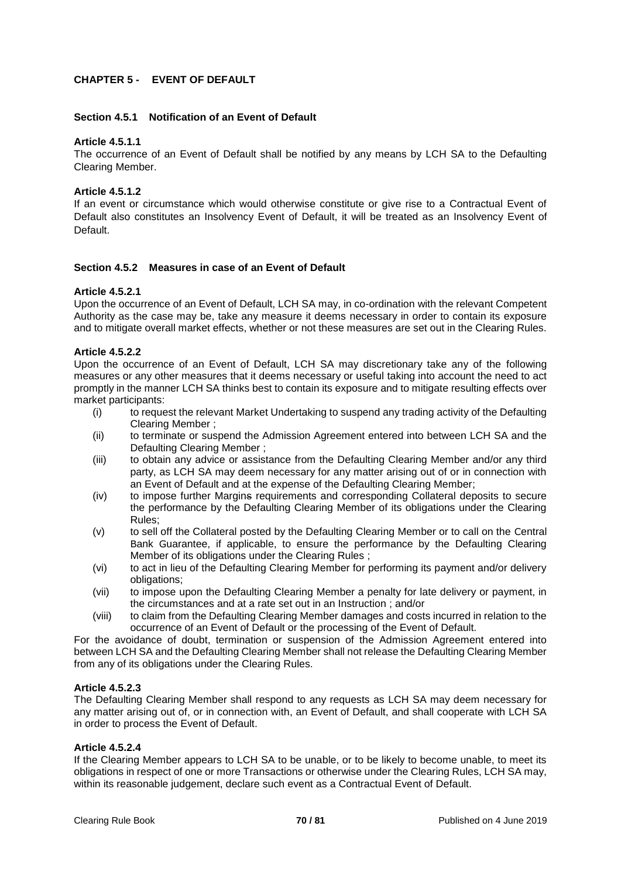# **CHAPTER 5 - EVENT OF DEFAULT**

# **Section 4.5.1 Notification of an Event of Default**

### **Article 4.5.1.1**

The occurrence of an Event of Default shall be notified by any means by LCH SA to the Defaulting Clearing Member.

### **Article 4.5.1.2**

If an event or circumstance which would otherwise constitute or give rise to a Contractual Event of Default also constitutes an Insolvency Event of Default, it will be treated as an Insolvency Event of Default.

## **Section 4.5.2 Measures in case of an Event of Default**

## **Article 4.5.2.1**

Upon the occurrence of an Event of Default, LCH SA may, in co-ordination with the relevant Competent Authority as the case may be, take any measure it deems necessary in order to contain its exposure and to mitigate overall market effects, whether or not these measures are set out in the Clearing Rules.

#### **Article 4.5.2.2**

Upon the occurrence of an Event of Default, LCH SA may discretionary take any of the following measures or any other measures that it deems necessary or useful taking into account the need to act promptly in the manner LCH SA thinks best to contain its exposure and to mitigate resulting effects over market participants:

- (i) to request the relevant Market Undertaking to suspend any trading activity of the Defaulting Clearing Member ;
- (ii) to terminate or suspend the Admission Agreement entered into between LCH SA and the Defaulting Clearing Member ;
- (iii) to obtain any advice or assistance from the Defaulting Clearing Member and/or any third party, as LCH SA may deem necessary for any matter arising out of or in connection with an Event of Default and at the expense of the Defaulting Clearing Member;
- (iv) to impose further Margins requirements and corresponding Collateral deposits to secure the performance by the Defaulting Clearing Member of its obligations under the Clearing Rules;
- (v) to sell off the Collateral posted by the Defaulting Clearing Member or to call on the Central Bank Guarantee, if applicable, to ensure the performance by the Defaulting Clearing Member of its obligations under the Clearing Rules ;
- (vi) to act in lieu of the Defaulting Clearing Member for performing its payment and/or delivery obligations;
- (vii) to impose upon the Defaulting Clearing Member a penalty for late delivery or payment, in the circumstances and at a rate set out in an Instruction ; and/or
- (viii) to claim from the Defaulting Clearing Member damages and costs incurred in relation to the occurrence of an Event of Default or the processing of the Event of Default.

For the avoidance of doubt, termination or suspension of the Admission Agreement entered into between LCH SA and the Defaulting Clearing Member shall not release the Defaulting Clearing Member from any of its obligations under the Clearing Rules.

#### **Article 4.5.2.3**

The Defaulting Clearing Member shall respond to any requests as LCH SA may deem necessary for any matter arising out of, or in connection with, an Event of Default, and shall cooperate with LCH SA in order to process the Event of Default.

#### **Article 4.5.2.4**

If the Clearing Member appears to LCH SA to be unable, or to be likely to become unable, to meet its obligations in respect of one or more Transactions or otherwise under the Clearing Rules, LCH SA may, within its reasonable judgement, declare such event as a Contractual Event of Default.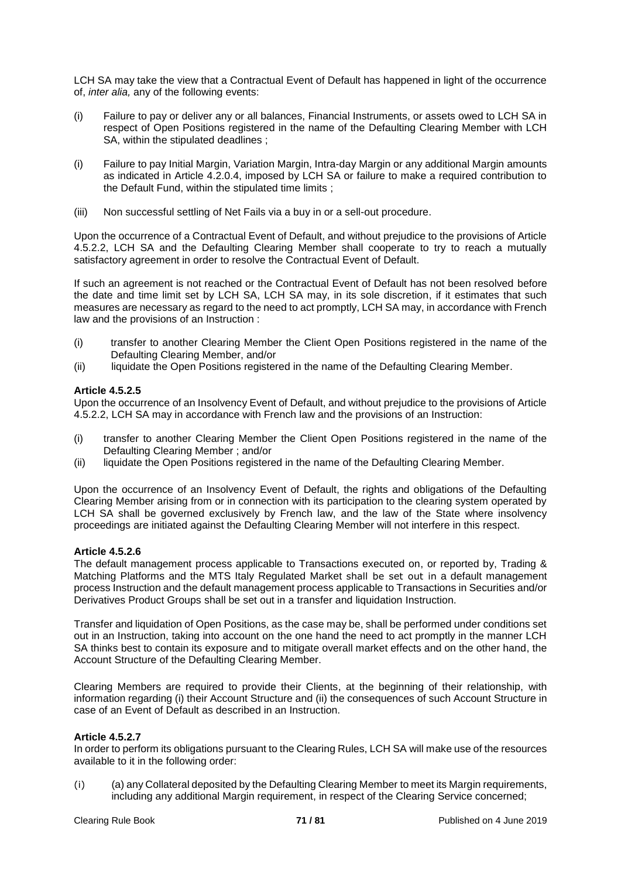LCH SA may take the view that a Contractual Event of Default has happened in light of the occurrence of, *inter alia,* any of the following events:

- (i) Failure to pay or deliver any or all balances, Financial Instruments, or assets owed to LCH SA in respect of Open Positions registered in the name of the Defaulting Clearing Member with LCH SA, within the stipulated deadlines ;
- (i) Failure to pay Initial Margin, Variation Margin, Intra-day Margin or any additional Margin amounts as indicated in Article 4.2.0.4, imposed by LCH SA or failure to make a required contribution to the Default Fund, within the stipulated time limits ;
- (iii) Non successful settling of Net Fails via a buy in or a sell-out procedure.

Upon the occurrence of a Contractual Event of Default, and without prejudice to the provisions of Article 4.5.2.2, LCH SA and the Defaulting Clearing Member shall cooperate to try to reach a mutually satisfactory agreement in order to resolve the Contractual Event of Default.

If such an agreement is not reached or the Contractual Event of Default has not been resolved before the date and time limit set by LCH SA, LCH SA may, in its sole discretion, if it estimates that such measures are necessary as regard to the need to act promptly, LCH SA may, in accordance with French law and the provisions of an Instruction :

- (i) transfer to another Clearing Member the Client Open Positions registered in the name of the Defaulting Clearing Member, and/or
- (ii) liquidate the Open Positions registered in the name of the Defaulting Clearing Member.

# **Article 4.5.2.5**

Upon the occurrence of an Insolvency Event of Default, and without prejudice to the provisions of Article 4.5.2.2, LCH SA may in accordance with French law and the provisions of an Instruction:

- (i) transfer to another Clearing Member the Client Open Positions registered in the name of the Defaulting Clearing Member ; and/or
- (ii) liquidate the Open Positions registered in the name of the Defaulting Clearing Member.

Upon the occurrence of an Insolvency Event of Default, the rights and obligations of the Defaulting Clearing Member arising from or in connection with its participation to the clearing system operated by LCH SA shall be governed exclusively by French law, and the law of the State where insolvency proceedings are initiated against the Defaulting Clearing Member will not interfere in this respect.

# **Article 4.5.2.6**

The default management process applicable to Transactions executed on, or reported by, Trading & Matching Platforms and the MTS Italy Regulated Market shall be set out in a default management process Instruction and the default management process applicable to Transactions in Securities and/or Derivatives Product Groups shall be set out in a transfer and liquidation Instruction.

Transfer and liquidation of Open Positions, as the case may be, shall be performed under conditions set out in an Instruction, taking into account on the one hand the need to act promptly in the manner LCH SA thinks best to contain its exposure and to mitigate overall market effects and on the other hand, the Account Structure of the Defaulting Clearing Member.

Clearing Members are required to provide their Clients, at the beginning of their relationship, with information regarding (i) their Account Structure and (ii) the consequences of such Account Structure in case of an Event of Default as described in an Instruction.

# **Article 4.5.2.7**

In order to perform its obligations pursuant to the Clearing Rules, LCH SA will make use of the resources available to it in the following order:

(i) (a) any Collateral deposited by the Defaulting Clearing Member to meet its Margin requirements, including any additional Margin requirement, in respect of the Clearing Service concerned;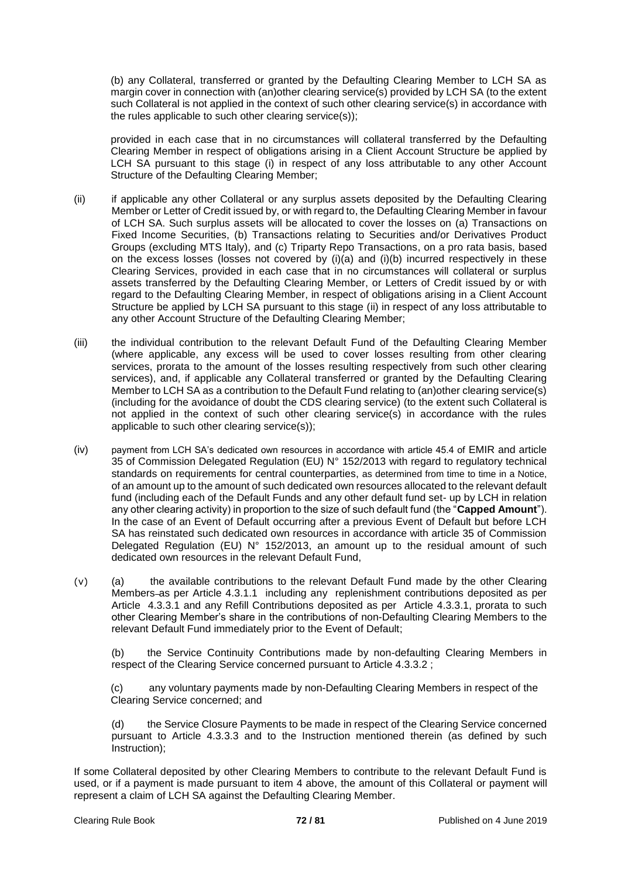(b) any Collateral, transferred or granted by the Defaulting Clearing Member to LCH SA as margin cover in connection with (an)other clearing service(s) provided by LCH SA (to the extent such Collateral is not applied in the context of such other clearing service(s) in accordance with the rules applicable to such other clearing service(s));

provided in each case that in no circumstances will collateral transferred by the Defaulting Clearing Member in respect of obligations arising in a Client Account Structure be applied by LCH SA pursuant to this stage (i) in respect of any loss attributable to any other Account Structure of the Defaulting Clearing Member;

- (ii) if applicable any other Collateral or any surplus assets deposited by the Defaulting Clearing Member or Letter of Credit issued by, or with regard to, the Defaulting Clearing Member in favour of LCH SA. Such surplus assets will be allocated to cover the losses on (a) Transactions on Fixed Income Securities, (b) Transactions relating to Securities and/or Derivatives Product Groups (excluding MTS Italy), and (c) Triparty Repo Transactions, on a pro rata basis, based on the excess losses (losses not covered by (i)(a) and (i)(b) incurred respectively in these Clearing Services, provided in each case that in no circumstances will collateral or surplus assets transferred by the Defaulting Clearing Member, or Letters of Credit issued by or with regard to the Defaulting Clearing Member, in respect of obligations arising in a Client Account Structure be applied by LCH SA pursuant to this stage (ii) in respect of any loss attributable to any other Account Structure of the Defaulting Clearing Member;
- (iii) the individual contribution to the relevant Default Fund of the Defaulting Clearing Member (where applicable, any excess will be used to cover losses resulting from other clearing services, prorata to the amount of the losses resulting respectively from such other clearing services), and, if applicable any Collateral transferred or granted by the Defaulting Clearing Member to LCH SA as a contribution to the Default Fund relating to (an)other clearing service(s) (including for the avoidance of doubt the CDS clearing service) (to the extent such Collateral is not applied in the context of such other clearing service(s) in accordance with the rules applicable to such other clearing service(s));
- (iv) payment from LCH SA's dedicated own resources in accordance with article 45.4 of EMIR and article 35 of Commission Delegated Regulation (EU) N° 152/2013 with regard to regulatory technical standards on requirements for central counterparties, as determined from time to time in a Notice, of an amount up to the amount of such dedicated own resources allocated to the relevant default fund (including each of the Default Funds and any other default fund set- up by LCH in relation any other clearing activity) in proportion to the size of such default fund (the "**Capped Amount**"). In the case of an Event of Default occurring after a previous Event of Default but before LCH SA has reinstated such dedicated own resources in accordance with article 35 of Commission Delegated Regulation (EU) N° 152/2013, an amount up to the residual amount of such dedicated own resources in the relevant Default Fund,
- (v) (a) the available contributions to the relevant Default Fund made by the other Clearing Members as per Article 4.3.1.1 including any replenishment contributions deposited as per Article 4.3.3.1 and any Refill Contributions deposited as per Article 4.3.3.1, prorata to such other Clearing Member's share in the contributions of non-Defaulting Clearing Members to the relevant Default Fund immediately prior to the Event of Default;

(b) the Service Continuity Contributions made by non-defaulting Clearing Members in respect of the Clearing Service concerned pursuant to Article 4.3.3.2 ;

(c) any voluntary payments made by non-Defaulting Clearing Members in respect of the Clearing Service concerned; and

(d) the Service Closure Payments to be made in respect of the Clearing Service concerned pursuant to Article 4.3.3.3 and to the Instruction mentioned therein (as defined by such instruction):

If some Collateral deposited by other Clearing Members to contribute to the relevant Default Fund is used, or if a payment is made pursuant to item 4 above, the amount of this Collateral or payment will represent a claim of LCH SA against the Defaulting Clearing Member.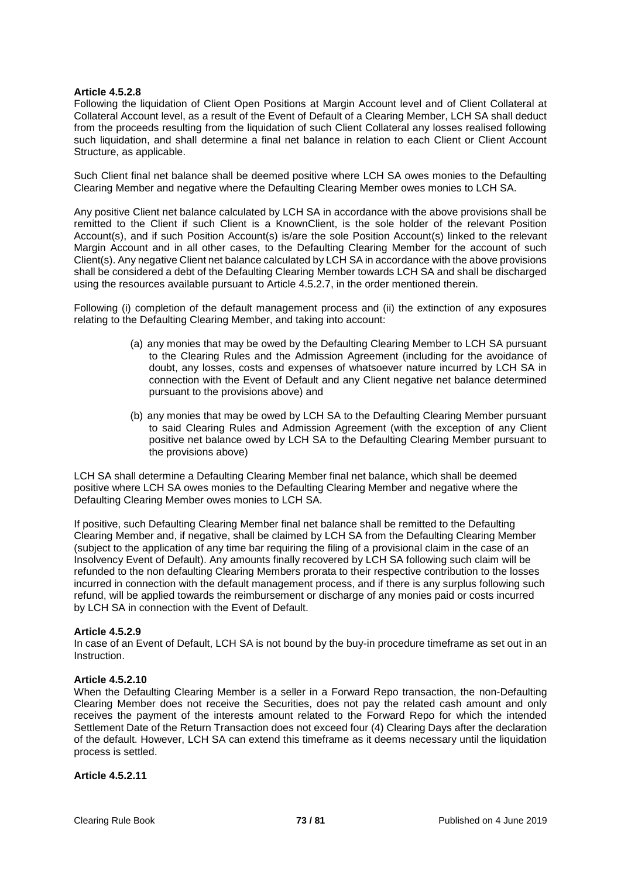# **Article 4.5.2.8**

Following the liquidation of Client Open Positions at Margin Account level and of Client Collateral at Collateral Account level, as a result of the Event of Default of a Clearing Member, LCH SA shall deduct from the proceeds resulting from the liquidation of such Client Collateral any losses realised following such liquidation, and shall determine a final net balance in relation to each Client or Client Account Structure, as applicable.

Such Client final net balance shall be deemed positive where LCH SA owes monies to the Defaulting Clearing Member and negative where the Defaulting Clearing Member owes monies to LCH SA.

Any positive Client net balance calculated by LCH SA in accordance with the above provisions shall be remitted to the Client if such Client is a KnownClient, is the sole holder of the relevant Position Account(s), and if such Position Account(s) is/are the sole Position Account(s) linked to the relevant Margin Account and in all other cases, to the Defaulting Clearing Member for the account of such Client(s). Any negative Client net balance calculated by LCH SA in accordance with the above provisions shall be considered a debt of the Defaulting Clearing Member towards LCH SA and shall be discharged using the resources available pursuant to Article 4.5.2.7, in the order mentioned therein.

Following (i) completion of the default management process and (ii) the extinction of any exposures relating to the Defaulting Clearing Member, and taking into account:

- (a) any monies that may be owed by the Defaulting Clearing Member to LCH SA pursuant to the Clearing Rules and the Admission Agreement (including for the avoidance of doubt, any losses, costs and expenses of whatsoever nature incurred by LCH SA in connection with the Event of Default and any Client negative net balance determined pursuant to the provisions above) and
- (b) any monies that may be owed by LCH SA to the Defaulting Clearing Member pursuant to said Clearing Rules and Admission Agreement (with the exception of any Client positive net balance owed by LCH SA to the Defaulting Clearing Member pursuant to the provisions above)

LCH SA shall determine a Defaulting Clearing Member final net balance, which shall be deemed positive where LCH SA owes monies to the Defaulting Clearing Member and negative where the Defaulting Clearing Member owes monies to LCH SA.

If positive, such Defaulting Clearing Member final net balance shall be remitted to the Defaulting Clearing Member and, if negative, shall be claimed by LCH SA from the Defaulting Clearing Member (subject to the application of any time bar requiring the filing of a provisional claim in the case of an Insolvency Event of Default). Any amounts finally recovered by LCH SA following such claim will be refunded to the non defaulting Clearing Members prorata to their respective contribution to the losses incurred in connection with the default management process, and if there is any surplus following such refund, will be applied towards the reimbursement or discharge of any monies paid or costs incurred by LCH SA in connection with the Event of Default.

## **Article 4.5.2.9**

In case of an Event of Default, LCH SA is not bound by the buy-in procedure timeframe as set out in an Instruction.

## **Article 4.5.2.10**

When the Defaulting Clearing Member is a seller in a Forward Repo transaction, the non-Defaulting Clearing Member does not receive the Securities, does not pay the related cash amount and only receives the payment of the interests amount related to the Forward Repo for which the intended Settlement Date of the Return Transaction does not exceed four (4) Clearing Days after the declaration of the default. However, LCH SA can extend this timeframe as it deems necessary until the liquidation process is settled.

## **Article 4.5.2.11**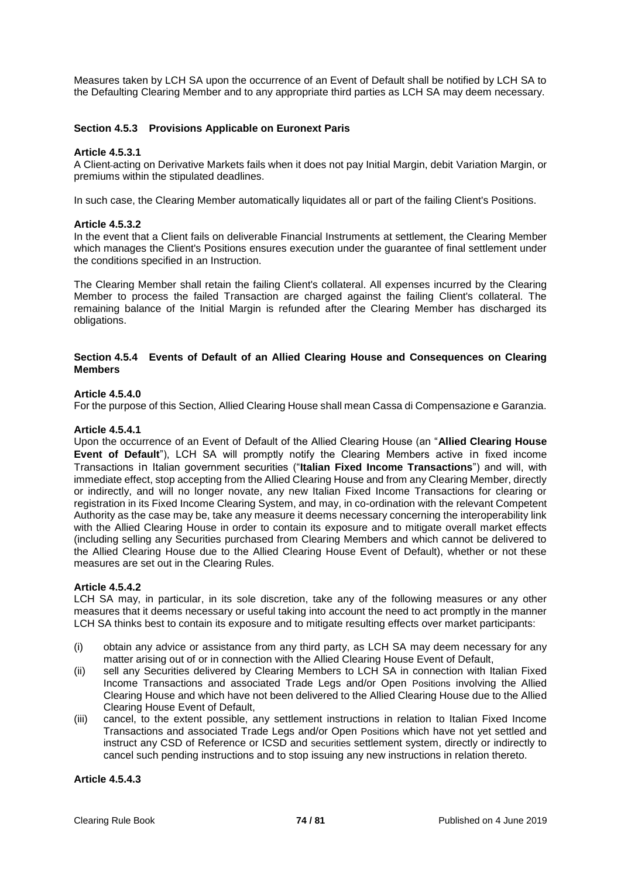Measures taken by LCH SA upon the occurrence of an Event of Default shall be notified by LCH SA to the Defaulting Clearing Member and to any appropriate third parties as LCH SA may deem necessary.

# **Section 4.5.3 Provisions Applicable on Euronext Paris**

## **Article 4.5.3.1**

A Client acting on Derivative Markets fails when it does not pay Initial Margin, debit Variation Margin, or premiums within the stipulated deadlines.

In such case, the Clearing Member automatically liquidates all or part of the failing Client's Positions.

### **Article 4.5.3.2**

In the event that a Client fails on deliverable Financial Instruments at settlement, the Clearing Member which manages the Client's Positions ensures execution under the guarantee of final settlement under the conditions specified in an Instruction.

The Clearing Member shall retain the failing Client's collateral. All expenses incurred by the Clearing Member to process the failed Transaction are charged against the failing Client's collateral. The remaining balance of the Initial Margin is refunded after the Clearing Member has discharged its obligations.

## **Section 4.5.4 Events of Default of an Allied Clearing House and Consequences on Clearing Members**

## **Article 4.5.4.0**

For the purpose of this Section, Allied Clearing House shall mean Cassa di Compensazione e Garanzia.

## **Article 4.5.4.1**

Upon the occurrence of an Event of Default of the Allied Clearing House (an "**Allied Clearing House Event of Default**"), LCH SA will promptly notify the Clearing Members active in fixed income Transactions in Italian government securities ("**Italian Fixed Income Transactions**") and will, with immediate effect, stop accepting from the Allied Clearing House and from any Clearing Member, directly or indirectly, and will no longer novate, any new Italian Fixed Income Transactions for clearing or registration in its Fixed Income Clearing System, and may, in co-ordination with the relevant Competent Authority as the case may be, take any measure it deems necessary concerning the interoperability link with the Allied Clearing House in order to contain its exposure and to mitigate overall market effects (including selling any Securities purchased from Clearing Members and which cannot be delivered to the Allied Clearing House due to the Allied Clearing House Event of Default), whether or not these measures are set out in the Clearing Rules.

## **Article 4.5.4.2**

LCH SA may, in particular, in its sole discretion, take any of the following measures or any other measures that it deems necessary or useful taking into account the need to act promptly in the manner LCH SA thinks best to contain its exposure and to mitigate resulting effects over market participants:

- (i) obtain any advice or assistance from any third party, as LCH SA may deem necessary for any matter arising out of or in connection with the Allied Clearing House Event of Default,
- (ii) sell any Securities delivered by Clearing Members to LCH SA in connection with Italian Fixed Income Transactions and associated Trade Legs and/or Open Positions involving the Allied Clearing House and which have not been delivered to the Allied Clearing House due to the Allied Clearing House Event of Default,
- (iii) cancel, to the extent possible, any settlement instructions in relation to Italian Fixed Income Transactions and associated Trade Legs and/or Open Positions which have not yet settled and instruct any CSD of Reference or ICSD and securities settlement system, directly or indirectly to cancel such pending instructions and to stop issuing any new instructions in relation thereto.

## **Article 4.5.4.3**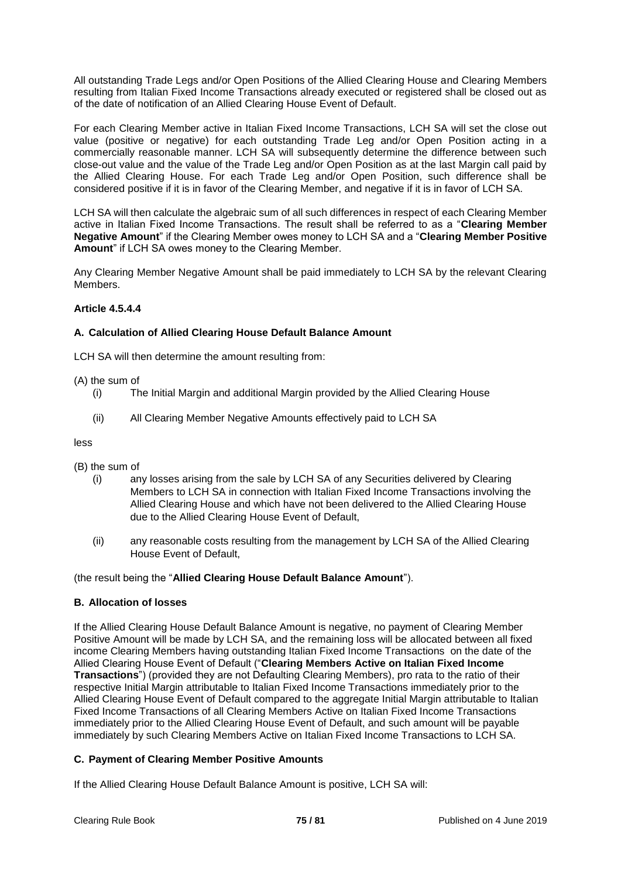All outstanding Trade Legs and/or Open Positions of the Allied Clearing House and Clearing Members resulting from Italian Fixed Income Transactions already executed or registered shall be closed out as of the date of notification of an Allied Clearing House Event of Default.

For each Clearing Member active in Italian Fixed Income Transactions, LCH SA will set the close out value (positive or negative) for each outstanding Trade Leg and/or Open Position acting in a commercially reasonable manner. LCH SA will subsequently determine the difference between such close-out value and the value of the Trade Leg and/or Open Position as at the last Margin call paid by the Allied Clearing House. For each Trade Leg and/or Open Position, such difference shall be considered positive if it is in favor of the Clearing Member, and negative if it is in favor of LCH SA.

LCH SA will then calculate the algebraic sum of all such differences in respect of each Clearing Member active in Italian Fixed Income Transactions. The result shall be referred to as a "**Clearing Member Negative Amount**" if the Clearing Member owes money to LCH SA and a "**Clearing Member Positive Amount**" if LCH SA owes money to the Clearing Member.

Any Clearing Member Negative Amount shall be paid immediately to LCH SA by the relevant Clearing Members.

# **Article 4.5.4.4**

# **A. Calculation of Allied Clearing House Default Balance Amount**

LCH SA will then determine the amount resulting from:

- (A) the sum of
	- (i) The Initial Margin and additional Margin provided by the Allied Clearing House
	- (ii) All Clearing Member Negative Amounts effectively paid to LCH SA

less

- (B) the sum of
	- (i) any losses arising from the sale by LCH SA of any Securities delivered by Clearing Members to LCH SA in connection with Italian Fixed Income Transactions involving the Allied Clearing House and which have not been delivered to the Allied Clearing House due to the Allied Clearing House Event of Default,
	- (ii) any reasonable costs resulting from the management by LCH SA of the Allied Clearing House Event of Default,

(the result being the "**Allied Clearing House Default Balance Amount**").

# **B. Allocation of losses**

If the Allied Clearing House Default Balance Amount is negative, no payment of Clearing Member Positive Amount will be made by LCH SA, and the remaining loss will be allocated between all fixed income Clearing Members having outstanding Italian Fixed Income Transactions on the date of the Allied Clearing House Event of Default ("**Clearing Members Active on Italian Fixed Income Transactions**") (provided they are not Defaulting Clearing Members), pro rata to the ratio of their respective Initial Margin attributable to Italian Fixed Income Transactions immediately prior to the Allied Clearing House Event of Default compared to the aggregate Initial Margin attributable to Italian Fixed Income Transactions of all Clearing Members Active on Italian Fixed Income Transactions immediately prior to the Allied Clearing House Event of Default, and such amount will be payable immediately by such Clearing Members Active on Italian Fixed Income Transactions to LCH SA.

# **C. Payment of Clearing Member Positive Amounts**

If the Allied Clearing House Default Balance Amount is positive, LCH SA will: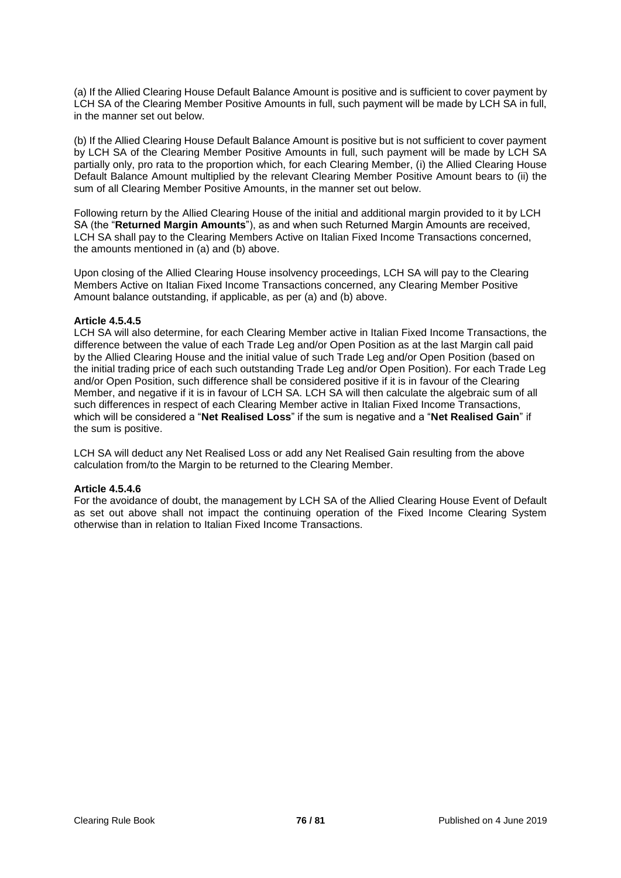(a) If the Allied Clearing House Default Balance Amount is positive and is sufficient to cover payment by LCH SA of the Clearing Member Positive Amounts in full, such payment will be made by LCH SA in full, in the manner set out below.

(b) If the Allied Clearing House Default Balance Amount is positive but is not sufficient to cover payment by LCH SA of the Clearing Member Positive Amounts in full, such payment will be made by LCH SA partially only, pro rata to the proportion which, for each Clearing Member, (i) the Allied Clearing House Default Balance Amount multiplied by the relevant Clearing Member Positive Amount bears to (ii) the sum of all Clearing Member Positive Amounts, in the manner set out below.

Following return by the Allied Clearing House of the initial and additional margin provided to it by LCH SA (the "**Returned Margin Amounts**"), as and when such Returned Margin Amounts are received, LCH SA shall pay to the Clearing Members Active on Italian Fixed Income Transactions concerned, the amounts mentioned in (a) and (b) above.

Upon closing of the Allied Clearing House insolvency proceedings, LCH SA will pay to the Clearing Members Active on Italian Fixed Income Transactions concerned, any Clearing Member Positive Amount balance outstanding, if applicable, as per (a) and (b) above.

# **Article 4.5.4.5**

LCH SA will also determine, for each Clearing Member active in Italian Fixed Income Transactions, the difference between the value of each Trade Leg and/or Open Position as at the last Margin call paid by the Allied Clearing House and the initial value of such Trade Leg and/or Open Position (based on the initial trading price of each such outstanding Trade Leg and/or Open Position). For each Trade Leg and/or Open Position, such difference shall be considered positive if it is in favour of the Clearing Member, and negative if it is in favour of LCH SA. LCH SA will then calculate the algebraic sum of all such differences in respect of each Clearing Member active in Italian Fixed Income Transactions, which will be considered a "**Net Realised Loss**" if the sum is negative and a "**Net Realised Gain**" if the sum is positive.

LCH SA will deduct any Net Realised Loss or add any Net Realised Gain resulting from the above calculation from/to the Margin to be returned to the Clearing Member.

## **Article 4.5.4.6**

For the avoidance of doubt, the management by LCH SA of the Allied Clearing House Event of Default as set out above shall not impact the continuing operation of the Fixed Income Clearing System otherwise than in relation to Italian Fixed Income Transactions.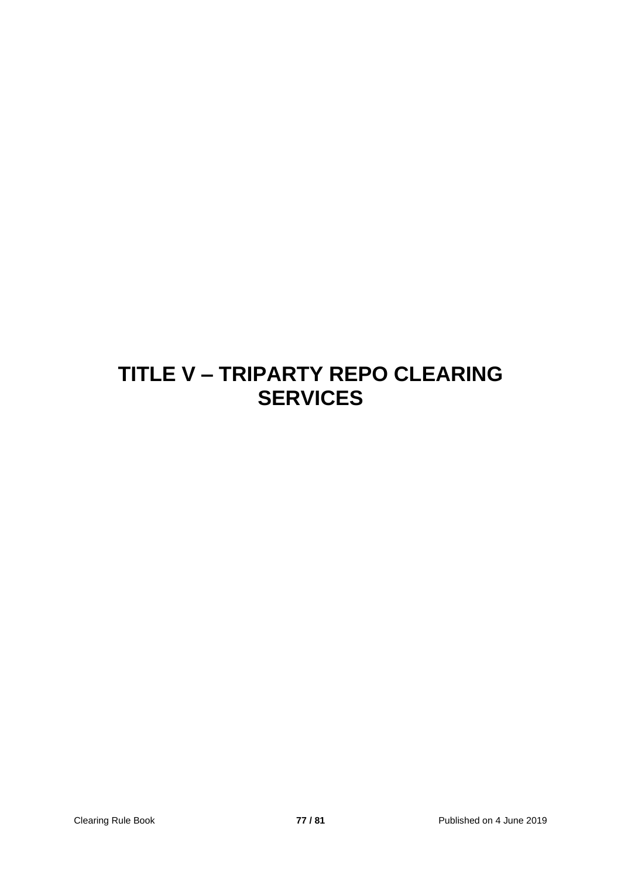# **TITLE V – TRIPARTY REPO CLEARING SERVICES**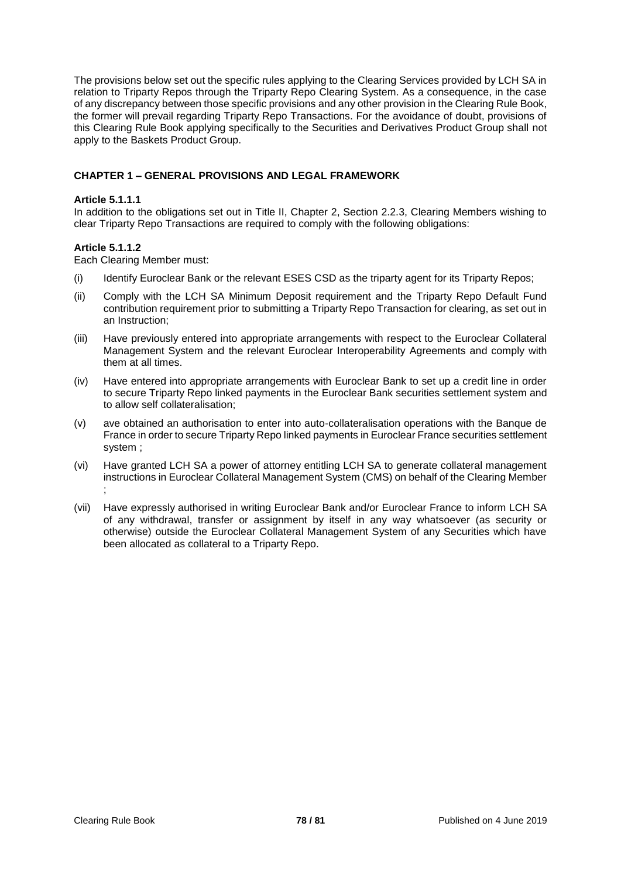The provisions below set out the specific rules applying to the Clearing Services provided by LCH SA in relation to Triparty Repos through the Triparty Repo Clearing System. As a consequence, in the case of any discrepancy between those specific provisions and any other provision in the Clearing Rule Book, the former will prevail regarding Triparty Repo Transactions. For the avoidance of doubt, provisions of this Clearing Rule Book applying specifically to the Securities and Derivatives Product Group shall not apply to the Baskets Product Group.

# **CHAPTER 1 – GENERAL PROVISIONS AND LEGAL FRAMEWORK**

# **Article 5.1.1.1**

In addition to the obligations set out in Title II, Chapter 2, Section 2.2.3, Clearing Members wishing to clear Triparty Repo Transactions are required to comply with the following obligations:

# **Article 5.1.1.2**

Each Clearing Member must:

- (i) Identify Euroclear Bank or the relevant ESES CSD as the triparty agent for its Triparty Repos;
- (ii) Comply with the LCH SA Minimum Deposit requirement and the Triparty Repo Default Fund contribution requirement prior to submitting a Triparty Repo Transaction for clearing, as set out in an Instruction;
- (iii) Have previously entered into appropriate arrangements with respect to the Euroclear Collateral Management System and the relevant Euroclear Interoperability Agreements and comply with them at all times.
- (iv) Have entered into appropriate arrangements with Euroclear Bank to set up a credit line in order to secure Triparty Repo linked payments in the Euroclear Bank securities settlement system and to allow self collateralisation;
- (v) ave obtained an authorisation to enter into auto-collateralisation operations with the Banque de France in order to secure Triparty Repo linked payments in Euroclear France securities settlement system ;
- (vi) Have granted LCH SA a power of attorney entitling LCH SA to generate collateral management instructions in Euroclear Collateral Management System (CMS) on behalf of the Clearing Member ;
- (vii) Have expressly authorised in writing Euroclear Bank and/or Euroclear France to inform LCH SA of any withdrawal, transfer or assignment by itself in any way whatsoever (as security or otherwise) outside the Euroclear Collateral Management System of any Securities which have been allocated as collateral to a Triparty Repo.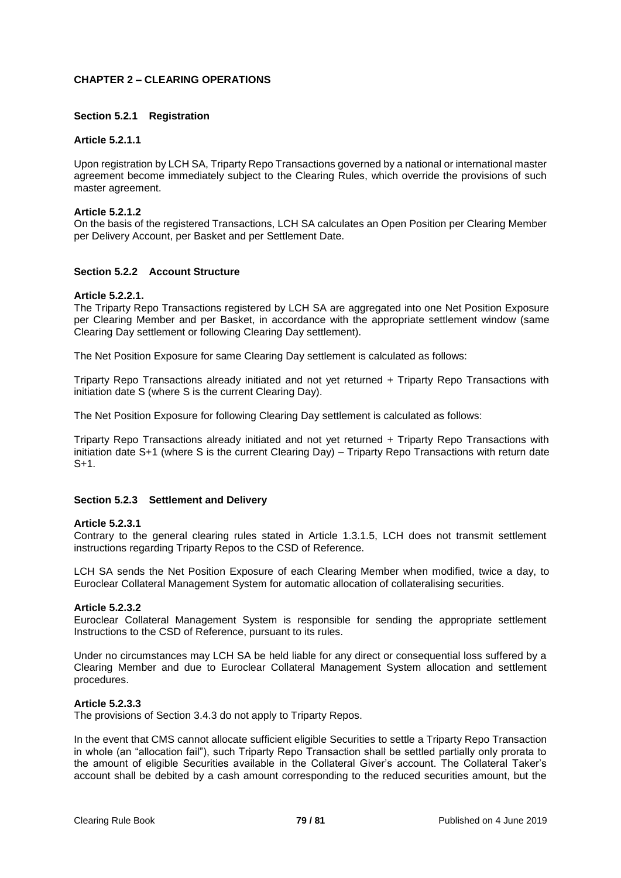# **CHAPTER 2 – CLEARING OPERATIONS**

## **Section 5.2.1 Registration**

## **Article 5.2.1.1**

Upon registration by LCH SA, Triparty Repo Transactions governed by a national or international master agreement become immediately subject to the Clearing Rules, which override the provisions of such master agreement.

## **Article 5.2.1.2**

On the basis of the registered Transactions, LCH SA calculates an Open Position per Clearing Member per Delivery Account, per Basket and per Settlement Date.

# **Section 5.2.2 Account Structure**

## **Article 5.2.2.1.**

The Triparty Repo Transactions registered by LCH SA are aggregated into one Net Position Exposure per Clearing Member and per Basket, in accordance with the appropriate settlement window (same Clearing Day settlement or following Clearing Day settlement).

The Net Position Exposure for same Clearing Day settlement is calculated as follows:

Triparty Repo Transactions already initiated and not yet returned + Triparty Repo Transactions with initiation date S (where S is the current Clearing Day).

The Net Position Exposure for following Clearing Day settlement is calculated as follows:

Triparty Repo Transactions already initiated and not yet returned + Triparty Repo Transactions with initiation date S+1 (where S is the current Clearing Day) – Triparty Repo Transactions with return date S+1.

## **Section 5.2.3 Settlement and Delivery**

## **Article 5.2.3.1**

Contrary to the general clearing rules stated in Article 1.3.1.5, LCH does not transmit settlement instructions regarding Triparty Repos to the CSD of Reference.

LCH SA sends the Net Position Exposure of each Clearing Member when modified, twice a day, to Euroclear Collateral Management System for automatic allocation of collateralising securities.

## **Article 5.2.3.2**

Euroclear Collateral Management System is responsible for sending the appropriate settlement Instructions to the CSD of Reference, pursuant to its rules.

Under no circumstances may LCH SA be held liable for any direct or consequential loss suffered by a Clearing Member and due to Euroclear Collateral Management System allocation and settlement procedures.

## **Article 5.2.3.3**

The provisions of Section 3.4.3 do not apply to Triparty Repos.

In the event that CMS cannot allocate sufficient eligible Securities to settle a Triparty Repo Transaction in whole (an "allocation fail"), such Triparty Repo Transaction shall be settled partially only prorata to the amount of eligible Securities available in the Collateral Giver's account. The Collateral Taker's account shall be debited by a cash amount corresponding to the reduced securities amount, but the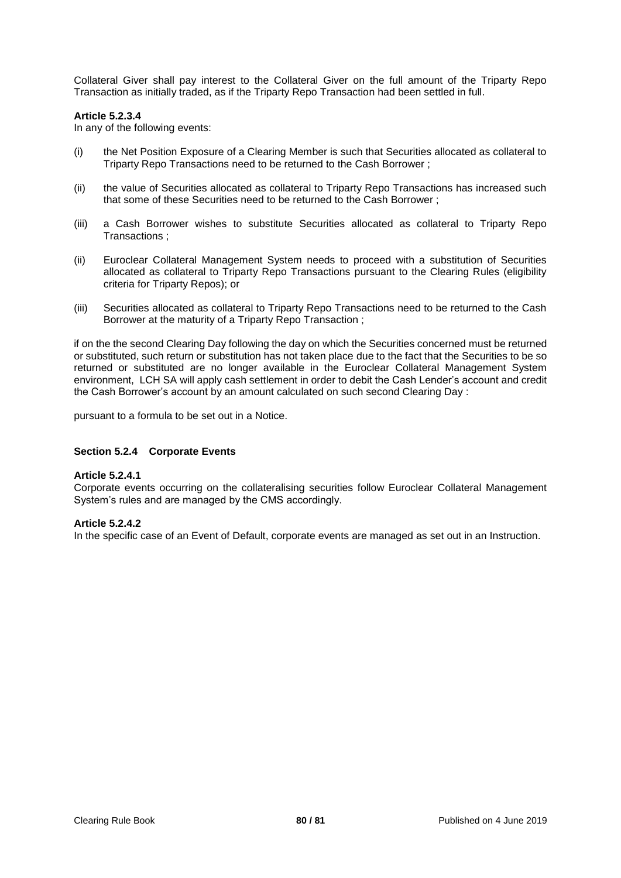Collateral Giver shall pay interest to the Collateral Giver on the full amount of the Triparty Repo Transaction as initially traded, as if the Triparty Repo Transaction had been settled in full.

# **Article 5.2.3.4**

In any of the following events:

- (i) the Net Position Exposure of a Clearing Member is such that Securities allocated as collateral to Triparty Repo Transactions need to be returned to the Cash Borrower ;
- (ii) the value of Securities allocated as collateral to Triparty Repo Transactions has increased such that some of these Securities need to be returned to the Cash Borrower ;
- (iii) a Cash Borrower wishes to substitute Securities allocated as collateral to Triparty Repo Transactions ;
- (ii) Euroclear Collateral Management System needs to proceed with a substitution of Securities allocated as collateral to Triparty Repo Transactions pursuant to the Clearing Rules (eligibility criteria for Triparty Repos); or
- (iii) Securities allocated as collateral to Triparty Repo Transactions need to be returned to the Cash Borrower at the maturity of a Triparty Repo Transaction ;

if on the the second Clearing Day following the day on which the Securities concerned must be returned or substituted, such return or substitution has not taken place due to the fact that the Securities to be so returned or substituted are no longer available in the Euroclear Collateral Management System environment, LCH SA will apply cash settlement in order to debit the Cash Lender's account and credit the Cash Borrower's account by an amount calculated on such second Clearing Day :

pursuant to a formula to be set out in a Notice.

## **Section 5.2.4 Corporate Events**

## **Article 5.2.4.1**

Corporate events occurring on the collateralising securities follow Euroclear Collateral Management System's rules and are managed by the CMS accordingly.

## **Article 5.2.4.2**

In the specific case of an Event of Default, corporate events are managed as set out in an Instruction.